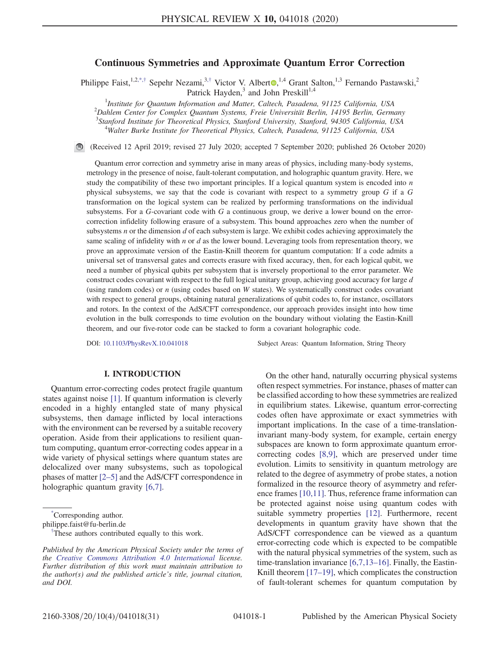# Continuous Symmetries and Approximate Quantum Error Correction

<span id="page-0-2"></span>Philippe Faist,<sup>1,2[,\\*,](#page-0-0)[†](#page-0-1)</sup> Sepehr Nezami,<sup>3,†</sup> Victor V. Albert<sup>®</sup>,<sup>1,4</sup> Grant Salton,<sup>1,3</sup> Fernando Pastawski,<sup>2</sup> Patrick Hayden, $3$  and John Preskill<sup>1,4</sup>

<sup>1</sup>Institute for Quantum Information and Matter, Caltech, Pasadena, 91125 California, USA<br><sup>2</sup>Dahlam Cantar for Complex Quantum Systems, Frais Universität Barlin, 14105 Barlin, Carm

 $^{2}$ Dahlem Center for Complex Quantum Systems, Freie Universität Berlin, 14195 Berlin, Germany

<sup>3</sup>Stanford Institute for Theoretical Physics, Stanford University, Stanford, 94305 California, USA<br><sup>4</sup>Welter Purke Institute for Theoretical Physics, Caltegh Pasadana, 01125 California, USA

<sup>4</sup>Walter Burke Institute for Theoretical Physics, Caltech, Pasadena, 91125 California, USA

(Received 12 April 2019; revised 27 July 2020; accepted 7 September 2020; published 26 October 2020)

Quantum error correction and symmetry arise in many areas of physics, including many-body systems, metrology in the presence of noise, fault-tolerant computation, and holographic quantum gravity. Here, we study the compatibility of these two important principles. If a logical quantum system is encoded into  $n$ physical subsystems, we say that the code is covariant with respect to a symmetry group  $G$  if a  $G$ transformation on the logical system can be realized by performing transformations on the individual subsystems. For a G-covariant code with G a continuous group, we derive a lower bound on the errorcorrection infidelity following erasure of a subsystem. This bound approaches zero when the number of subsystems  $n$  or the dimension  $d$  of each subsystem is large. We exhibit codes achieving approximately the same scaling of infidelity with  $n$  or  $d$  as the lower bound. Leveraging tools from representation theory, we prove an approximate version of the Eastin-Knill theorem for quantum computation: If a code admits a universal set of transversal gates and corrects erasure with fixed accuracy, then, for each logical qubit, we need a number of physical qubits per subsystem that is inversely proportional to the error parameter. We construct codes covariant with respect to the full logical unitary group, achieving good accuracy for large d (using random codes) or  $n$  (using codes based on  $W$  states). We systematically construct codes covariant with respect to general groups, obtaining natural generalizations of qubit codes to, for instance, oscillators and rotors. In the context of the AdS/CFT correspondence, our approach provides insight into how time evolution in the bulk corresponds to time evolution on the boundary without violating the Eastin-Knill theorem, and our five-rotor code can be stacked to form a covariant holographic code.

# I. INTRODUCTION

Quantum error-correcting codes protect fragile quantum states against noise [\[1\]](#page-27-0). If quantum information is cleverly encoded in a highly entangled state of many physical subsystems, then damage inflicted by local interactions with the environment can be reversed by a suitable recovery operation. Aside from their applications to resilient quantum computing, quantum error-correcting codes appear in a wide variety of physical settings where quantum states are delocalized over many subsystems, such as topological phases of matter [2–[5\]](#page-27-1) and the AdS/CFT correspondence in holographic quantum gravity [\[6,7\]](#page-27-2).

<span id="page-0-1"></span>philippe.faist@fu-berlin.de

DOI: [10.1103/PhysRevX.10.041018](https://doi.org/10.1103/PhysRevX.10.041018) Subject Areas: Quantum Information, String Theory

On the other hand, naturally occurring physical systems often respect symmetries. For instance, phases of matter can be classified according to how these symmetries are realized in equilibrium states. Likewise, quantum error-correcting codes often have approximate or exact symmetries with important implications. In the case of a time-translationinvariant many-body system, for example, certain energy subspaces are known to form approximate quantum errorcorrecting codes [\[8,9\],](#page-27-3) which are preserved under time evolution. Limits to sensitivity in quantum metrology are related to the degree of asymmetry of probe states, a notion formalized in the resource theory of asymmetry and reference frames [\[10,11\].](#page-28-0) Thus, reference frame information can be protected against noise using quantum codes with suitable symmetry properties [\[12\].](#page-28-1) Furthermore, recent developments in quantum gravity have shown that the AdS/CFT correspondence can be viewed as a quantum error-correcting code which is expected to be compatible with the natural physical symmetries of the system, such as time-translation invariance [\[6,7,13](#page-27-2)–16]. Finally, the Eastin-Knill theorem [\[17](#page-28-2)–19], which complicates the construction of fault-tolerant schemes for quantum computation by

<span id="page-0-0"></span>[<sup>\\*</sup>](#page-0-2) Corresponding author.

<sup>&</sup>lt;sup>[†](#page-0-2)</sup>These authors contributed equally to this work.

Published by the American Physical Society under the terms of the [Creative Commons Attribution 4.0 International](https://creativecommons.org/licenses/by/4.0/) license. Further distribution of this work must maintain attribution to the author(s) and the published article's title, journal citation, and DOI.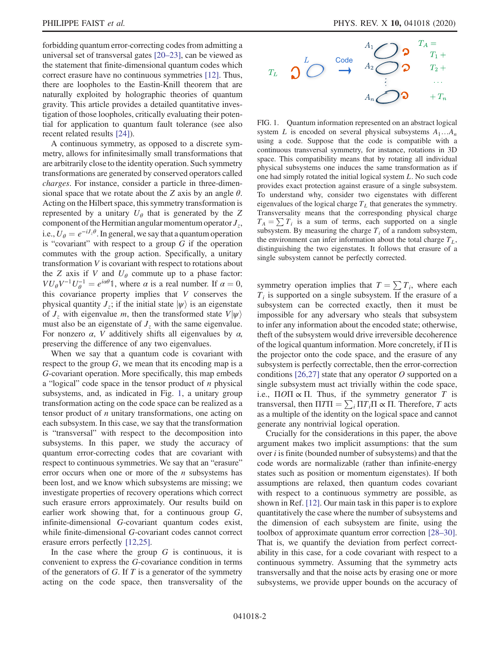forbidding quantum error-correcting codes from admitting a universal set of transversal gates [20–[23\],](#page-28-3) can be viewed as the statement that finite-dimensional quantum codes which correct erasure have no continuous symmetries [\[12\]](#page-28-1). Thus, there are loopholes to the Eastin-Knill theorem that are naturally exploited by holographic theories of quantum gravity. This article provides a detailed quantitative investigation of those loopholes, critically evaluating their potential for application to quantum fault tolerance (see also recent related results [\[24\]\)](#page-28-4).

A continuous symmetry, as opposed to a discrete symmetry, allows for infinitesimally small transformations that are arbitrarily close to the identity operation. Such symmetry transformations are generated by conserved operators called charges. For instance, consider a particle in three-dimensional space that we rotate about the Z axis by an angle  $\theta$ . Acting on the Hilbert space, this symmetry transformation is represented by a unitary  $U_{\theta}$  that is generated by the Z component of the Hermitian angular momentum operator  $J_z$ , i.e.,  $U_{\theta} = e^{-iJ_z\theta}$ . In general, we say that a quantum operation is "covariant" with respect to a group  $G$  if the operation commutes with the group action. Specifically, a unitary transformation V is covariant with respect to rotations about the Z axis if V and  $U_\theta$  commute up to a phase factor:  $V U_{\theta} V^{-1} U_{\theta}^{-1} = e^{i\alpha\theta} \mathbb{1}$ , where  $\alpha$  is a real number. If  $\alpha = 0$ , this covariance property implies that V conserves the this covariance property implies that V conserves the physical quantity  $J_z$ ; if the initial state  $|\psi\rangle$  is an eigenstate of  $J_z$  with eigenvalue m, then the transformed state  $V|\psi\rangle$ must also be an eigenstate of  $J<sub>z</sub>$  with the same eigenvalue. For nonzero  $\alpha$ , V additively shifts all eigenvalues by  $\alpha$ , preserving the difference of any two eigenvalues.

When we say that a quantum code is covariant with respect to the group  $G$ , we mean that its encoding map is a G-covariant operation. More specifically, this map embeds a "logical" code space in the tensor product of  $n$  physical subsystems, and, as indicated in Fig. [1,](#page-1-0) a unitary group transformation acting on the code space can be realized as a tensor product of n unitary transformations, one acting on each subsystem. In this case, we say that the transformation is "transversal" with respect to the decomposition into subsystems. In this paper, we study the accuracy of quantum error-correcting codes that are covariant with respect to continuous symmetries. We say that an "erasure" error occurs when one or more of the  $n$  subsystems has been lost, and we know which subsystems are missing; we investigate properties of recovery operations which correct such erasure errors approximately. Our results build on earlier work showing that, for a continuous group  $G$ , infinite-dimensional G-covariant quantum codes exist, while finite-dimensional G-covariant codes cannot correct erasure errors perfectly [\[12,25\].](#page-28-1)

In the case where the group  $G$  is continuous, it is convenient to express the G-covariance condition in terms of the generators of  $G$ . If  $T$  is a generator of the symmetry acting on the code space, then transversality of the

<span id="page-1-0"></span>

FIG. 1. Quantum information represented on an abstract logical system L is encoded on several physical subsystems  $A_1...A_n$ using a code. Suppose that the code is compatible with a continuous transversal symmetry, for instance, rotations in 3D space. This compatibility means that by rotating all individual physical subsystems one induces the same transformation as if one had simply rotated the initial logical system L. No such code provides exact protection against erasure of a single subsystem. To understand why, consider two eigenstates with different eigenvalues of the logical charge  $T<sub>L</sub>$  that generates the symmetry. Transversality means that the corresponding physical charge  $T_A = \sum T_i$  is a sum of terms, each supported on a single subsystem. By measuring the charge  $T_i$  of a random subsystem, the environment can infer information about the total charge  $T_L$ , distinguishing the two eigenstates. It follows that erasure of a single subsystem cannot be perfectly corrected.

symmetry operation implies that  $T = \sum T_i$ , where each  $T_i$  is supported on a single subsystem. If the erasure of a subsystem can be corrected exactly, then it must be impossible for any adversary who steals that subsystem to infer any information about the encoded state; otherwise, theft of the subsystem would drive irreversible decoherence of the logical quantum information. More concretely, if  $\Pi$  is the projector onto the code space, and the erasure of any subsystem is perfectly correctable, then the error-correction conditions  $[26,27]$  state that any operator O supported on a single subsystem must act trivially within the code space, i.e.,  $\Pi$ O $\Pi$   $\propto$   $\Pi$ . Thus, if the symmetry generator T is transversal, then  $\Pi T\Pi = \sum_i \Pi T_i \Pi \propto \Pi$ . Therefore, T acts as a multiple of the identity on the logical space and cannot generate any nontrivial logical operation.

Crucially for the considerations in this paper, the above argument makes two implicit assumptions: that the sum over  $i$  is finite (bounded number of subsystems) and that the code words are normalizable (rather than infinite-energy states such as position or momentum eigenstates). If both assumptions are relaxed, then quantum codes covariant with respect to a continuous symmetry are possible, as shown in Ref. [\[12\].](#page-28-1) Our main task in this paper is to explore quantitatively the case where the number of subsystems and the dimension of each subsystem are finite, using the toolbox of approximate quantum error correction [\[28](#page-28-6)–30]. That is, we quantify the deviation from perfect correctability in this case, for a code covariant with respect to a continuous symmetry. Assuming that the symmetry acts transversally and that the noise acts by erasing one or more subsystems, we provide upper bounds on the accuracy of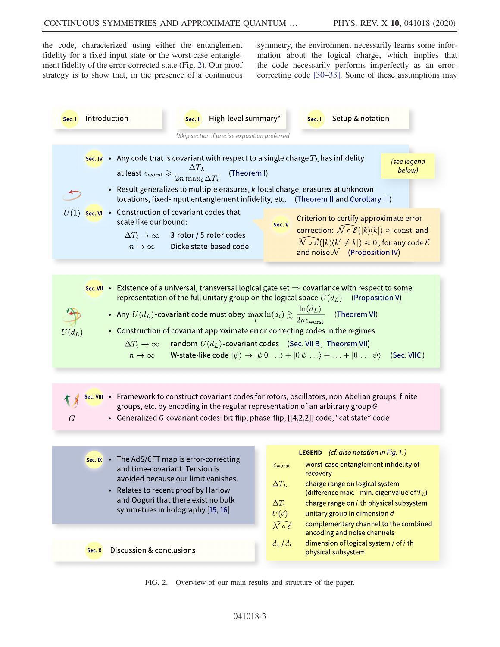the code, characterized using either the entanglement fidelity for a fixed input state or the worst-case entanglement fidelity of the error-corrected state (Fig. [2](#page-2-0)). Our proof strategy is to show that, in the presence of a continuous

symmetry, the environment necessarily learns some information about the logical charge, which implies that the code necessarily performs imperfectly as an errorcorrecting code [30–[33\].](#page-28-7) Some of these assumptions may

<span id="page-2-0"></span>



FIG. 2. Overview of our main results and structure of the paper.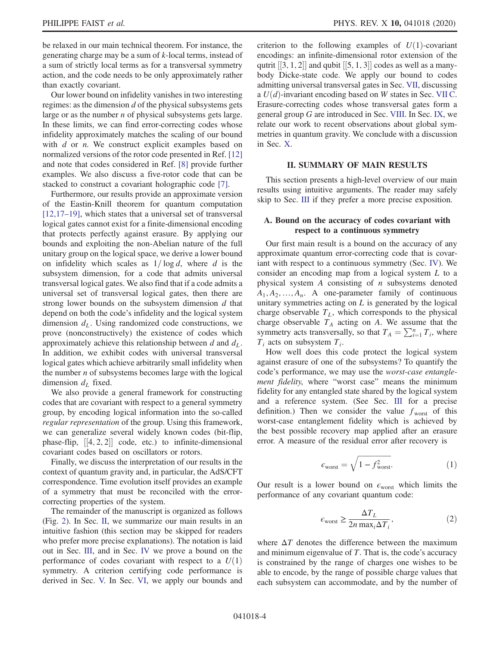be relaxed in our main technical theorem. For instance, the generating charge may be a sum of k-local terms, instead of a sum of strictly local terms as for a transversal symmetry action, and the code needs to be only approximately rather than exactly covariant.

Our lower bound on infidelity vanishes in two interesting regimes: as the dimension  $d$  of the physical subsystems gets large or as the number  $n$  of physical subsystems gets large. In these limits, we can find error-correcting codes whose infidelity approximately matches the scaling of our bound with  $d$  or  $n$ . We construct explicit examples based on normalized versions of the rotor code presented in Ref. [\[12\]](#page-28-1) and note that codes considered in Ref. [\[8\]](#page-27-3) provide further examples. We also discuss a five-rotor code that can be stacked to construct a covariant holographic code [\[7\].](#page-27-4)

Furthermore, our results provide an approximate version of the Eastin-Knill theorem for quantum computation [\[12,17](#page-28-1)–19], which states that a universal set of transversal logical gates cannot exist for a finite-dimensional encoding that protects perfectly against erasure. By applying our bounds and exploiting the non-Abelian nature of the full unitary group on the logical space, we derive a lower bound on infidelity which scales as  $1/\log d$ , where d is the subsystem dimension, for a code that admits universal transversal logical gates. We also find that if a code admits a universal set of transversal logical gates, then there are strong lower bounds on the subsystem dimension d that depend on both the code's infidelity and the logical system dimension  $d_L$ . Using randomized code constructions, we prove (nonconstructively) the existence of codes which approximately achieve this relationship between d and  $d_L$ . In addition, we exhibit codes with universal transversal logical gates which achieve arbitrarily small infidelity when the number  $n$  of subsystems becomes large with the logical dimension  $d_L$  fixed.

We also provide a general framework for constructing codes that are covariant with respect to a general symmetry group, by encoding logical information into the so-called regular representation of the group. Using this framework, we can generalize several widely known codes (bit-flip, phase-flip,  $[[4, 2, 2]]$  code, etc.) to infinite-dimensional covariant codes based on oscillators or rotors -covariant codes based on oscillators or rotors.

Finally, we discuss the interpretation of our results in the context of quantum gravity and, in particular, the AdS/CFT correspondence. Time evolution itself provides an example of a symmetry that must be reconciled with the errorcorrecting properties of the system.

The remainder of the manuscript is organized as follows (Fig. [2\)](#page-2-0). In Sec. [II](#page-3-0), we summarize our main results in an intuitive fashion (this section may be skipped for readers who prefer more precise explanations). The notation is laid out in Sec. [III](#page-5-0), and in Sec. [IV](#page-8-0) we prove a bound on the performance of codes covariant with respect to a  $U(1)$ symmetry. A criterion certifying code performance is derived in Sec. [V.](#page-10-0) In Sec. [VI](#page-11-0), we apply our bounds and criterion to the following examples of  $U(1)$ -covariant encodings: an infinite-dimensional rotor extension of the qutrit  $[[3, 1, 2]]$  and qubit  $[[5, 1, 3]]$  codes as well as a many-<br>hody. Dicke-state, code. We apply our bound to codes here they be spent that the code. We apply our bound to codes admitting universal transversal gates in Sec. [VII,](#page-15-0) discussing a  $U(d)$ -invariant encoding based on W states in Sec. [VII C](#page-18-0). Erasure-correcting codes whose transversal gates form a general group G are introduced in Sec. [VIII](#page-18-1). In Sec. [IX,](#page-21-0) we relate our work to recent observations about global symmetries in quantum gravity. We conclude with a discussion in Sec. [X.](#page-25-0)

# II. SUMMARY OF MAIN RESULTS

<span id="page-3-0"></span>This section presents a high-level overview of our main results using intuitive arguments. The reader may safely skip to Sec. [III](#page-5-0) if they prefer a more precise exposition.

# A. Bound on the accuracy of codes covariant with respect to a continuous symmetry

Our first main result is a bound on the accuracy of any approximate quantum error-correcting code that is covariant with respect to a continuous symmetry (Sec. [IV\)](#page-8-0). We consider an encoding map from a logical system L to a physical system  $A$  consisting of  $n$  subsystems denoted  $A_1, A_2, \ldots, A_n$ . A one-parameter family of continuous unitary symmetries acting on  $L$  is generated by the logical charge observable  $T<sub>L</sub>$ , which corresponds to the physical charge observable  $T_A$  acting on A. We assume that the charge observable  $T_A$  acting on A. We assume that the symmetry acts transversally, so that  $T_A = \sum_{i=1}^n T_i$ , where  $T_A$  acts on subsystem  $T_A$ .  $T_i$  acts on subsystem  $T_i$ .

How well does this code protect the logical system against erasure of one of the subsystems? To quantify the code's performance, we may use the worst-case entanglement fidelity, where "worst case" means the minimum fidelity for any entangled state shared by the logical system and a reference system. (See Sec. [III](#page-5-0) for a precise definition.) Then we consider the value  $f_{\text{worst}}$  of this worst-case entanglement fidelity which is achieved by the best possible recovery map applied after an erasure error. A measure of the residual error after recovery is

$$
\epsilon_{\text{worst}} = \sqrt{1 - f_{\text{worst}}^2}.
$$
\n(1)

<span id="page-3-1"></span>Our result is a lower bound on  $\epsilon_{\text{worst}}$  which limits the performance of any covariant quantum code:

$$
\epsilon_{\text{worst}} \ge \frac{\Delta T_L}{2n \max_i \Delta T_i},\tag{2}
$$

where  $\Delta T$  denotes the difference between the maximum and minimum eigenvalue of  $T$ . That is, the code's accuracy is constrained by the range of charges one wishes to be able to encode, by the range of possible charge values that each subsystem can accommodate, and by the number of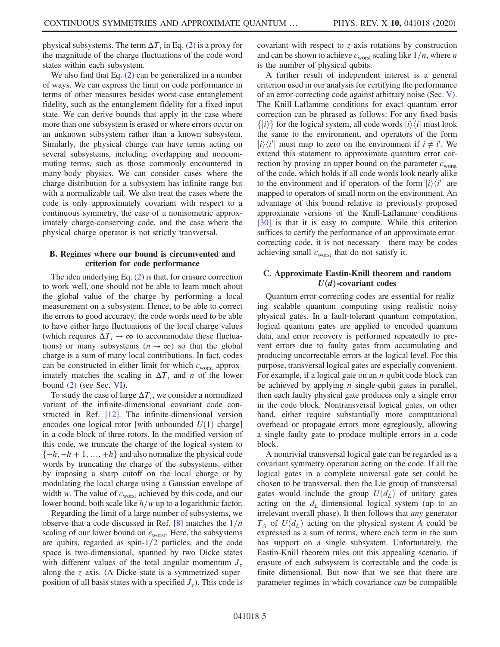physical subsystems. The term  $\Delta T_i$  in Eq. [\(2\)](#page-3-1) is a proxy for the magnitude of the charge fluctuations of the code word states within each subsystem.

We also find that Eq. [\(2\)](#page-3-1) can be generalized in a number of ways. We can express the limit on code performance in terms of other measures besides worst-case entanglement fidelity, such as the entanglement fidelity for a fixed input state. We can derive bounds that apply in the case where more than one subsystem is erased or where errors occur on an unknown subsystem rather than a known subsystem. Similarly, the physical charge can have terms acting on several subsystems, including overlapping and noncommuting terms, such as those commonly encountered in many-body physics. We can consider cases where the charge distribution for a subsystem has infinite range but with a normalizable tail. We also treat the cases where the code is only approximately covariant with respect to a continuous symmetry, the case of a nonisometric approximately charge-conserving code, and the case where the physical charge operator is not strictly transversal.

# B. Regimes where our bound is circumvented and criterion for code performance

The idea underlying Eq. [\(2\)](#page-3-1) is that, for erasure correction to work well, one should not be able to learn much about the global value of the charge by performing a local measurement on a subsystem. Hence, to be able to correct the errors to good accuracy, the code words need to be able to have either large fluctuations of the local charge values (which requires  $\Delta T_i \rightarrow \infty$  to accommodate these fluctuations) or many subsystems  $(n \rightarrow \infty)$  so that the global charge is a sum of many local contributions. In fact, codes can be constructed in either limit for which  $\epsilon_{\text{worst}}$  approximately matches the scaling in  $\Delta T_i$  and n of the lower bound [\(2\)](#page-3-1) (see Sec. [VI](#page-11-0)).

To study the case of large  $\Delta T_i$ , we consider a normalized variant of the infinite-dimensional covariant code constructed in Ref. [\[12\].](#page-28-1) The infinite-dimensional version encodes one logical rotor [with unbounded  $U(1)$  charge] in a code block of three rotors. In the modified version of this code, we truncate the charge of the logical system to  $\{-h, -h + 1, \ldots, +h\}$  and also normalize the physical code words by truncating the charge of the subsystems, either by imposing a sharp cutoff on the local charge or by modulating the local charge using a Gaussian envelope of width w. The value of  $\epsilon_{\text{worst}}$  achieved by this code, and our lower bound, both scale like  $h/w$  up to a logarithmic factor.

Regarding the limit of a large number of subsystems, we observe that a code discussed in Ref. [\[8\]](#page-27-3) matches the  $1/n$ scaling of our lower bound on  $\epsilon_{\text{worst}}$ . Here, the subsystems are qubits, regarded as spin- $1/2$  particles, and the code space is two-dimensional, spanned by two Dicke states with different values of the total angular momentum  $J<sub>z</sub>$ along the z axis. (A Dicke state is a symmetrized superposition of all basis states with a specified  $J_z$ ). This code is covariant with respect to z-axis rotations by construction and can be shown to achieve  $\epsilon_{\text{worst}}$  scaling like  $1/n$ , where n is the number of physical qubits.

A further result of independent interest is a general criterion used in our analysis for certifying the performance of an error-correcting code against arbitrary noise (Sec. [V](#page-10-0)). The Knill-Laflamme conditions for exact quantum error correction can be phrased as follows: For any fixed basis  $\{|i\rangle\}$  for the logical system, all code words  $|i\rangle\langle i|$  must look the same to the environment, and operators of the form  $|i\rangle\langle i'|$  must map to zero on the environment if  $i \neq i'$ . We extend this statement to approximate quantum error corextend this statement to approximate quantum error correction by proving an upper bound on the parameter  $\epsilon_{\text{worst}}$ of the code, which holds if all code words look nearly alike to the environment and if operators of the form  $|i\rangle\langle i'|$  are<br>manned to operators of small norm on the environment. An mapped to operators of small norm on the environment. An advantage of this bound relative to previously proposed approximate versions of the Knill-Laflamme conditions [\[30\]](#page-28-7) is that it is easy to compute. While this criterion suffices to certify the performance of an approximate errorcorrecting code, it is not necessary—there may be codes achieving small  $\epsilon_{\text{worst}}$  that do not satisfy it.

# C. Approximate Eastin-Knill theorem and random  $U(d)$ -covariant codes

Quantum error-correcting codes are essential for realizing scalable quantum computing using realistic noisy physical gates. In a fault-tolerant quantum computation, logical quantum gates are applied to encoded quantum data, and error recovery is performed repeatedly to prevent errors due to faulty gates from accumulating and producing uncorrectable errors at the logical level. For this purpose, transversal logical gates are especially convenient. For example, if a logical gate on an  $n$ -qubit code block can be achieved by applying  $n$  single-qubit gates in parallel, then each faulty physical gate produces only a single error in the code block. Nontransversal logical gates, on other hand, either require substantially more computational overhead or propagate errors more egregiously, allowing a single faulty gate to produce multiple errors in a code block.

A nontrivial transversal logical gate can be regarded as a covariant symmetry operation acting on the code. If all the logical gates in a complete universal gate set could be chosen to be transversal, then the Lie group of transversal gates would include the group  $U(d_L)$  of unitary gates acting on the  $d<sub>L</sub>$ -dimensional logical system (up to an irrelevant overall phase). It then follows that any generator  $T_A$  of  $U(d_L)$  acting on the physical system A could be expressed as a sum of terms, where each term in the sum has support on a single subsystem. Unfortunately, the Eastin-Knill theorem rules out this appealing scenario, if erasure of each subsystem is correctable and the code is finite dimensional. But now that we see that there are parameter regimes in which covariance can be compatible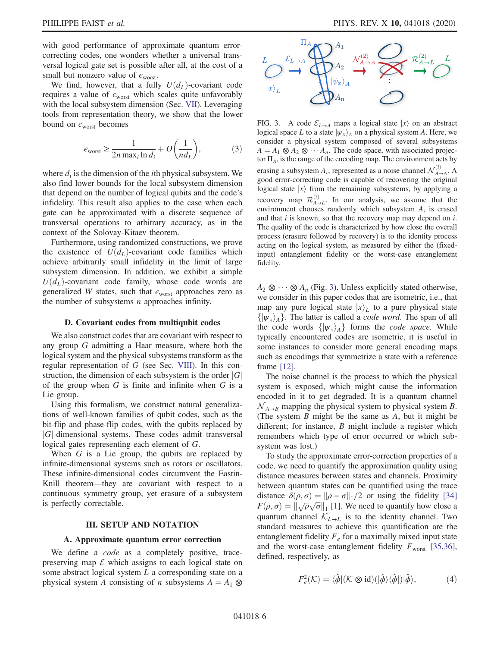with good performance of approximate quantum errorcorrecting codes, one wonders whether a universal transversal logical gate set is possible after all, at the cost of a small but nonzero value of  $\epsilon_{\text{worst}}$ .

We find, however, that a fully  $U(d_L)$ -covariant code requires a value of  $\epsilon_{\text{worst}}$  which scales quite unfavorably with the local subsystem dimension (Sec. [VII](#page-15-0)). Leveraging tools from representation theory, we show that the lower bound on  $\epsilon_{\text{worst}}$  becomes

$$
\epsilon_{\text{worst}} \ge \frac{1}{2n \max_{i} \ln d_i} + O\left(\frac{1}{n d_L}\right),\tag{3}
$$

where  $d_i$  is the dimension of the *i*th physical subsystem. We also find lower bounds for the local subsystem dimension that depend on the number of logical qubits and the code's infidelity. This result also applies to the case when each gate can be approximated with a discrete sequence of transversal operations to arbitrary accuracy, as in the context of the Solovay-Kitaev theorem.

Furthermore, using randomized constructions, we prove the existence of  $U(d_L)$ -covariant code families which achieve arbitrarily small infidelity in the limit of large subsystem dimension. In addition, we exhibit a simple  $U(d_L)$ -covariant code family, whose code words are generalized W states, such that  $\epsilon_{\text{worst}}$  approaches zero as the number of subsystems  $n$  approaches infinity.

#### D. Covariant codes from multiqubit codes

We also construct codes that are covariant with respect to any group G admitting a Haar measure, where both the logical system and the physical subsystems transform as the regular representation of G (see Sec. [VIII](#page-18-1)). In this construction, the dimension of each subsystem is the order  $|G|$ of the group when  $G$  is finite and infinite when  $G$  is a Lie group.

Using this formalism, we construct natural generalizations of well-known families of qubit codes, such as the bit-flip and phase-flip codes, with the qubits replaced by  $|G|$ -dimensional systems. These codes admit transversal logical gates representing each element of G.

When  $G$  is a Lie group, the qubits are replaced by infinite-dimensional systems such as rotors or oscillators. These infinite-dimensional codes circumvent the Eastin-Knill theorem—they are covariant with respect to a continuous symmetry group, yet erasure of a subsystem is perfectly correctable.

## III. SETUP AND NOTATION

### <span id="page-5-0"></span>A. Approximate quantum error correction

We define a *code* as a completely positive, tracepreserving map  $\mathcal E$  which assigns to each logical state on some abstract logical system L a corresponding state on a physical system A consisting of n subsystems  $A = A_1 \otimes$ 

<span id="page-5-1"></span>

FIG. 3. A code  $\mathcal{E}_{L\rightarrow A}$  maps a logical state  $|x\rangle$  on an abstract logical space L to a state  $|\psi_x\rangle_A$  on a physical system A. Here, we consider a physical system composed of several subsystems  $A = A_1 \otimes A_2 \otimes \cdots A_n$ . The code space, with associated projector  $\Pi_A$ , is the range of the encoding map. The environment acts by erasing a subsystem  $A_i$ , represented as a noise channel  $\mathcal{N}_{A\rightarrow A}^{(i)}$ . A good error-correcting code is capable of recovering the original logical state  $|x\rangle$  from the remaining subsystems, by applying a recovery map  $\mathcal{R}_{A\to L}^{(i)}$ . In our analysis, we assume that the environment chooses randomly which subsystem  $A_i$  is erased and that  $i$  is known, so that the recovery map may depend on  $i$ . The quality of the code is characterized by how close the overall process (erasure followed by recovery) is to the identity process acting on the logical system, as measured by either the (fixedinput) entanglement fidelity or the worst-case entanglement fidelity.

 $A_2 \otimes \cdots \otimes A_n$  (Fig. [3\)](#page-5-1). Unless explicitly stated otherwise, we consider in this paper codes that are isometric, i.e., that map any pure logical state  $|x\rangle_L$  to a pure physical state  $\{|\psi_x\rangle_A\}$ . The latter is called a *code word*. The span of all the code words  $\{|\psi_x\rangle_A\}$  forms the *code space*. While typically encountered codes are isometric, it is useful in some instances to consider more general encoding maps such as encodings that symmetrize a state with a reference frame [\[12\].](#page-28-1)

The noise channel is the process to which the physical system is exposed, which might cause the information encoded in it to get degraded. It is a quantum channel  $\mathcal{N}_{A\rightarrow B}$  mapping the physical system to physical system B. (The system  $B$  might be the same as  $A$ , but it might be different; for instance, *B* might include a register which remembers which type of error occurred or which subsystem was lost.)

To study the approximate error-correction properties of a code, we need to quantify the approximation quality using distance measures between states and channels. Proximity between quantum states can be quantified using the trace distance  $\delta(\rho, \sigma) = ||\rho - \sigma||_1/2$  or using the fidelity [\[34\]](#page-28-8) distance  $\partial(\rho, \sigma) = ||\rho - \sigma||_1/2$  or using the fidelity [34]<br>  $F(\rho, \sigma) = ||\sqrt{\rho}\sqrt{\sigma}||_1$  [\[1\]](#page-27-0). We need to quantify how close a<br>
guantum channel K is to the identity channel Two quantum channel  $\mathcal{K}_{L\to L}$  is to the identity channel. Two standard measures to achieve this quantification are the entanglement fidelity  $F<sub>e</sub>$  for a maximally mixed input state and the worst-case entanglement fidelity  $F_{\text{worst}}$  [\[35,36\]](#page-28-9), defined, respectively, as

$$
F_e^2(\mathcal{K}) = \langle \hat{\phi} | (\mathcal{K} \otimes \mathrm{id}) (|\hat{\phi}\rangle \langle \hat{\phi} |) |\hat{\phi}\rangle, \tag{4}
$$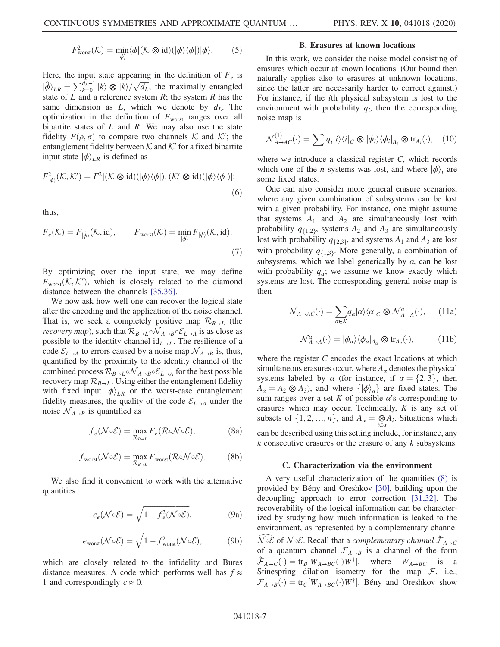$$
F_{\text{worst}}^2(\mathcal{K}) = \min_{|\phi\rangle} \langle \phi | (\mathcal{K} \otimes \text{id})(|\phi\rangle \langle \phi|) | \phi \rangle. \tag{5}
$$

Here, the input state appearing in the definition of  $F_e$  is Here, the input state appearing in the definition of  $F_e$  is<br> $|\hat{\phi}\rangle_{LR} = \sum_{k=0}^{d_L-1} |k\rangle \otimes |k\rangle / \sqrt{d_L}$ , the maximally entangled<br>state of L and a reference system R; the system R has the state of  $L$  and a reference system  $R$ ; the system  $R$  has the same dimension as L, which we denote by  $d_L$ . The optimization in the definition of  $F_{\text{worst}}$  ranges over all bipartite states of  $L$  and  $R$ . We may also use the state fidelity  $F(\rho, \sigma)$  to compare two channels K and K'; the entanglement fidelity between K and K' for a fixed binartite entanglement fidelity between  $K$  and  $K'$  for a fixed bipartite input state  $|\phi\rangle_{LR}$  is defined as

$$
F_{|\phi\rangle}^2(\mathcal{K}, \mathcal{K}') = F^2[(\mathcal{K} \otimes id)(|\phi\rangle\langle\phi|), (\mathcal{K}' \otimes id)(|\phi\rangle\langle\phi|)];
$$
\n(6)

thus,

$$
F_e(\mathcal{K}) = F_{|\hat{\phi}\rangle}(\mathcal{K}, \text{id}), \qquad F_{\text{worst}}(\mathcal{K}) = \min_{|\phi\rangle} F_{|\phi\rangle}(\mathcal{K}, \text{id}).
$$
\n(7)

By optimizing over the input state, we may define  $F_{\text{worst}}(\mathcal{K}, \mathcal{K}')$ , which is closely related to the diamond distance between the channels [35, 36] distance between the channels [\[35,36\].](#page-28-9)

We now ask how well one can recover the logical state after the encoding and the application of the noise channel. That is, we seek a completely positive map  $\mathcal{R}_{B\rightarrow L}$  (the *recovery map*), such that  $\mathcal{R}_{B\to L} \circ \mathcal{N}_{A\to B} \circ \mathcal{E}_{L\to A}$  is as close as possible to the identity channel  $id_{L\rightarrow L}$ . The resilience of a code  $\mathcal{E}_{L\rightarrow A}$  to errors caused by a noise map  $\mathcal{N}_{A\rightarrow B}$  is, thus, quantified by the proximity to the identity channel of the combined process  $\mathcal{R}_{B\to L} \circ \mathcal{N}_{A\to B} \circ \mathcal{E}_{L\to A}$  for the best possible recovery map  $\mathcal{R}_{B\to L}$ . Using either the entanglement fidelity with fixed input  $|\phi\rangle_{LR}$  or the worst-case entanglement fidelity measures, the quality of the code  $\mathcal{E}_{L\rightarrow A}$  under the noise  $\mathcal{N}_{A\rightarrow B}$  is quantified as

<span id="page-6-0"></span>
$$
f_e(\mathcal{N} \circ \mathcal{E}) = \max_{\mathcal{R}_{B \to L}} F_e(\mathcal{R} \circ \mathcal{N} \circ \mathcal{E}), \tag{8a}
$$

$$
f_{\text{worst}}(\mathcal{N} \circ \mathcal{E}) = \max_{\mathcal{R}_{B \to L}} F_{\text{worst}}(\mathcal{R} \circ \mathcal{N} \circ \mathcal{E}). \tag{8b}
$$

<span id="page-6-3"></span>We also find it convenient to work with the alternative quantities

$$
\epsilon_e(\mathcal{N}\circ\mathcal{E}) = \sqrt{1 - f_e^2(\mathcal{N}\circ\mathcal{E})},\tag{9a}
$$

$$
\epsilon_{\text{worst}}(\mathcal{N}\circ\mathcal{E}) = \sqrt{1 - f_{\text{worst}}^2(\mathcal{N}\circ\mathcal{E})},\tag{9b}
$$

which are closely related to the infidelity and Bures distance measures. A code which performs well has  $f \approx$ 1 and correspondingly  $\epsilon \approx 0$ .

#### B. Erasures at known locations

In this work, we consider the noise model consisting of erasures which occur at known locations. (Our bound then naturally applies also to erasures at unknown locations, since the latter are necessarily harder to correct against.) For instance, if the ith physical subsystem is lost to the environment with probability  $q_i$ , then the corresponding noise map is

<span id="page-6-1"></span>
$$
\mathcal{N}_{A\to AC}^{(1)}(\cdot) = \sum q_i|i\rangle\langle i|_C \otimes |\phi_i\rangle\langle\phi_i|_{A_i} \otimes \text{tr}_{A_i}(\cdot), \quad (10)
$$

where we introduce a classical register C, which records which one of the *n* systems was lost, and where  $|\phi\rangle$ <sub>i</sub> are some fixed states.

One can also consider more general erasure scenarios, where any given combination of subsystems can be lost with a given probability. For instance, one might assume that systems  $A_1$  and  $A_2$  are simultaneously lost with probability  $q_{\{1,2\}}$ , systems  $A_2$  and  $A_3$  are simultaneously lost with probability  $q_{\{2,3\}}$ , and systems  $A_1$  and  $A_3$  are lost with probability  $q_{\{1,3\}}$ . More generally, a combination of subsystems, which we label generically by  $\alpha$ , can be lost with probability  $q_{\alpha}$ ; we assume we know exactly which systems are lost. The corresponding general noise map is then

<span id="page-6-2"></span>
$$
\mathcal{N}_{A \to AC}(\cdot) = \sum_{\alpha \in K} q_{\alpha} |\alpha\rangle \langle \alpha|_{C} \otimes \mathcal{N}_{A \to A}^{\alpha}(\cdot), \quad (11a)
$$

$$
\mathcal{N}_{A\to A}^{\alpha}(\cdot) = |\phi_{\alpha}\rangle \langle \phi_{\alpha}|_{A_{\alpha}} \otimes \text{tr}_{A_{\alpha}}(\cdot), \quad (11b)
$$

where the register  $C$  encodes the exact locations at which simultaneous erasures occur, where  $A_{\alpha}$  denotes the physical systems labeled by  $\alpha$  (for instance, if  $\alpha = \{2, 3\}$ , then  $A_{\alpha} = A_2 \otimes A_3$ , and where  $\{|\phi\rangle_{\alpha}\}$  are fixed states. The sum ranges over a set K of possible  $\alpha$ 's corresponding to erasures which may occur. Technically,  $K$  is any set of subsets of  $\{1, 2, ..., n\}$ , and  $A_{\alpha} = \bigotimes_{i \in \alpha} A_i$ . Situations which can be described using this setting include, for instance, any k consecutive erasures or the erasure of any k subsystems.

#### C. Characterization via the environment

A very useful characterization of the quantities [\(8\)](#page-6-0) is provided by Bény and Oreshkov [\[30\]](#page-28-7), building upon the decoupling approach to error correction [\[31,32\]](#page-28-10). The recoverability of the logical information can be characterized by studying how much information is leaked to the environment, as represented by a complementary channel  $\widehat{\mathcal{N}\circ\mathcal{E}}$  of  $\mathcal{N}\circ\mathcal{E}$ . Recall that a *complementary channel*  $\hat{\mathcal{F}}_{A\to C}$ of a quantum channel  $\mathcal{F}_{A\rightarrow B}$  is a channel of the form  $\hat{\mathcal{F}}_{A\to C}(\cdot) = \text{tr}_B[W_{A\to BC}(\cdot)W^{\dagger}],$  where  $W_{A\to BC}$  is a Stinespring dilation isometry for the man  $\mathcal{F}$  i.e. Stinespring dilation isometry for the map  $F$ , i.e.,  $\mathcal{F}_{A\to B}(\cdot) = \text{tr}_C[W_{A\to BC}(\cdot)W^{\dagger}]$ . Bény and Oreshkov show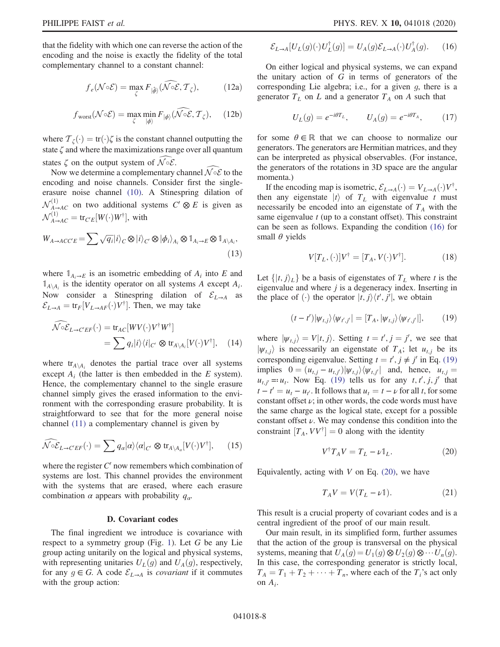<span id="page-7-4"></span>that the fidelity with which one can reverse the action of the encoding and the noise is exactly the fidelity of the total complementary channel to a constant channel:

$$
f_e(\mathcal{N} \circ \mathcal{E}) = \max_{\zeta} F_{|\hat{\phi}\rangle}(\widehat{\mathcal{N} \circ \mathcal{E}}, \mathcal{T}_{\zeta}), \tag{12a}
$$

$$
f_{\text{worst}}(\mathcal{N}\circ\mathcal{E}) = \max_{\zeta} \min_{|\phi\rangle} F_{|\phi\rangle}(\widehat{\mathcal{N}\circ\mathcal{E}}, \mathcal{T}_{\zeta}), \quad (12b)
$$

where  $\mathcal{T}_{\zeta}(\cdot) = \text{tr}(\cdot)\zeta$  is the constant channel outputting the state  $\zeta$  and where the maximizations range over all quantum states  $\zeta$  on the output system of  $\widehat{\mathcal{N}\circ\mathcal{E}}$ .

Now we determine a complementary channel  $\widehat{N} \circ \mathcal{E}$  to the encoding and noise channels. Consider first the singleerasure noise channel [\(10\)](#page-6-1). A Stinespring dilation of  $\mathcal{N}_{A\to AC}^{(1)}$  on two additional systems  $C' \otimes E$  is given as  $\mathcal{N}_{A\to AC}^{(1)} = \text{tr}_{C'E}[W(\cdot)W^{\dagger}],$  with

$$
W_{A\to ACC'E} = \sum \sqrt{q_i} |i\rangle_C \otimes |i\rangle_{C'} \otimes |\phi_i\rangle_{A_i} \otimes \mathbb{1}_{A_i\to E} \otimes \mathbb{1}_{A\setminus A_i},
$$
\n(13)

<span id="page-7-3"></span>where  $1_{A_i\to E}$  is an isometric embedding of  $A_i$  into E and  $\mathbb{1}_{A\setminus A_i}$  is the identity operator on all systems A except  $A_i$ . Now consider a Stinespring dilation of  $\mathcal{E}_{L\rightarrow A}$  as  $\mathcal{E}_{L\to A} = \text{tr}_F[V_{L\to AF}(\cdot)V^{\dagger}]$ . Then, we may take

$$
\widehat{\mathcal{N}\circ\mathcal{E}}_{L\to C'EF}(\cdot) = \text{tr}_{AC}[WV(\cdot)V^{\dagger}W^{\dagger}]
$$
  
= 
$$
\sum q_i|i\rangle\langle i|_{C'} \otimes \text{tr}_{A\setminus A_i}[V(\cdot)V^{\dagger}], \quad (14)
$$

where  $tr_{A\setminus A_i}$  denotes the partial trace over all systems except  $A_i$  (the latter is then embedded in the  $E$  system). Hence, the complementary channel to the single erasure channel simply gives the erased information to the environment with the corresponding erasure probability. It is straightforward to see that for the more general noise channel [\(11\)](#page-6-2) a complementary channel is given by

$$
\widehat{\mathcal{N}\circ\mathcal{E}}_{L\to C'EF}(\cdot) = \sum q_{\alpha} |\alpha\rangle \langle \alpha|_{C'} \otimes \text{tr}_{A\setminus A_{\alpha}}[V(\cdot)V^{\dagger}], \qquad (15)
$$

where the register  $C'$  now remembers which combination of systems are lost. This channel provides the environment with the systems that are erased, where each erasure combination  $\alpha$  appears with probability  $q_{\alpha}$ .

#### D. Covariant codes

<span id="page-7-0"></span>The final ingredient we introduce is covariance with respect to a symmetry group (Fig. [1](#page-1-0)). Let  $G$  be any Lie group acting unitarily on the logical and physical systems, with representing unitaries  $U_L(g)$  and  $U_A(g)$ , respectively, for any  $g \in G$ . A code  $\mathcal{E}_{L \to A}$  is *covariant* if it commutes with the group action:

$$
\mathcal{E}_{L \to A}[U_L(g)(\cdot)U_L^{\dagger}(g)] = U_A(g)\mathcal{E}_{L \to A}(\cdot)U_A^{\dagger}(g). \tag{16}
$$

On either logical and physical systems, we can expand the unitary action of  $G$  in terms of generators of the corresponding Lie algebra; i.e., for a given g, there is a generator  $T_L$  on L and a generator  $T_A$  on A such that

$$
U_L(g) = e^{-i\theta T_L}, \qquad U_A(g) = e^{-i\theta T_A}, \qquad (17)
$$

for some  $\theta \in \mathbb{R}$  that we can choose to normalize our generators. The generators are Hermitian matrices, and they can be interpreted as physical observables. (For instance, the generators of the rotations in 3D space are the angular momenta.)

If the encoding map is isometric,  $\mathcal{E}_{L\to A}(\cdot) = V_{L\to A}(\cdot)V^{\dagger}$ , then any eigenstate  $|t\rangle$  of  $T_L$  with eigenvalue t must necessarily be encoded into an eigenstate of  $T_A$  with the same eigenvalue  $t$  (up to a constant offset). This constraint can be seen as follows. Expanding the condition [\(16\)](#page-7-0) for small  $\theta$  yields

$$
V[T_L, (\cdot)]V^{\dagger} = [T_A, V(\cdot)V^{\dagger}]. \tag{18}
$$

<span id="page-7-1"></span>Let  $\{|t, j\rangle_L\}$  be a basis of eigenstates of  $T_L$  where t is the eigenvalue and where  $j$  is a degeneracy index. Inserting in the place of  $(\cdot)$  the operator  $\vert t, j \rangle \langle t', j' \vert$ , we obtain

$$
(t-t')|\psi_{t,j}\rangle\langle\psi_{t',j'}| = [T_A, |\psi_{t,j}\rangle\langle\psi_{t',j'}|],\qquad(19)
$$

where  $|\psi_{t,j}\rangle = V|t, j\rangle$ . Setting  $t = t', j = j'$ , we see that  $|\psi_{t,j}\rangle$  is necessarily an eigenstate of  $T$  ; let  $\mu$  be its  $|\psi_{t,j}\rangle$  is necessarily an eigenstate of  $T_A$ ; let  $u_{t,j}$  be its corresponding eigenvalue. Setting  $t = t', j \neq j'$  in Eq. [\(19\)](#page-7-1)<br>implies  $0 = (u_{t, j} - u_{t, j})|_{\mathcal{U}_{t, j}}/|u_{t, j}|$  and hence  $u_{t, j}$ implies  $0 = (u_{t,j} - u_{t,j'})|\psi_{t,j}\rangle\langle\psi_{t,j'}|$  and, hence,  $u_{t,j} =$  $u_{t,j'} = u_t$ . Now Eq. [\(19\)](#page-7-1) tells us for any  $t, t', j, j'$  that  $t - t' = u_t - u_{t'}$ . It follows that  $u_t = t - v$  for all t, for some constant offset v; in other words the code words must have constant offset  $\nu$ ; in other words, the code words must have the same charge as the logical state, except for a possible constant offset  $\nu$ . We may condense this condition into the constraint  $[T_A, VV^{\dagger}] = 0$  along with the identity

$$
V^{\dagger}T_A V = T_L - \nu \mathbb{1}_L. \tag{20}
$$

<span id="page-7-2"></span>Equivalently, acting with  $V$  on Eq. [\(20\),](#page-7-2) we have

$$
T_A V = V(T_L - \nu \mathbb{1}).\tag{21}
$$

This result is a crucial property of covariant codes and is a central ingredient of the proof of our main result.

Our main result, in its simplified form, further assumes that the action of the group is transversal on the physical systems, meaning that  $U_A(g) = U_1(g) \otimes U_2(g) \otimes \cdots U_n(g)$ . In this case, the corresponding generator is strictly local,  $T_A = T_1 + T_2 + \cdots + T_n$ , where each of the  $T_i$ 's act only on  $A_i$ .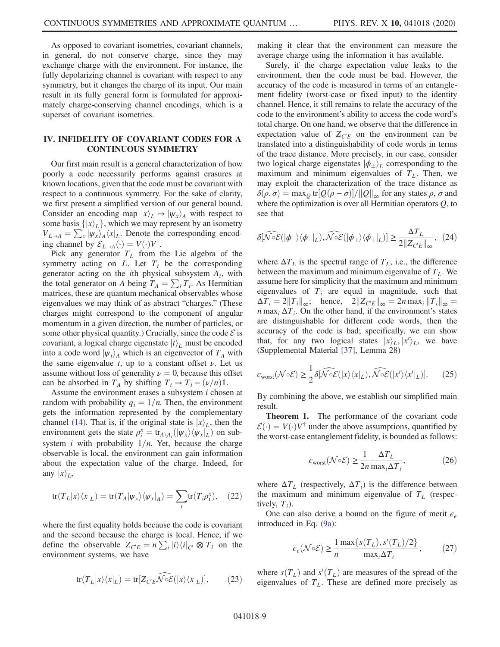As opposed to covariant isometries, covariant channels, in general, do not conserve charge, since they may exchange charge with the environment. For instance, the fully depolarizing channel is covariant with respect to any symmetry, but it changes the charge of its input. Our main result in its fully general form is formulated for approximately charge-conserving channel encodings, which is a superset of covariant isometries.

# <span id="page-8-0"></span>IV. INFIDELITY OF COVARIANT CODES FOR A CONTINUOUS SYMMETRY

Our first main result is a general characterization of how poorly a code necessarily performs against erasures at known locations, given that the code must be covariant with respect to a continuous symmetry. For the sake of clarity, we first present a simplified version of our general bound. Consider an encoding map  $|x\rangle_L \rightarrow |\psi_x\rangle_A$  with respect to some basis  $\{|x\rangle_L\}$ , which we may represent by an isometry  $V_{L\rightarrow A} = \sum_{x} |\psi_{x}\rangle_{A} \langle x|_{L}$ . Denote the corresponding encoding channel by  $\mathcal{E}_{L\to A}(\cdot) = V(\cdot)V^{\dagger}$ .<br>Pick any generator  $T_{\lambda}$  from 1

Pick any generator  $T_L$  from the Lie algebra of the symmetry acting on  $L$ . Let  $T_i$  be the corresponding generator acting on the *i*th physical subsystem  $A_i$ , with the total generator on A being  $T_A = \sum_i T_i$ . As Hermitian matrices, these are quantum mechanical observables whose eigenvalues we may think of as abstract "charges." (These charges might correspond to the component of angular momentum in a given direction, the number of particles, or some other physical quantity.) Crucially, since the code  $\mathcal E$  is covariant, a logical charge eigenstate  $|t\rangle_L$  must be encoded into a code word  $|\psi_t\rangle_A$  which is an eigenvector of  $T_A$  with the same eigenvalue  $t$ , up to a constant offset  $\nu$ . Let us assume without loss of generality  $\nu = 0$ , because this offset can be absorbed in  $T_A$  by shifting  $T_i \rightarrow T_i - (\nu/n) \mathbb{1}$ .

Assume the environment erases a subsystem i chosen at random with probability  $q_i = 1/n$ . Then, the environment gets the information represented by the complementary channel [\(14\).](#page-7-3) That is, if the original state is  $|x\rangle_L$ , then the environment gets the state  $\rho_i^x = \text{tr}_{A \setminus A_i}(|\psi_x\rangle \langle \psi_x|_L)$  on sub-<br>system i with probability  $1/n$ . Vet because the charge system *i* with probability  $1/n$ . Yet, because the charge observable is local, the environment can gain information about the expectation value of the charge. Indeed, for any  $|x\rangle_L$ ,

$$
\text{tr}(T_L|x\rangle\langle x|_L) = \text{tr}(T_A|\psi_x\rangle\langle\psi_x|_A) = \sum_i \text{tr}(T_i\rho_i^x), \quad (22)
$$

<span id="page-8-3"></span>where the first equality holds because the code is covariant and the second because the charge is local. Hence, if we define the observable  $Z_{C'E} = n \sum_i |i\rangle\langle i|_{C'} \otimes T_i$  on the environment systems we have environment systems, we have

$$
\text{tr}(T_L|x\rangle\langle x|_L) = \text{tr}[Z_{C'E}\widehat{\mathcal{N}\circ\mathcal{E}}(|x\rangle\langle x|_L)],\tag{23}
$$

making it clear that the environment can measure the average charge using the information it has available.

Surely, if the charge expectation value leaks to the environment, then the code must be bad. However, the accuracy of the code is measured in terms of an entanglement fidelity (worst-case or fixed input) to the identity channel. Hence, it still remains to relate the accuracy of the code to the environment's ability to access the code word's total charge. On one hand, we observe that the difference in expectation value of  $Z_{C'E}$  on the environment can be translated into a distinguishability of code words in terms of the trace distance. More precisely, in our case, consider two logical charge eigenstates  $|\phi_{\pm}\rangle_L$  corresponding to the maximum and minimum eigenvalues of  $T<sub>L</sub>$ . Then, we may exploit the characterization of the trace distance as  $\delta(\rho, \sigma) = \max_Q tr[Q(\rho - \sigma)] / ||Q||_{\infty}$  for any states  $\rho$ ,  $\sigma$  and where the optimization is over all Hermitian operators  $\Omega$  to where the optimization is over all Hermitian operators  $Q$ , to see that

$$
\delta[\widehat{\mathcal{N}\circ\mathcal{E}}(|\phi_{-}\rangle\langle\phi_{-}|_{L}), \widehat{\mathcal{N}\circ\mathcal{E}}(|\phi_{+}\rangle\langle\phi_{+}|_{L})] \ge \frac{\Delta T_{L}}{2||Z_{C'E}||_{\infty}}, \tag{24}
$$

where  $\Delta T_L$  is the spectral range of  $T_L$ , i.e., the difference between the maximum and minimum eigenvalue of  $T<sub>L</sub>$ . We assume here for simplicity that the maximum and minimum eigenvalues of  $T_i$  are equal in magnitude, such that  $\Delta T_i = 2||T_i||_{\infty};$  hence,  $2||Z_{C'E}||_{\infty} = 2n \max_i ||T_i||_{\infty} =$ <br>n max.  $\Delta T$ . On the other hand if the environment's states  $n \max_i \Delta T_i$ . On the other hand, if the environment's states are distinguishable for different code words, then the accuracy of the code is bad; specifically, we can show that, for any two logical states  $|x\rangle_L$ ,  $|x\rangle_L$ , we have (Supplemental Material [\[37\]](#page-28-11), Lemma 28)

$$
\epsilon_{\text{worst}}(\mathcal{N}\circ\mathcal{E}) \ge \frac{1}{2} \delta[\widehat{\mathcal{N}\circ\mathcal{E}}(|x\rangle\langle x|_L), \widehat{\mathcal{N}\circ\mathcal{E}}(|x'\rangle\langle x'|_L)]. \tag{25}
$$

By combining the above, we establish our simplified main result.

<span id="page-8-2"></span>Theorem 1. The performance of the covariant code  $\mathcal{E}(\cdot) = V(\cdot)V^{\dagger}$  under the above assumptions, quantified by the worst-case entanglement fidelity, is bounded as follows:

$$
\epsilon_{\text{worst}}(\mathcal{N}\circ\mathcal{E}) \ge \frac{1}{2n} \frac{\Delta T_L}{\max_i \Delta T_i},\tag{26}
$$

where  $\Delta T_L$  (respectively,  $\Delta T_i$ ) is the difference between the maximum and minimum eigenvalue of  $T_L$  (respectively,  $T_i$ ).

<span id="page-8-1"></span>One can also derive a bound on the figure of merit  $\epsilon_e$ introduced in Eq. [\(9a\)](#page-6-3):

$$
\epsilon_e(\mathcal{N} \circ \mathcal{E}) \ge \frac{1}{n} \frac{\max\{s(T_L), s'(T_L)/2\}}{\max_i \Delta T_i},\tag{27}
$$

where  $s(T_L)$  and  $s'(T_L)$  are measures of the spread of the ejectron values of T. These are defined more precisely as eigenvalues of  $T<sub>L</sub>$ . These are defined more precisely as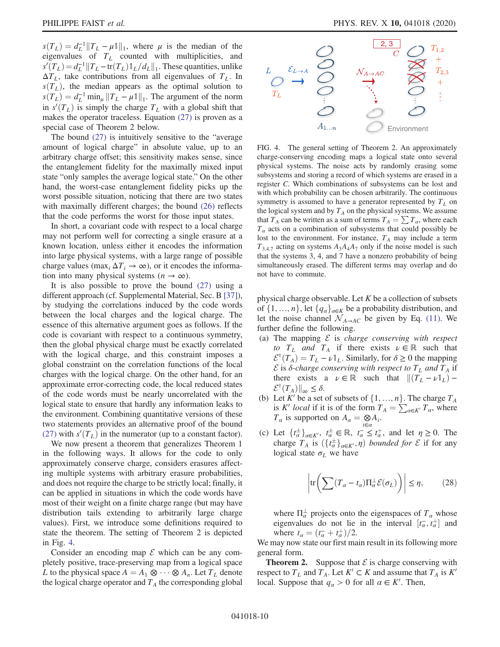$s(T_L) = d_L^{-1} \| T_L - \mu \|_{1}$ , where  $\mu$  is the median of the eigenvalues of  $T_L$  counted with multiplicities and eigenvalues of  $T_L$  counted with multiplicities, and  $s'(T_L) = d_L^{-1} \|T_L - \text{tr}(T_L) \mathbb{1}_L / d_L \|_1$ . These quantities, unlike  $\Delta T_t$  take contributions from all eigenvalues of  $T_t$ . In  $\Delta T_L$ , take contributions from all eigenvalues of  $T_L$ . In  $s(T<sub>L</sub>)$ , the median appears as the optimal solution to  $s(T_L) = d_L^{-1} \min_{\mu} ||T_L - \mu|| ||_1$ . The argument of the norm<br>in  $s'(T)$  is simply the charge T, with a global shift that in  $s'(T_L)$  is simply the charge  $T_L$  with a global shift that makes the operator traceless. Fountion (27) is proven as a makes the operator traceless. Equation [\(27\)](#page-8-1) is proven as a special case of Theorem 2 below.

The bound [\(27\)](#page-8-1) is intuitively sensitive to the "average amount of logical charge" in absolute value, up to an arbitrary charge offset; this sensitivity makes sense, since the entanglement fidelity for the maximally mixed input state "only samples the average logical state." On the other hand, the worst-case entanglement fidelity picks up the worst possible situation, noticing that there are two states with maximally different charges; the bound [\(26\)](#page-8-2) reflects that the code performs the worst for those input states.

In short, a covariant code with respect to a local charge may not perform well for correcting a single erasure at a known location, unless either it encodes the information into large physical systems, with a large range of possible charge values (max<sub>i</sub>  $\Delta T_i \rightarrow \infty$ ), or it encodes the information into many physical systems  $(n \to \infty)$ .

It is also possible to prove the bound  $(27)$  using a different approach (cf. Supplemental Material, Sec. B [\[37\]](#page-28-11)), by studying the correlations induced by the code words between the local charges and the logical charge. The essence of this alternative argument goes as follows. If the code is covariant with respect to a continuous symmetry, then the global physical charge must be exactly correlated with the logical charge, and this constraint imposes a global constraint on the correlation functions of the local charges with the logical charge. On the other hand, for an approximate error-correcting code, the local reduced states of the code words must be nearly uncorrelated with the logical state to ensure that hardly any information leaks to the environment. Combining quantitative versions of these two statements provides an alternative proof of the bound [\(27\)](#page-8-1) with  $s'(T_L)$  in the numerator (up to a constant factor).<br>We now present a theorem that generalizes Theorem 1

We now present a theorem that generalizes Theorem 1 in the following ways. It allows for the code to only approximately conserve charge, considers erasures affecting multiple systems with arbitrary erasure probabilities, and does not require the charge to be strictly local; finally, it can be applied in situations in which the code words have most of their weight on a finite charge range (but may have distribution tails extending to arbitrarily large charge values). First, we introduce some definitions required to state the theorem. The setting of Theorem 2 is depicted in Fig. [4](#page-9-0).

Consider an encoding map  $\mathcal E$  which can be any completely positive, trace-preserving map from a logical space L to the physical space  $A = A_1 \otimes \cdots \otimes A_n$ . Let  $T_L$  denote the logical charge operator and  $T_A$  the corresponding global

<span id="page-9-0"></span>

FIG. 4. The general setting of Theorem 2. An approximately charge-conserving encoding maps a logical state onto several physical systems. The noise acts by randomly erasing some subsystems and storing a record of which systems are erased in a register C. Which combinations of subsystems can be lost and with which probability can be chosen arbitrarily. The continuous symmetry is assumed to have a generator represented by  $T_L$  on the logical system and by  $T_A$  on the physical systems. We assume that  $T_A$  can be written as a sum of terms  $T_A = \sum T_\alpha$ , where each  $T_a$  acts on a combination of subsystems that could possibly be lost to the environment. For instance,  $T_A$  may include a term  $T_{3,4,7}$  acting on systems  $A_3A_4A_7$  only if the noise model is such that the systems 3, 4, and 7 have a nonzero probability of being simultaneously erased. The different terms may overlap and do not have to commute.

physical charge observable. Let  $K$  be a collection of subsets of  $\{1, ..., n\}$ , let  $\{q_\alpha\}_{\alpha \in K}$  be a probability distribution, and let the noise channel  $\mathcal{N}_{A\rightarrow AC}$  be given by Eq. [\(11\)](#page-6-2). We further define the following.

- (a) The mapping  $\mathcal E$  is charge conserving with respect to  $T_L$  and  $T_A$  if there exists  $\nu \in \mathbb{R}$  such that  $\mathcal{E}^{\dagger}(T_A) = T_L - \nu \mathbb{1}_L$ . Similarly, for  $\delta \geq 0$  the mapping  $\mathcal E$  is  $\delta$ -charge conserving with respect to  $T_L$  and  $T_A$  if there exists a  $\nu \in \mathbb{R}$  such that  $\| (T_L - \nu \mathbb{1}_L) \mathcal{E}^{\dagger}(T_A)\|_{\infty} \leq \delta.$
- (b) Let K' be a set of subsets of  $\{1, ..., n\}$ . The charge  $T_A$ is K' local if it is of the form  $T_A = \sum_{\alpha \in K'} T_\alpha$ , where  $T_{\alpha}$  is supported on  $A_{\alpha} = \bigotimes_{i \in \alpha} A_i$ .
- (c) Let  $\{t_a^{\pm}\}_{a \in K'}$ ,  $t_a^{\pm} \in \mathbb{R}$ ,  $t_a \leq t_a^+$ , and let  $\eta \geq 0$ . The charge  $T_a$  is  $(f_t^{\pm 1}, \ldots, n)$  bounded for  $S$  if for any charge  $T_A$  is  $({\{t_a^{\pm}\}}_{\alpha \in K'}, \eta)$  bounded for  $\mathcal E$  if for any logical state  $\sigma_i$ , we have logical state  $\sigma_L$  we have

$$
\left| \text{tr}\left(\sum (T_a - t_a) \Pi_a^{\perp} \mathcal{E}(\sigma_L)\right) \right| \le \eta, \qquad (28)
$$

where  $\Pi_{\alpha}^{\perp}$  projects onto the eigenspaces of  $T_{\alpha}$  whose eigenvalues do not lie in the interval  $[t_{\alpha}^-, t_{\alpha}^+]$  and where  $t = (t^- + t^+) / 2$ where  $t_{\alpha} = (t_{\alpha}^+ + t_{\alpha}^+)/2$ .

We may now state our first main result in its following more general form.

**Theorem 2.** Suppose that  $\mathcal{E}$  is charge conserving with respect to  $T_L$  and  $T_A$ . Let  $K' \subset K$  and assume that  $T_A$  is  $K'$ local. Suppose that  $q_{\alpha} > 0$  for all  $\alpha \in K'$ . Then,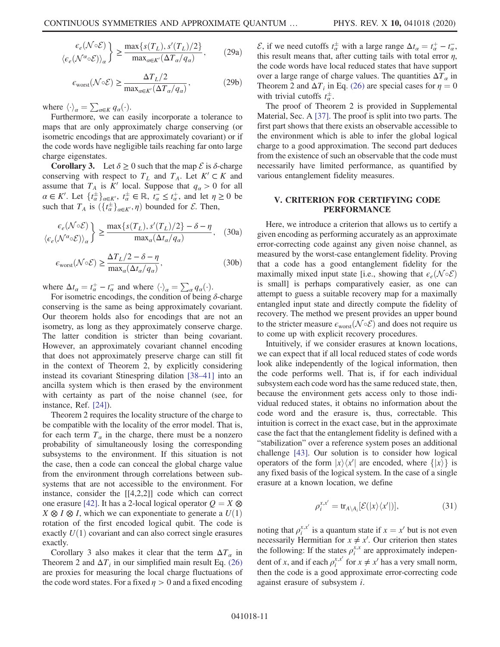$$
\frac{\epsilon_e(\mathcal{N} \circ \mathcal{E})}{\langle \epsilon_e(\mathcal{N}^{\alpha} \circ \mathcal{E}) \rangle_{\alpha}} \ge \frac{\max\{s(T_L), s'(T_L)/2\}}{\max_{a \in K'} (\Delta T_a/q_a)},
$$
 (29a)

$$
\epsilon_{\text{worst}}(\mathcal{N}\circ\mathcal{E}) \ge \frac{\Delta T_L/2}{\max_{\alpha \in K'}(\Delta T_{\alpha}/q_{\alpha})},\tag{29b}
$$

where  $\langle \cdot \rangle_{\alpha} = \sum_{\alpha \in K} q_{\alpha}(\cdot)$ .

Furthermore, we can easily incorporate a tolerance to maps that are only approximately charge conserving (or isometric encodings that are approximately covariant) or if the code words have negligible tails reaching far onto large charge eigenstates.

**Corollary 3.** Let  $\delta \ge 0$  such that the map  $\mathcal{E}$  is  $\delta$ -charge conserving with respect to  $T_L$  and  $T_A$ . Let  $K' \subset K$  and assume that  $T_A$  is K' local. Suppose that  $q_\alpha > 0$  for all  $\alpha \in K'$ . Let  $\{t_{\alpha}^{\pm}\}_{\alpha \in K'}$ ,  $t_{\alpha}^{\pm} \in \mathbb{R}$ ,  $t_{\alpha} \leq t_{\alpha}^{+}$ , and let  $\eta \geq 0$  be such that  $T_{\alpha}$  is  $(f_{\alpha}^{\pm 1})$  are not become for  $S$ . Then such that  $T_A$  is  $(\lbrace t_{\alpha}^{\pm} \rbrace_{\alpha \in K'}, \eta)$  bounded for  $\mathcal{E}$ . Then,

$$
\frac{\epsilon_e(\mathcal{N} \circ \mathcal{E})}{\langle \epsilon_e(\mathcal{N}^a \circ \mathcal{E}) \rangle_\alpha} \ge \frac{\max\{s(T_L), s'(T_L)/2\} - \delta - \eta}{\max_\alpha(\Delta t_\alpha/q_\alpha)}, \quad (30a)
$$

$$
\epsilon_{\text{worst}}(\mathcal{N} \circ \mathcal{E}) \ge \frac{\Delta T_L/2 - \delta - \eta}{\max_a (\Delta t_a / q_a)},\tag{30b}
$$

where  $\Delta t_{\alpha} = t_{\alpha}^{+} - t_{\alpha}^{-}$ <br>For isometric enco- $\overline{a}$  and where  $\langle \cdot \rangle_{\alpha} = \sum_{\alpha} q_{\alpha}(\cdot)$ .

For isometric encodings, the condition of being  $\delta$ -charge conserving is the same as being approximately covariant. Our theorem holds also for encodings that are not an isometry, as long as they approximately conserve charge. The latter condition is stricter than being covariant. However, an approximately covariant channel encoding that does not approximately preserve charge can still fit in the context of Theorem 2, by explicitly considering instead its covariant Stinespring dilation [\[38](#page-28-12)–41] into an ancilla system which is then erased by the environment with certainty as part of the noise channel (see, for instance, Ref. [\[24\]\)](#page-28-4).

Theorem 2 requires the locality structure of the charge to be compatible with the locality of the error model. That is, for each term  $T_a$  in the charge, there must be a nonzero probability of simultaneously losing the corresponding subsystems to the environment. If this situation is not the case, then a code can conceal the global charge value from the environment through correlations between subsystems that are not accessible to the environment. For instance, consider the [[4,2,2]] code which can correct one erasure [\[42\]](#page-28-13). It has a 2-local logical operator  $Q = X \otimes$  $X \otimes I \otimes I$ , which we can exponentiate to generate a  $U(1)$ rotation of the first encoded logical qubit. The code is exactly  $U(1)$  covariant and can also correct single erasures exactly.

Corollary 3 also makes it clear that the term  $\Delta T_a$  in Theorem 2 and  $\Delta T_i$  in our simplified main result Eq. [\(26\)](#page-8-2) are proxies for measuring the local charge fluctuations of the code word states. For a fixed  $\eta > 0$  and a fixed encoding

 $\mathcal{E}$ , if we need cutoffs  $t_{\alpha}^{\pm}$  with a large range  $\Delta t_{\alpha} = t_{\alpha}^{+} - t_{\alpha}^{-}$ ,<br>this result means that after cutting tails with total error *n* this result means that, after cutting tails with total error  $\eta$ , the code words have local reduced states that have support over a large range of charge values. The quantities  $\Delta T_a$  in Theorem 2 and  $\Delta T_i$  in Eq. [\(26\)](#page-8-2) are special cases for  $\eta = 0$ with trivial cutoffs  $t_{\alpha}^{\pm}$ .

The proof of Theorem 2 is provided in Supplemental Material, Sec. A [\[37\].](#page-28-11) The proof is split into two parts. The first part shows that there exists an observable accessible to the environment which is able to infer the global logical charge to a good approximation. The second part deduces from the existence of such an observable that the code must necessarily have limited performance, as quantified by various entanglement fidelity measures.

# <span id="page-10-0"></span>V. CRITERION FOR CERTIFYING CODE PERFORMANCE

Here, we introduce a criterion that allows us to certify a given encoding as performing accurately as an approximate error-correcting code against any given noise channel, as measured by the worst-case entanglement fidelity. Proving that a code has a good entanglement fidelity for the maximally mixed input state [i.e., showing that  $\epsilon_{e}(\mathcal{N} \circ \mathcal{E})$ is small] is perhaps comparatively easier, as one can attempt to guess a suitable recovery map for a maximally entangled input state and directly compute the fidelity of recovery. The method we present provides an upper bound to the stricter measure  $\epsilon_{worst}(\mathcal{N} \circ \mathcal{E})$  and does not require us to come up with explicit recovery procedures.

Intuitively, if we consider erasures at known locations, we can expect that if all local reduced states of code words look alike independently of the logical information, then the code performs well. That is, if for each individual subsystem each code word has the same reduced state, then, because the environment gets access only to those individual reduced states, it obtains no information about the code word and the erasure is, thus, correctable. This intuition is correct in the exact case, but in the approximate case the fact that the entanglement fidelity is defined with a "stabilization" over a reference system poses an additional challenge [\[43\].](#page-28-14) Our solution is to consider how logical operators of the form  $|x\rangle\langle x'|$  are encoded, where  $\{|x\rangle\}$  is<br>any fixed basis of the logical system. In the case of a single any fixed basis of the logical system. In the case of a single erasure at a known location, we define

$$
\rho_i^{x,x'} = \text{tr}_{A \setminus A_i}[\mathcal{E}(|x\rangle\langle x'|)],\tag{31}
$$

<span id="page-10-1"></span>noting that  $\rho_i^{x,x'}$  is a quantum state if  $x = x'$  but is not even<br>necessarily Hermitian for  $x \neq x'$ . Our criterion then states necessarily Hermitian for  $x \neq x'$ . Our criterion then states the following: If the states  $\rho_i^{x,x}$  are approximately independent of x, and if each  $\rho_i^{x,x'}$  for  $x \neq x'$  has a very small norm, then the code is a good approximate error-correcting code against erasure of subsystem i.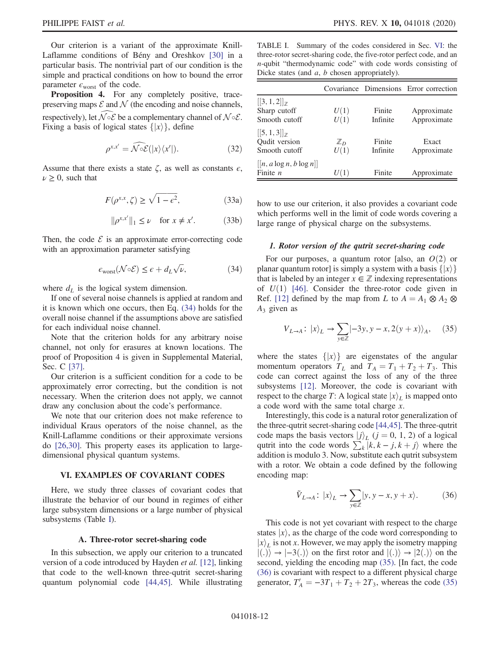Our criterion is a variant of the approximate Knill-Laflamme conditions of Bény and Oreshkov [\[30\]](#page-28-7) in a particular basis. The nontrivial part of our condition is the simple and practical conditions on how to bound the error parameter  $\epsilon_{\text{worst}}$  of the code.

Proposition 4. For any completely positive, tracepreserving maps  $\mathcal E$  and  $\mathcal N$  (the encoding and noise channels, respectively), let  $\widehat{\mathcal{N}\circ\mathcal{E}}$  be a complementary channel of  $\mathcal{N}\circ\mathcal{E}$ . Fixing a basis of logical states  $\{|x\rangle\}$ , define

$$
\rho^{x,x'} = \widehat{\mathcal{N}\circ\mathcal{E}}(|x\rangle\langle x'|). \tag{32}
$$

Assume that there exists a state  $\zeta$ , as well as constants  $\epsilon$ ,  $\nu \geq 0$ , such that

$$
F(\rho^{x,x}, \zeta) \ge \sqrt{1 - \epsilon^2},
$$
\n(33a)

$$
\|\rho^{x,x'}\|_1 \le \nu \quad \text{for } x \ne x'.\tag{33b}
$$

<span id="page-11-1"></span>Then, the code  $\mathcal E$  is an approximate error-correcting code with an approximation parameter satisfying

$$
\epsilon_{\text{worst}}(\mathcal{N}\circ\mathcal{E}) \le \epsilon + d_L\sqrt{\nu},\tag{34}
$$

where  $d<sub>L</sub>$  is the logical system dimension.

If one of several noise channels is applied at random and it is known which one occurs, then Eq. [\(34\)](#page-11-1) holds for the overall noise channel if the assumptions above are satisfied for each individual noise channel.

Note that the criterion holds for any arbitrary noise channel, not only for erasures at known locations. The proof of Proposition 4 is given in Supplemental Material, Sec. C [\[37\]](#page-28-11).

Our criterion is a sufficient condition for a code to be approximately error correcting, but the condition is not necessary. When the criterion does not apply, we cannot draw any conclusion about the code's performance.

We note that our criterion does not make reference to individual Kraus operators of the noise channel, as the Knill-Laflamme conditions or their approximate versions do [\[26,30\].](#page-28-5) This property eases its application to largedimensional physical quantum systems.

# <span id="page-11-0"></span>VI. EXAMPLES OF COVARIANT CODES

Here, we study three classes of covariant codes that illustrate the behavior of our bound in regimes of either large subsystem dimensions or a large number of physical subsystems (Table [I](#page-11-2)).

# A. Three-rotor secret-sharing code

<span id="page-11-5"></span>In this subsection, we apply our criterion to a truncated version of a code introduced by Hayden et al. [\[12\]](#page-28-1), linking that code to the well-known three-qutrit secret-sharing quantum polynomial code [\[44,45\].](#page-28-15) While illustrating

<span id="page-11-2"></span>TABLE I. Summary of the codes considered in Sec. [VI](#page-11-0): the three-rotor secret-sharing code, the five-rotor perfect code, and an n-qubit "thermodynamic code" with code words consisting of Dicke states (and *a*, *b* chosen appropriately).

|                                                              |                        |                    | Covariance Dimensions Error correction |
|--------------------------------------------------------------|------------------------|--------------------|----------------------------------------|
| $[[3, 1, 2]]_{\mathbb{Z}}$<br>Sharp cutoff<br>Smooth cutoff  | U(1)<br>U(1)           | Finite<br>Infinite | Approximate<br>Approximate             |
| $[[5, 1, 3]]_{\mathbb{Z}}$<br>Qudit version<br>Smooth cutoff | $\mathbb{Z}_D$<br>U(1) | Finite<br>Infinite | Exact<br>Approximate                   |
| $\vert n, a \log n, b \log n \vert \vert$<br>Finite $n$      | U(1)                   | Finite             | Approximate                            |

how to use our criterion, it also provides a covariant code which performs well in the limit of code words covering a large range of physical charge on the subsystems.

## <span id="page-11-6"></span>1. Rotor version of the qutrit secret-sharing code

For our purposes, a quantum rotor [also, an  $O(2)$  or planar quantum rotor] is simply a system with a basis  $\{|x\rangle\}$ that is labeled by an integer  $x \in \mathbb{Z}$  indexing representations of  $U(1)$  [\[46\].](#page-28-16) Consider the three-rotor code given in Ref. [\[12\]](#page-28-1) defined by the map from L to  $A = A_1 \otimes A_2 \otimes$  $A_3$  given as

<span id="page-11-3"></span>
$$
V_{L\to A}: |x\rangle_L \to \sum_{y\in\mathbb{Z}} |-3y, y - x, 2(y + x)\rangle_A, \quad (35)
$$

where the states  $\{|x\rangle\}$  are eigenstates of the angular momentum operators  $T_L$  and  $T_A = T_1 + T_2 + T_3$ . This code can correct against the loss of any of the three subsystems [\[12\]](#page-28-1). Moreover, the code is covariant with respect to the charge T: A logical state  $|x\rangle_L$  is mapped onto a code word with the same total charge x.

Interestingly, this code is a natural rotor generalization of the three-qutrit secret-sharing code [\[44,45\].](#page-28-15) The three-qutrit code maps the basis vectors  $|j\rangle_L$  (j = 0, 1, 2) of a logical qutrit into the code words  $\sum_{k} |k, k - j, k + j\rangle$  where the addition is modulo 3. Now, substitute each qutrit subsystem with a rotor. We obtain a code defined by the following encoding map:

<span id="page-11-4"></span>
$$
\tilde{V}_{L \to A} \colon |x\rangle_L \to \sum_{y \in \mathbb{Z}} |y, y - x, y + x\rangle. \tag{36}
$$

This code is not yet covariant with respect to the charge states  $|x\rangle$ , as the charge of the code word corresponding to  $|x\rangle_L$  is not x. However, we may apply the isometry mapping  $|(.)\rangle \rightarrow |-3(.)\rangle$  on the first rotor and  $|(.)\rangle \rightarrow |2(.)\rangle$  on the second, yielding the encoding map [\(35\)](#page-11-3). [In fact, the code [\(36\)](#page-11-4) is covariant with respect to a different physical charge generator,  $T_A' = -3T_1 + T_2 + 2T_3$ , whereas the code [\(35\)](#page-11-3)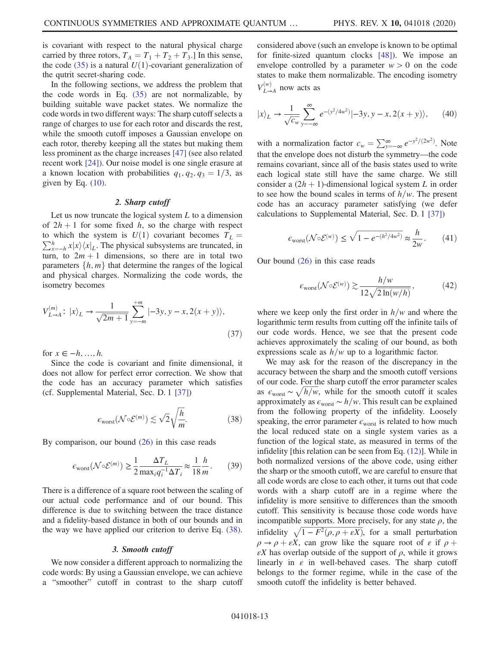is covariant with respect to the natural physical charge carried by three rotors,  $T_A = T_1 + T_2 + T_3$ . In this sense, the code [\(35\)](#page-11-3) is a natural  $U(1)$ -covariant generalization of the qutrit secret-sharing code.

In the following sections, we address the problem that the code words in Eq. [\(35\)](#page-11-3) are not normalizable, by building suitable wave packet states. We normalize the code words in two different ways: The sharp cutoff selects a range of charges to use for each rotor and discards the rest, while the smooth cutoff imposes a Gaussian envelope on each rotor, thereby keeping all the states but making them less prominent as the charge increases [\[47\]](#page-28-17) (see also related recent work [\[24\]](#page-28-4)). Our noise model is one single erasure at a known location with probabilities  $q_1, q_2, q_3 = 1/3$ , as given by Eq.  $(10)$ .

## 2. Sharp cutoff

Let us now truncate the logical system  $L$  to a dimension of  $2h + 1$  for some fixed h, so the charge with respect to which the system is  $U(1)$  covariant becomes  $T_L = \nabla^h$   $x|x|/x|$ . The physical subsystems are truncated in  $\sum_{x=-h}^{h} x|x\rangle\langle x|_{L}$ . The physical subsystems are truncated, in turn, to  $2m + 1$  dimensions, so there are in total two parameters  $\{h, m\}$  that determine the ranges of the logical and physical charges. Normalizing the code words, the isometry becomes

$$
V_{L\to A}^{(m)}: |x\rangle_L \to \frac{1}{\sqrt{2m+1}} \sum_{y=-m}^{+m} |-3y, y-x, 2(x+y)\rangle,
$$
\n(37)

for  $x \in -h, ..., h$ .

<span id="page-12-0"></span>Since the code is covariant and finite dimensional, it does not allow for perfect error correction. We show that the code has an accuracy parameter which satisfies (cf. Supplemental Material, Sec. D. 1 [\[37\]](#page-28-11))

$$
\epsilon_{\text{worst}}(\mathcal{N} \circ \mathcal{E}^{(m)}) \lesssim \sqrt{2} \sqrt{\frac{h}{m}}.\tag{38}
$$

By comparison, our bound [\(26\)](#page-8-2) in this case reads

$$
\epsilon_{\text{worst}}(\mathcal{N}\circ\mathcal{E}^{(m)}) \ge \frac{1}{2} \frac{\Delta T_L}{\max_i q_i^{-1} \Delta T_i} \approx \frac{1}{18} \frac{h}{m}.
$$
 (39)

There is a difference of a square root between the scaling of our actual code performance and of our bound. This difference is due to switching between the trace distance and a fidelity-based distance in both of our bounds and in the way we have applied our criterion to derive Eq. [\(38\)](#page-12-0).

#### 3. Smooth cutoff

<span id="page-12-3"></span>We now consider a different approach to normalizing the code words: By using a Gaussian envelope, we can achieve a "smoother" cutoff in contrast to the sharp cutoff considered above (such an envelope is known to be optimal for finite-sized quantum clocks [\[48\]](#page-29-0)). We impose an envelope controlled by a parameter  $w > 0$  on the code states to make them normalizable. The encoding isometry  $V_{L\rightarrow A}^{(w)}$  now acts as

<span id="page-12-1"></span>
$$
|x\rangle_L \to \frac{1}{\sqrt{c_w}} \sum_{y=-\infty}^{\infty} e^{-(y^2/4w^2)} |-3y, y-x, 2(x+y)\rangle,
$$
 (40)

with a normalization factor  $c_w = \sum_{y=-\infty}^{\infty} e^{-y^2/(2w^2)}$ . Note that the envelope does not disturb the symmetry—the code remains covariant, since all of the basis states used to write each logical state still have the same charge. We still consider a  $(2h + 1)$ -dimensional logical system L in order to see how the bound scales in terms of  $h/w$ . The present code has an accuracy parameter satisfying (we defer calculations to Supplemental Material, Sec. D. 1 [\[37\]](#page-28-11))

<span id="page-12-2"></span>
$$
\epsilon_{\text{worst}}(\mathcal{N} \circ \mathcal{E}^{(w)}) \le \sqrt{1 - e^{-(h^2/4w^2)}} \approx \frac{h}{2w}.\tag{41}
$$

Our bound [\(26\)](#page-8-2) in this case reads

$$
\epsilon_{\text{worst}}(\mathcal{N} \circ \mathcal{E}^{(w)}) \gtrsim \frac{h/w}{12\sqrt{2\ln(w/h)}},\tag{42}
$$

where we keep only the first order in  $h/w$  and where the logarithmic term results from cutting off the infinite tails of our code words. Hence, we see that the present code achieves approximately the scaling of our bound, as both expressions scale as  $h/w$  up to a logarithmic factor.

We may ask for the reason of the discrepancy in the accuracy between the sharp and the smooth cutoff versions of our code. For the sharp cutoff the error parameter scales of our code. For the sharp cutoff the error parameter scales<br>as  $\epsilon_{\text{worst}} \sim \sqrt{h/w}$ , while for the smooth cutoff it scales approximately as  $\epsilon_{\text{worst}} \sim h/w$ . This result can be explained from the following property of the infidelity. Loosely speaking, the error parameter  $\epsilon_{\text{worst}}$  is related to how much the local reduced state on a single system varies as a function of the logical state, as measured in terms of the infidelity [this relation can be seen from Eq. [\(12\)\]](#page-7-4). While in both normalized versions of the above code, using either the sharp or the smooth cutoff, we are careful to ensure that all code words are close to each other, it turns out that code words with a sharp cutoff are in a regime where the infidelity is more sensitive to differences than the smooth cutoff. This sensitivity is because those code words have incompatible supports. More precisely, for any state  $\rho$ , the incompatible supports. More precisely, for any state  $\rho$ , the<br>infidelity  $\sqrt{1 - F^2(\rho, \rho + \varepsilon X)}$ , for a small perturbation<br> $\rho \to \rho + \varepsilon X$  can grow like the square root of s if  $\rho +$  $\rho \rightarrow \rho + \varepsilon X$ , can grow like the square root of  $\varepsilon$  if  $\rho +$  $\epsilon X$  has overlap outside of the support of  $\rho$ , while it grows linearly in  $\varepsilon$  in well-behaved cases. The sharp cutoff belongs to the former regime, while in the case of the smooth cutoff the infidelity is better behaved.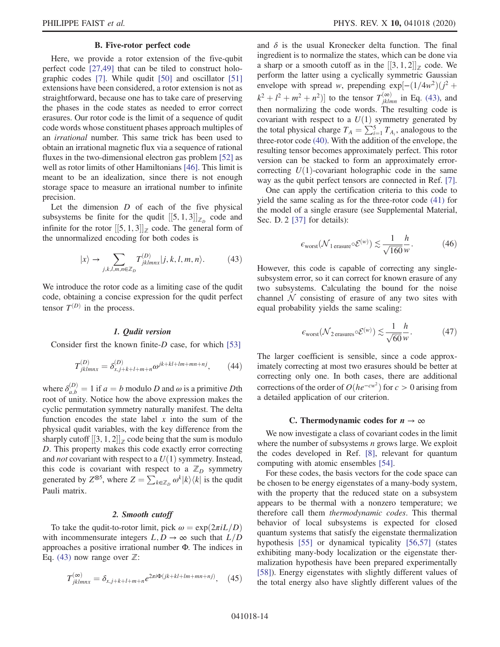### B. Five-rotor perfect code

Here, we provide a rotor extension of the five-qubit perfect code [\[27,49\]](#page-28-18) that can be tiled to construct holographic codes [\[7\]](#page-27-4). While qudit [\[50\]](#page-29-1) and oscillator [\[51\]](#page-29-2) extensions have been considered, a rotor extension is not as straightforward, because one has to take care of preserving the phases in the code states as needed to error correct erasures. Our rotor code is the limit of a sequence of qudit code words whose constituent phases approach multiples of an irrational number. This same trick has been used to obtain an irrational magnetic flux via a sequence of rational fluxes in the two-dimensional electron gas problem [\[52\]](#page-29-3) as well as rotor limits of other Hamiltonians [\[46\]](#page-28-16). This limit is meant to be an idealization, since there is not enough storage space to measure an irrational number to infinite precision.

<span id="page-13-0"></span>Let the dimension  $D$  of each of the five physical subsystems be finite for the qudit  $[[5, 1, 3]]_{\mathbb{Z}_D}$  code and<br>infinite for the rotor  $[[5, 1, 3]]$  code. The general form of infinite for the rotor  $[[5, 1, 3]]_Z$  code. The general form of<br>the unnormalized encoding for both codes is the unnormalized encoding for both codes is

$$
|x\rangle \rightarrow \sum_{j,k,l,m,n \in \mathbb{Z}_D} T_{jklmnx}^{(D)} |j,k,l,m,n\rangle.
$$
 (43)

We introduce the rotor code as a limiting case of the qudit code, obtaining a concise expression for the qudit perfect tensor  $T^{(D)}$  in the process.

#### 1. Qudit version

Consider first the known finite- $D$  case, for which [\[53\]](#page-29-4)

$$
T_{jklmnx}^{(D)} = \delta_{x,j+k+l+m+n}^{(D)} \omega^{jk+kl+lm+mn+nj}, \qquad (44)
$$

where  $\delta_{a,b}^{(D)} = 1$  if  $a = b$  modulo D and  $\omega$  is a primitive Dth root of unity. Notice how the shows expression makes the root of unity. Notice how the above expression makes the cyclic permutation symmetry naturally manifest. The delta function encodes the state label  $x$  into the sum of the physical qudit variables, with the key difference from the sharply cutoff  $[[3, 1, 2]]_{{\mathbb{Z}}}$  code being that the sum is modulo D. This property makes this code exactly error correcting  $D$ . This property makes this code exactly error correcting and *not* covariant with respect to a  $U(1)$  symmetry. Instead, this code is covariant with respect to a  $\mathbb{Z}_D$  symmetry this code is covariant with respect to a  $\mathbb{Z}_D$  symmetry<br>generated by  $Z^{\otimes 5}$ , where  $Z = \sum_{k \in \mathbb{Z}_D} \omega^k |k\rangle\langle k|$  is the qudit Pauli matrix.

## 2. Smooth cutoff

To take the qudit-to-rotor limit, pick  $\omega = \exp(2\pi i L/D)$ with incommensurate integers  $L, D \rightarrow \infty$  such that  $L/D$ approaches a positive irrational number Φ. The indices in Eq. [\(43\)](#page-13-0) now range over  $\mathbb{Z}$ :

$$
T_{jklmnx}^{(\infty)} = \delta_{x,j+k+l+m+n} e^{2\pi i \Phi(jk+l+l+m+m+nj)}, \quad (45)
$$

and  $\delta$  is the usual Kronecker delta function. The final ingredient is to normalize the states, which can be done via a sharp or a smooth cutoff as in the  $[[3, 1, 2]]_Z$  code. We<br>perform the latter using a cyclically symmetric Gaussian perform the latter using a cyclically symmetric Gaussian envelope with spread w, prepending exp[ $-(1/4w^2)(j^2 +$  $k^2 + l^2 + m^2 + n^2$ ) to the tensor  $T_{jklmn}^{(\infty)}$  in Eq. [\(43\)](#page-13-0), and<br>then normalizing the code words. The resulting equal is then normalizing the code words. The resulting code is covariant with respect to a  $U(1)$  symmetry generated by covariant with respect to a  $U(1)$  symmetry generated by<br>the total physical charge  $T_A = \sum_{i=1}^{5} T_{A_i}$ , analogous to the<br>three rotor code (40). With the addition of the envelope the three-rotor code [\(40\).](#page-12-1) With the addition of the envelope, the resulting tensor becomes approximately perfect. This rotor version can be stacked to form an approximately errorcorrecting  $U(1)$ -covariant holographic code in the same way as the qubit perfect tensors are connected in Ref. [\[7\]](#page-27-4).

One can apply the certification criteria to this code to yield the same scaling as for the three-rotor code [\(41\)](#page-12-2) for the model of a single erasure (see Supplemental Material, Sec. D. 2 [\[37\]](#page-28-11) for details):

$$
\epsilon_{\text{worst}}(\mathcal{N}_{1\,\text{erasure}}\circ\mathcal{E}^{(w)}) \lesssim \frac{1}{\sqrt{160}}\frac{h}{w}.\tag{46}
$$

However, this code is capable of correcting any singlesubsystem error, so it can correct for known erasure of any two subsystems. Calculating the bound for the noise channel  $\mathcal N$  consisting of erasure of any two sites with equal probability yields the same scaling:

$$
\epsilon_{\text{worst}}(\mathcal{N}_{2\text{ erasures}} \circ \mathcal{E}^{(w)}) \lesssim \frac{1}{\sqrt{60}} \frac{h}{w}.\tag{47}
$$

The larger coefficient is sensible, since a code approximately correcting at most two erasures should be better at correcting only one. In both cases, there are additional corrections of the order of  $O(he^{-cw^2})$  for  $c > 0$  arising from<br>a detailed application of our criterion a detailed application of our criterion.

## C. Thermodynamic codes for  $n \to \infty$

<span id="page-13-1"></span>We now investigate a class of covariant codes in the limit where the number of subsystems  $n$  grows large. We exploit the codes developed in Ref. [\[8\]](#page-27-3), relevant for quantum computing with atomic ensembles [\[54\]](#page-29-5).

For these codes, the basis vectors for the code space can be chosen to be energy eigenstates of a many-body system, with the property that the reduced state on a subsystem appears to be thermal with a nonzero temperature; we therefore call them thermodynamic codes. This thermal behavior of local subsystems is expected for closed quantum systems that satisfy the eigenstate thermalization hypothesis [\[55\]](#page-29-6) or dynamical typicality [\[56,57\]](#page-29-7) (states exhibiting many-body localization or the eigenstate thermalization hypothesis have been prepared experimentally [\[58\]](#page-29-8)). Energy eigenstates with slightly different values of the total energy also have slightly different values of the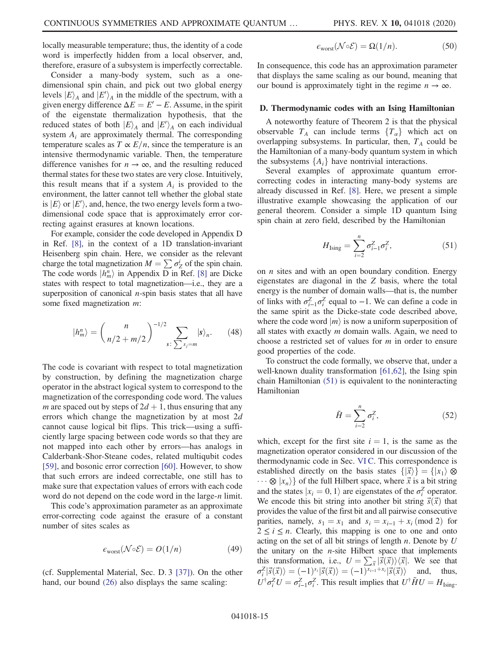locally measurable temperature; thus, the identity of a code word is imperfectly hidden from a local observer, and, therefore, erasure of a subsystem is imperfectly correctable.

Consider a many-body system, such as a onedimensional spin chain, and pick out two global energy levels  $|E\rangle_A$  and  $|E'\rangle_A$  in the middle of the spectrum, with a given energy difference  $\Delta F - F' - F$ . Assume in the spirit given energy difference  $\Delta E = E' - E$ . Assume, in the spirit of the eigenstate thermalization hypothesis, that the reduced states of both  $|E\rangle_A$  and  $|E'\rangle_A$  on each individual<br>system A, are approximately thermal. The corresponding system  $A_i$  are approximately thermal. The corresponding temperature scales as  $T \propto E/n$ , since the temperature is an intensive thermodynamic variable. Then, the temperature difference vanishes for  $n \to \infty$ , and the resulting reduced thermal states for these two states are very close. Intuitively, this result means that if a system  $A_i$  is provided to the environment, the latter cannot tell whether the global state is  $|E\rangle$  or  $|E'\rangle$ , and, hence, the two energy levels form a two-<br>dimensional, code, space, that is approximately error cordimensional code space that is approximately error correcting against erasures at known locations.

For example, consider the code developed in Appendix D in Ref. [\[8\],](#page-27-3) in the context of a 1D translation-invariant Heisenberg spin chain. Here, we consider as the relevant Heisenberg spin chain. Here, we consider as the relevant<br>charge the total magnetization  $M = \sum \sigma_Z^i$  of the spin chain.<br>The code words  $|h^n\rangle$  in Appendix D in Ref. [8] are Dicke The code words  $|h_m^n\rangle$  in Appendix D in Ref. [\[8\]](#page-27-3) are Dicke states with respect to total magnetization—i.e., they are a superposition of canonical  $n$ -spin basis states that all have some fixed magnetization *m*:

$$
|h_{m}^{n}\rangle = {n \choose n/2 + m/2}^{-1/2} \sum_{s:\sum s_{j}=m} |s\rangle_{n}.
$$
 (48)

The code is covariant with respect to total magnetization by construction, by defining the magnetization charge operator in the abstract logical system to correspond to the magnetization of the corresponding code word. The values *m* are spaced out by steps of  $2d + 1$ , thus ensuring that any errors which change the magnetization by at most 2d cannot cause logical bit flips. This trick—using a sufficiently large spacing between code words so that they are not mapped into each other by errors—has analogs in Calderbank-Shor-Steane codes, related multiqubit codes [\[59\],](#page-29-9) and bosonic error correction [\[60\]](#page-29-10). However, to show that such errors are indeed correctable, one still has to make sure that expectation values of errors with each code word do not depend on the code word in the large-*n* limit.

This code's approximation parameter as an approximate error-correcting code against the erasure of a constant number of sites scales as

$$
\epsilon_{\text{worst}}(\mathcal{N} \circ \mathcal{E}) = O(1/n) \tag{49}
$$

(cf. Supplemental Material, Sec. D. 3 [\[37\]\)](#page-28-11). On the other hand, our bound [\(26\)](#page-8-2) also displays the same scaling:

$$
\epsilon_{\text{worst}}(\mathcal{N}\circ\mathcal{E}) = \Omega(1/n). \tag{50}
$$

In consequence, this code has an approximation parameter that displays the same scaling as our bound, meaning that our bound is approximately tight in the regime  $n \to \infty$ .

#### D. Thermodynamic codes with an Ising Hamiltonian

A noteworthy feature of Theorem 2 is that the physical observable  $T_A$  can include terms  $\{T_\alpha\}$  which act on overlapping subsystems. In particular, then,  $T_A$  could be the Hamiltonian of a many-body quantum system in which the subsystems  ${A_i}$  have nontrivial interactions.

<span id="page-14-0"></span>Several examples of approximate quantum errorcorrecting codes in interacting many-body systems are already discussed in Ref. [\[8\].](#page-27-3) Here, we present a simple illustrative example showcasing the application of our general theorem. Consider a simple 1D quantum Ising spin chain at zero field, described by the Hamiltonian

$$
H_{\text{Ising}} = \sum_{i=2}^{n} \sigma_{i-1}^{Z} \sigma_{i}^{Z}, \qquad (51)
$$

on n sites and with an open boundary condition. Energy eigenstates are diagonal in the Z basis, where the total energy is the number of domain walls—that is, the number of links with  $\sigma_{i-1}^Z \sigma_i^Z$  equal to  $-1$ . We can define a code in the same spirit as the Dicke-state code described above, where the code word  $|m\rangle$  is now a uniform superposition of all states with exactly  $m$  domain walls. Again, we need to choose a restricted set of values for  $m$  in order to ensure good properties of the code.

To construct the code formally, we observe that, under a well-known duality transformation [\[61,62\],](#page-29-11) the Ising spin chain Hamiltonian [\(51\)](#page-14-0) is equivalent to the noninteracting Hamiltonian

$$
\tilde{H} = \sum_{i=2}^{n} \sigma_i^Z,\tag{52}
$$

which, except for the first site  $i = 1$ , is the same as the magnetization operator considered in our discussion of the thermodynamic code in Sec. [VI C.](#page-13-1) This correspondence is established directly on the basis states  $\{|\vec{x}\rangle\} = \{|x_1\rangle \otimes$  $\cdots \otimes |x_n\rangle$  of the full Hilbert space, where  $\vec{x}$  is a bit string and the states  $|x_i = 0, 1\rangle$  are eigenstates of the  $\sigma_i^Z$  operator.<br>We encode this bit string into another bit string  $\vec{\tau}(\vec{x})$  that We encode this bit string into another bit string  $\vec{s}(\vec{x})$  that provides the value of the first bit and all pairwise consecutive parities, namely,  $s_1 = x_1$  and  $s_i = x_{i-1} + x_i \pmod{2}$  for  $2 \le i \le n$ . Clearly, this mapping is one to one and onto acting on the set of all bit strings of length  $n$ . Denote by  $U$ the unitary on the  $n$ -site Hilbert space that implements this transformation, i.e.,  $U = \sum_{\vec{x}} |\vec{s}(\vec{x})\rangle \langle \vec{x}|$ . We see that  $\sigma_i^Z |\vec{s}(\vec{x})\rangle = (-1)^{s_i} |\vec{s}(\vec{x})\rangle = (-1)^{x_{i-1}+x_i} |\vec{s}(\vec{x})\rangle$  and, thus,<br> $U^{\dagger} \epsilon^Z U - \epsilon^Z \epsilon^Z$ . This result implies that  $U^{\dagger} \tilde{H} U - H$  $U^{\dagger} \sigma_i^Z U = \sigma_{i-1}^Z \sigma_i^Z$ . This result implies that  $U^{\dagger} \tilde{H} U = H_{\text{Ising}}$ .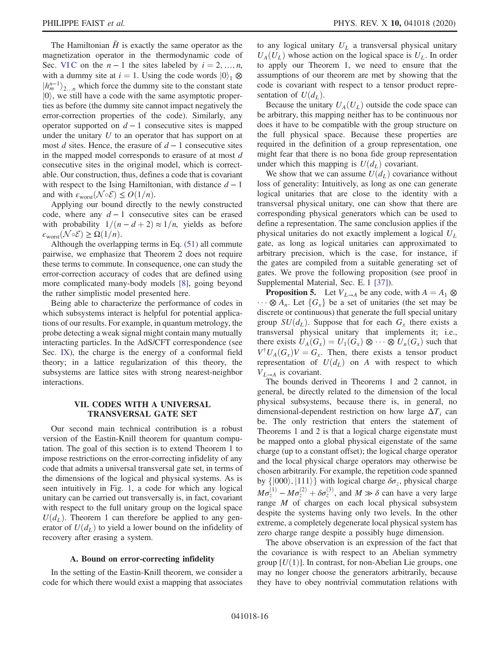The Hamiltonian  $\tilde{H}$  is exactly the same operator as the magnetization operator in the thermodynamic code of Sec. VIC on the  $n-1$  the sites labeled by  $i = 2, ..., n$ , with a dummy site at  $i = 1$ . Using the code words  $|0\rangle_1 \otimes$  $|h_m^{n-1}\rangle_{2...n}$  which force the dummy site to the constant state  $|0\rangle$ , we still have a code with the same asymptotic properties as before (the dummy site cannot impact negatively the error-correction properties of the code). Similarly, any operator supported on  $d - 1$  consecutive sites is mapped under the unitary  $U$  to an operator that has support on at most d sites. Hence, the erasure of  $d-1$  consecutive sites in the mapped model corresponds to erasure of at most d consecutive sites in the original model, which is correctable. Our construction, thus, defines a code that is covariant with respect to the Ising Hamiltonian, with distance  $d - 1$ and with  $\epsilon_{\text{worst}}(\mathcal{N} \circ \mathcal{E}) \leq O(1/n)$ .

Applying our bound directly to the newly constructed code, where any  $d - 1$  consecutive sites can be erased with probability  $1/(n - d + 2) \approx 1/n$ , yields as before  $\epsilon_{\text{worst}}(\mathcal{N}\circ\mathcal{E})\geq \Omega(1/n).$ 

Although the overlapping terms in Eq. [\(51\)](#page-14-0) all commute pairwise, we emphasize that Theorem 2 does not require these terms to commute. In consequence, one can study the error-correction accuracy of codes that are defined using more complicated many-body models [\[8\]](#page-27-3), going beyond the rather simplistic model presented here.

Being able to characterize the performance of codes in which subsystems interact is helpful for potential applications of our results. For example, in quantum metrology, the probe detecting a weak signal might contain many mutually interacting particles. In the AdS/CFT correspondence (see Sec. [IX](#page-21-0)), the charge is the energy of a conformal field theory; in a lattice regularization of this theory, the subsystems are lattice sites with strong nearest-neighbor interactions.

# <span id="page-15-0"></span>VII. CODES WITH A UNIVERSAL TRANSVERSAL GATE SET

Our second main technical contribution is a robust version of the Eastin-Knill theorem for quantum computation. The goal of this section is to extend Theorem 1 to impose restrictions on the error-correcting infidelity of any code that admits a universal transversal gate set, in terms of the dimensions of the logical and physical systems. As is seen intuitively in Fig. [1](#page-1-0), a code for which any logical unitary can be carried out transversally is, in fact, covariant with respect to the full unitary group on the logical space  $U(d_L)$ . Theorem 1 can therefore be applied to any generator of  $U(d_L)$  to yield a lower bound on the infidelity of recovery after erasing a system.

### A. Bound on error-correcting infidelity

In the setting of the Eastin-Knill theorem, we consider a code for which there would exist a mapping that associates to any logical unitary  $U_L$  a transversal physical unitary  $U_A(U_L)$  whose action on the logical space is  $U_L$ . In order to apply our Theorem 1, we need to ensure that the assumptions of our theorem are met by showing that the code is covariant with respect to a tensor product representation of  $U(d_L)$ .

Because the unitary  $U_A(U_L)$  outside the code space can be arbitrary, this mapping neither has to be continuous nor does it have to be compatible with the group structure on the full physical space. Because these properties are required in the definition of a group representation, one might fear that there is no bona fide group representation under which this mapping is  $U(d_L)$  covariant.

We show that we can assume  $U(d_L)$  covariance without loss of generality: Intuitively, as long as one can generate logical unitaries that are close to the identity with a transversal physical unitary, one can show that there are corresponding physical generators which can be used to define a representation. The same conclusion applies if the physical unitaries do not exactly implement a logical  $U_L$ gate, as long as logical unitaries can approximated to arbitrary precision, which is the case, for instance, if the gates are compiled from a suitable generating set of gates. We prove the following proposition (see proof in Supplemental Material, Sec. E. 1 [\[37\]](#page-28-11)).

**Proposition 5.** Let  $V_{L\rightarrow A}$  be any code, with  $A = A_1 \otimes$  $\cdots \otimes A_n$ . Let  $\{G_x\}$  be a set of unitaries (the set may be discrete or continuous) that generate the full special unitary group  $SU(d_L)$ . Suppose that for each  $G_x$  there exists a transversal physical unitary that implements it; i.e., there exists  $U_A(G_r) = U_1(G_r) \otimes \cdots \otimes U_n(G_r)$  such that  $V^{\dagger}U_A(G_x)V=G_x$ . Then, there exists a tensor product representation of  $U(d_L)$  on A with respect to which  $V_{L\rightarrow A}$  is covariant.

The bounds derived in Theorems 1 and 2 cannot, in general, be directly related to the dimension of the local physical subsystems, because there is, in general, no dimensional-dependent restriction on how large  $\Delta T_i$  can be. The only restriction that enters the statement of Theorems 1 and 2 is that a logical charge eigenstate must be mapped onto a global physical eigenstate of the same charge (up to a constant offset); the logical charge operator and the local physical charge operators may otherwise be chosen arbitrarily. For example, the repetition code spanned by  $\{|000\rangle, |111\rangle\}$  with logical charge  $\delta\sigma_z$ , physical charge  $M\sigma_z^{(1)} - M\sigma_z^{(2)} + \delta\sigma_z^{(3)}$ , and  $M \gg \delta$  can have a very large<br>range M of charges on each local physical subsystem range M of charges on each local physical subsystem despite the systems having only two levels. In the other extreme, a completely degenerate local physical system has zero charge range despite a possibly huge dimension.

The above observation is an expression of the fact that the covariance is with respect to an Abelian symmetry group  $[U(1)]$ . In contrast, for non-Abelian Lie groups, one may no longer choose the generators arbitrarily, because they have to obey nontrivial commutation relations with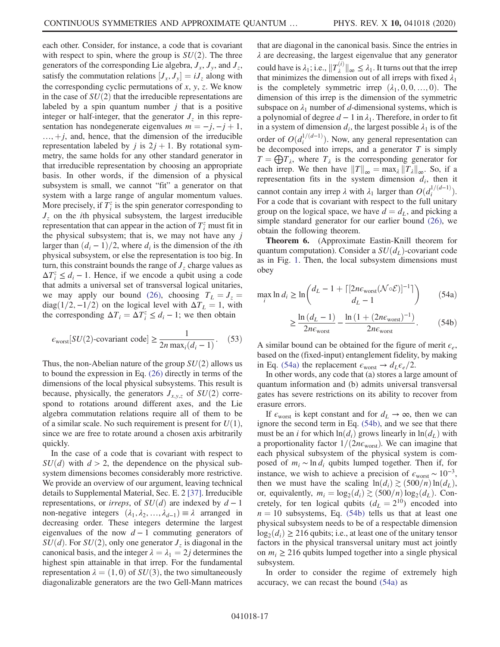each other. Consider, for instance, a code that is covariant with respect to spin, where the group is  $SU(2)$ . The three generators of the corresponding Lie algebra,  $J_x$ ,  $J_y$ , and  $J_z$ , satisfy the commutation relations  $[J_x, J_y] = iJ_z$  along with<br>the corresponding ovalic permutations of x, y, z. We know the corresponding cyclic permutations of  $x, y, z$ . We know in the case of  $SU(2)$  that the irreducible representations are labeled by a spin quantum number  $j$  that is a positive integer or half-integer, that the generator  $J<sub>z</sub>$  in this representation has nondegenerate eigenvalues  $m = -j, -j + 1$ ;  $..., +j$ , and, hence, that the dimension of the irreducible representation labeled by j is  $2j + 1$ . By rotational symmetry, the same holds for any other standard generator in that irreducible representation by choosing an appropriate basis. In other words, if the dimension of a physical subsystem is small, we cannot "fit" a generator on that system with a large range of angular momentum values. More precisely, if  $T_i^z$  is the spin generator corresponding to  $J<sub>z</sub>$  on the *i*th physical subsystem, the largest irreducible representation that can appear in the action of  $T_i^z$  must fit in the physical subsystem; that is, we may not have any  $j$ larger than  $(d_i-1)/2$ , where  $d_i$  is the dimension of the *i*th physical subsystem, or else the representation is too big. In turn, this constraint bounds the range of  $J<sub>z</sub>$  charge values as  $\Delta T_i^z \le d_i - 1$ . Hence, if we encode a qubit using a code that admits a universal set of transversal logical unitaries, we may apply our bound [\(26\)](#page-8-2), choosing  $T_L = J_z$ diag $(1/2, -1/2)$  on the logical level with  $\Delta T_L = 1$ , with the corresponding  $\Delta T_i = \Delta T_i^z \le d_i - 1$ ; we then obtain

$$
\epsilon_{\text{worst}}[SU(2)\text{-covariant code}] \ge \frac{1}{2n \max_i(d_i - 1)}.\tag{53}
$$

Thus, the non-Abelian nature of the group  $SU(2)$  allows us to bound the expression in Eq. [\(26\)](#page-8-2) directly in terms of the dimensions of the local physical subsystems. This result is because, physically, the generators  $J_{x,y,z}$  of  $SU(2)$  correspond to rotations around different axes, and the Lie algebra commutation relations require all of them to be of a similar scale. No such requirement is present for  $U(1)$ , since we are free to rotate around a chosen axis arbitrarily quickly.

In the case of a code that is covariant with respect to  $SU(d)$  with  $d > 2$ , the dependence on the physical subsystem dimensions becomes considerably more restrictive. We provide an overview of our argument, leaving technical details to Supplemental Material, Sec. E. 2 [\[37\].](#page-28-11) Irreducible representations, or *irreps*, of  $SU(d)$  are indexed by  $d - 1$ non-negative integers  $(\lambda_1, \lambda_2, ..., \lambda_{d-1}) \equiv \lambda$  arranged in decreasing order. These integers determine the largest eigenvalues of the now  $d-1$  commuting generators of  $SU(d)$ . For  $SU(2)$ , only one generator  $J<sub>z</sub>$  is diagonal in the canonical basis, and the integer  $\lambda = \lambda_1 = 2j$  determines the highest spin attainable in that irrep. For the fundamental representation  $\lambda = (1, 0)$  of  $SU(3)$ , the two simultaneously diagonalizable generators are the two Gell-Mann matrices that are diagonal in the canonical basis. Since the entries in  $\lambda$  are decreasing, the largest eigenvalue that any generator could have is  $\lambda_1$ ; i.e.,  $||T_{\lambda}^{(i)}||_{\infty} \leq \lambda_1$ . It turns out that the irrep<br>that minimizes the dimension out of all irreps with fixed  $\lambda_1$ . that minimizes the dimension out of all irreps with fixed  $\lambda_1$ is the completely symmetric irrep  $(\lambda_1, 0, 0, \ldots, 0)$ . The dimension of this irrep is the dimension of the symmetric subspace on  $\lambda_1$  number of d-dimensional systems, which is a polynomial of degree  $d - 1$  in  $\lambda_1$ . Therefore, in order to fit in a system of dimension  $d_i$ , the largest possible  $\lambda_1$  is of the order of  $O(d_i^{1/(d-1)})$ . Now, any general representation can<br>be decomposed into irreps, and a generator T is simply be decomposed into irreps, and a generator  $T$  is simply  $T = \bigoplus T_{\lambda}$ , where  $T_{\lambda}$  is the corresponding generator for each irrep. We then have  $||T||_{\infty} = \max_{\lambda} ||T_{\lambda}||_{\infty}$ . So, if a representation fits in the system dimension  $d_i$ , then it cannot contain any irrep  $\lambda$  with  $\lambda_1$  larger than  $O(d_i^{1/(d-1)})$ .<br>For a code that is covariant with respect to the full unitary For a code that is covariant with respect to the full unitary group on the logical space, we have  $d = d<sub>L</sub>$ , and picking a simple standard generator for our earlier bound [\(26\)](#page-8-2), we obtain the following theorem.

Theorem 6. (Approximate Eastin-Knill theorem for quantum computation). Consider a  $SU(d_L)$ -covariant code as in Fig. [1.](#page-1-0) Then, the local subsystem dimensions must obey

<span id="page-16-1"></span><span id="page-16-0"></span>
$$
\max_{i} \ln d_i \ge \ln \binom{d_L - 1 + \lceil [2n\epsilon_{\text{worst}}(\mathcal{N} \circ \mathcal{E})]^{-1} \rceil}{d_L - 1} \tag{54a}
$$

$$
\geq \frac{\ln\left(d_L - 1\right)}{2n\epsilon_{\text{worst}}} - \frac{\ln\left(1 + (2n\epsilon_{\text{worst}})^{-1}\right)}{2n\epsilon_{\text{worst}}}.\tag{54b}
$$

A similar bound can be obtained for the figure of merit  $\epsilon_e$ , based on the (fixed-input) entanglement fidelity, by making in Eq. [\(54a\)](#page-16-0) the replacement  $\epsilon_{\text{worst}} \rightarrow d_L \epsilon_e / 2$ .

In other words, any code that (a) stores a large amount of quantum information and (b) admits universal transversal gates has severe restrictions on its ability to recover from erasure errors.

If  $\epsilon_{\text{worst}}$  is kept constant and for  $d_L \rightarrow \infty$ , then we can ignore the second term in Eq. [\(54b\)](#page-16-1), and we see that there must be an i for which  $ln(d_i)$  grows linearly in  $ln(d_i)$  with a proportionality factor  $1/(2n\epsilon_{\text{worst}})$ . We can imagine that each physical subsystem of the physical system is composed of  $m_i \sim \ln d_i$  qubits lumped together. Then if, for instance, we wish to achieve a precision of  $\epsilon_{\text{worst}} \sim 10^{-3}$ , then we must have the scaling  $ln(d_i) \gtrsim (500/n) ln(d_L)$ , or, equivalently,  $m_i = \log_2(d_i) \gtrsim (500/n) \log_2(d_L)$ . Concretely, for ten logical qubits ( $d_L = 2^{10}$ ) encoded into  $n = 10$  subsystems, Eq. [\(54b\)](#page-16-1) tells us that at least one physical subsystem needs to be of a respectable dimension  $log_2(d_i) \geq 216$  qubits; i.e., at least one of the unitary tensor factors in the physical transversal unitary must act jointly on  $m_i \geq 216$  qubits lumped together into a single physical subsystem.

<span id="page-16-2"></span>In order to consider the regime of extremely high accuracy, we can recast the bound [\(54a\)](#page-16-0) as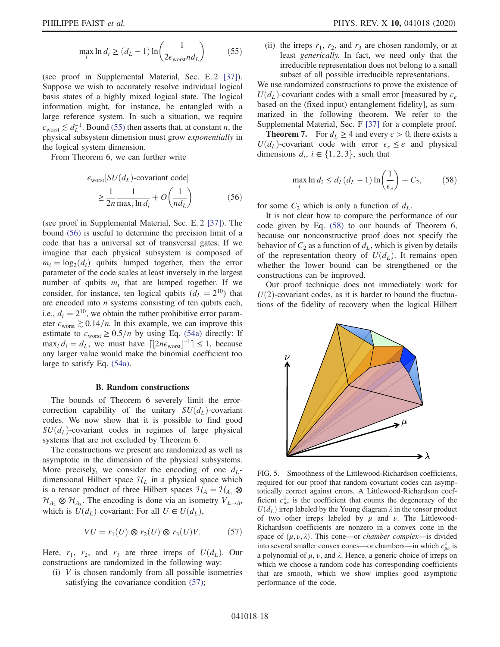$$
\max_{i} \ln d_i \ge (d_L - 1) \ln \left( \frac{1}{2\epsilon_{\text{worst}} n d_L} \right) \tag{55}
$$

(see proof in Supplemental Material, Sec. E. 2 [\[37\]](#page-28-11)). Suppose we wish to accurately resolve individual logical basis states of a highly mixed logical state. The logical information might, for instance, be entangled with a large reference system. In such a situation, we require  $\epsilon_{\text{worst}} \lesssim d_L^{-1}$ . Bound [\(55\)](#page-16-2) then asserts that, at constant *n*, the physical subsystem dimension must grow exponentially in the logical system dimension.

<span id="page-17-0"></span>From Theorem 6, we can further write

$$
\epsilon_{\text{worst}}[SU(d_L)\text{-covariant code}]
$$
  

$$
\geq \frac{1}{2n} \frac{1}{\max_i \ln d_i} + O\left(\frac{1}{nd_L}\right)
$$
 (56)

(see proof in Supplemental Material, Sec. E. 2 [\[37\]](#page-28-11)). The bound [\(56\)](#page-17-0) is useful to determine the precision limit of a code that has a universal set of transversal gates. If we imagine that each physical subsystem is composed of  $m_i = \log_2(d_i)$  qubits lumped together, then the error parameter of the code scales at least inversely in the largest number of qubits  $m_i$  that are lumped together. If we consider, for instance, ten logical qubits ( $d<sub>L</sub> = 2<sup>10</sup>$ ) that are encoded into n systems consisting of ten qubits each, i.e.,  $d_i = 2^{10}$ , we obtain the rather prohibitive error parameter  $\epsilon_{\text{worst}} \gtrsim 0.14/n$ . In this example, we can improve this estimate to  $\epsilon_{\text{worst}} \geq 0.5/n$  by using Eq. [\(54a\)](#page-16-0) directly: If max<sub>i</sub>  $d_i = d_L$ , we must have  $\left[2n\epsilon_{\text{worst}}\right]$ <br>any larger value would make the binomi  $]^{-1}$  ≤ 1, because any larger value would make the binomial coefficient too large to satisfy Eq. [\(54a\)](#page-16-0).

#### B. Random constructions

The bounds of Theorem 6 severely limit the errorcorrection capability of the unitary  $SU(d_L)$ -covariant codes. We now show that it is possible to find good  $SU(d_L)$ -covariant codes in regimes of large physical systems that are not excluded by Theorem 6.

<span id="page-17-1"></span>The constructions we present are randomized as well as asymptotic in the dimension of the physical subsystems. More precisely, we consider the encoding of one  $d_{L}$ dimensional Hilbert space  $\mathcal{H}_L$  in a physical space which is a tensor product of three Hilbert spaces  $\mathcal{H}_A = \mathcal{H}_{A_1} \otimes$  $\mathcal{H}_{A_2} \otimes \mathcal{H}_{A_3}$ . The encoding is done via an isometry  $V_{L\rightarrow A}$ , which is  $U(d_L)$  covariant: For all  $U \in U(d_L)$ ,

$$
VU = r_1(U) \otimes r_2(U) \otimes r_3(U)V. \tag{57}
$$

Here,  $r_1$ ,  $r_2$ , and  $r_3$  are three irreps of  $U(d_L)$ . Our constructions are randomized in the following way:

(i)  $V$  is chosen randomly from all possible isometries satisfying the covariance condition  $(57)$ ;

(ii) the irreps  $r_1$ ,  $r_2$ , and  $r_3$  are chosen randomly, or at least generically. In fact, we need only that the irreducible representation does not belong to a small subset of all possible irreducible representations.

We use randomized constructions to prove the existence of  $U(d_L)$ -covariant codes with a small error [measured by  $\epsilon_e$ based on the (fixed-input) entanglement fidelity], as summarized in the following theorem. We refer to the Supplemental Material, Sec. F [\[37\]](#page-28-11) for a complete proof.

<span id="page-17-2"></span>**Theorem 7.** For  $d_L \geq 4$  and every  $\epsilon > 0$ , there exists a  $U(d_L)$ -covariant code with error  $\epsilon_e \leq \epsilon$  and physical dimensions  $d_i$ ,  $i \in \{1, 2, 3\}$ , such that

$$
\max_{i} \ln d_i \le d_L (d_L - 1) \ln \left(\frac{1}{\epsilon_e}\right) + C_2,\tag{58}
$$

for some  $C_2$  which is only a function of  $d_L$ .

It is not clear how to compare the performance of our code given by Eq. [\(58\)](#page-17-2) to our bounds of Theorem 6, because our nonconstructive proof does not specify the behavior of  $C_2$  as a function of  $d<sub>L</sub>$ , which is given by details of the representation theory of  $U(d_L)$ . It remains open whether the lower bound can be strengthened or the constructions can be improved.

Our proof technique does not immediately work for  $U(2)$ -covariant codes, as it is harder to bound the fluctuations of the fidelity of recovery when the logical Hilbert

<span id="page-17-3"></span>

FIG. 5. Smoothness of the Littlewood-Richardson coefficients, required for our proof that random covariant codes can asymptotically correct against errors. A Littlewood-Richardson coefficient  $c^{\lambda}_{\mu\nu}$  is the coefficient that counts the degeneracy of the  $U(d_L)$  irrep labeled by the Young diagram  $\lambda$  in the tensor product of two other irreps labeled by  $\mu$  and  $\nu$ . The Littlewood-Richardson coefficients are nonzero in a convex cone in the space of  $(\mu, \nu, \lambda)$ . This cone—or *chamber complex*—is divided into several smaller convex cones—or chambers—in which  $c^{\lambda}_{\mu\nu}$  is a polynomial of  $\mu$ ,  $\nu$ , and  $\lambda$ . Hence, a generic choice of irreps on which we choose a random code has corresponding coefficients that are smooth, which we show implies good asymptotic performance of the code.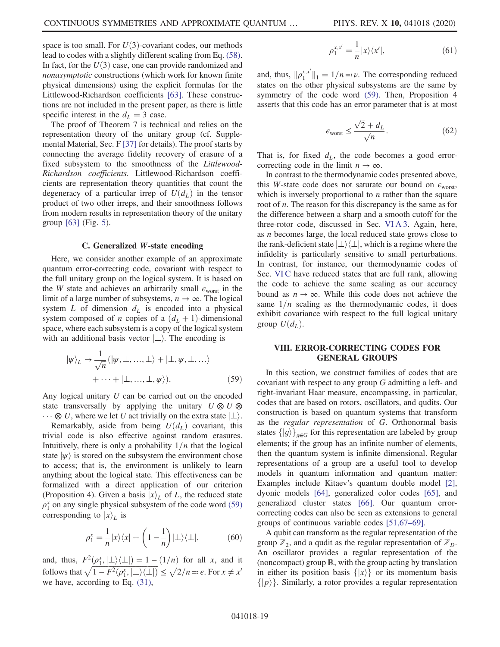space is too small. For  $U(3)$ -covariant codes, our methods lead to codes with a slightly different scaling from Eq. [\(58\)](#page-17-2). In fact, for the  $U(3)$  case, one can provide randomized and nonasymptotic constructions (which work for known finite physical dimensions) using the explicit formulas for the Littlewood-Richardson coefficients [\[63\]](#page-29-12). These constructions are not included in the present paper, as there is little specific interest in the  $d<sub>L</sub> = 3$  case.

The proof of Theorem 7 is technical and relies on the representation theory of the unitary group (cf. Supplemental Material, Sec. F [\[37\]](#page-28-11) for details). The proof starts by connecting the average fidelity recovery of erasure of a fixed subsystem to the smoothness of the Littlewood-Richardson coefficients. Littlewood-Richardson coefficients are representation theory quantities that count the degeneracy of a particular irrep of  $U(d_L)$  in the tensor product of two other irreps, and their smoothness follows from modern results in representation theory of the unitary group [\[63\]](#page-29-12) (Fig. [5\)](#page-17-3).

#### C. Generalized W-state encoding

<span id="page-18-0"></span>Here, we consider another example of an approximate quantum error-correcting code, covariant with respect to the full unitary group on the logical system. It is based on the W state and achieves an arbitrarily small  $\epsilon_{\text{worst}}$  in the limit of a large number of subsystems,  $n \to \infty$ . The logical system  $L$  of dimension  $d<sub>L</sub>$  is encoded into a physical system composed of *n* copies of a  $(d_L + 1)$ -dimensional space, where each subsystem is a copy of the logical system with an additional basis vector  $| \bot \rangle$ . The encoding is

<span id="page-18-2"></span>
$$
|\psi\rangle_L \rightarrow \frac{1}{\sqrt{n}} (|\psi, \bot, \ldots, \bot\rangle + |\bot, \psi, \bot, \ldots\rangle
$$
  
 
$$
+\cdots + |\bot, \ldots, \bot, \psi\rangle). \tag{59}
$$

Any logical unitary U can be carried out on the encoded state transversally by applying the unitary  $U \otimes U \otimes$  $\cdots \otimes U$ , where we let U act trivially on the extra state  $|\perp\rangle$ .

Remarkably, aside from being  $U(d_L)$  covariant, this trivial code is also effective against random erasures. Intuitively, there is only a probability  $1/n$  that the logical state  $|\psi\rangle$  is stored on the subsystem the environment chose to access; that is, the environment is unlikely to learn anything about the logical state. This effectiveness can be formalized with a direct application of our criterion (Proposition 4). Given a basis  $|x\rangle_L$  of L, the reduced state  $\rho_1^x$  on any single physical subsystem of the code word [\(59\)](#page-18-2) corresponding to  $|x\rangle_L$  is

$$
\rho_1^x = \frac{1}{n}|x\rangle\langle x| + \left(1 - \frac{1}{n}\right)|\bot\rangle\langle\bot|,\tag{60}
$$

and, thus,  $F^2(\rho_1^x, |\perp\rangle\langle\perp|) = 1 - (1/n)$  for all x, and it and, thus,  $F^2(\rho_1^*, |\perp\rangle\langle\perp|) = 1 - (1/n)$  for all x, and it<br>follows that  $\sqrt{1 - F^2(\rho_1^*, |\perp\rangle\langle\perp|)} \le \sqrt{2/n} = \epsilon$ . For  $x \neq x'$ <br>we have according to Eq. (31) we have, according to Eq. [\(31\),](#page-10-1)

$$
\rho_1^{x,x'} = \frac{1}{n} |x\rangle\langle x'|,\tag{61}
$$

and, thus,  $\|\rho_1^{x,x'}\|_1 = 1/n = v$ . The corresponding reduced states on the other physical subsystems are the same by states on the other physical subsystems are the same by symmetry of the code word [\(59\).](#page-18-2) Then, Proposition 4 asserts that this code has an error parameter that is at most

$$
\epsilon_{\text{worst}} \le \frac{\sqrt{2} + d_L}{\sqrt{n}}.\tag{62}
$$

That is, for fixed  $d<sub>L</sub>$ , the code becomes a good errorcorrecting code in the limit  $n \to \infty$ .

In contrast to the thermodynamic codes presented above, this W-state code does not saturate our bound on  $\epsilon_{\text{worst}}$ , which is inversely proportional to  $n$  rather than the square root of *n*. The reason for this discrepancy is the same as for the difference between a sharp and a smooth cutoff for the three-rotor code, discussed in Sec. [VI A 3](#page-12-3). Again, here, as n becomes large, the local reduced state grows close to the rank-deficient state  $\ket{\perp}\!\bra{\perp}$ , which is a regime where the infidelity is particularly sensitive to small perturbations. In contrast, for instance, our thermodynamic codes of Sec. [VI C](#page-13-1) have reduced states that are full rank, allowing the code to achieve the same scaling as our accuracy bound as  $n \to \infty$ . While this code does not achieve the same  $1/n$  scaling as the thermodynamic codes, it does exhibit covariance with respect to the full logical unitary group  $U(d_L)$ .

# <span id="page-18-1"></span>VIII. ERROR-CORRECTING CODES FOR GENERAL GROUPS

In this section, we construct families of codes that are covariant with respect to any group G admitting a left- and right-invariant Haar measure, encompassing, in particular, codes that are based on rotors, oscillators, and qudits. Our construction is based on quantum systems that transform as the regular representation of G. Orthonormal basis states  $\{|g\rangle\}_{g\in G}$  for this representation are labeled by group elements; if the group has an infinite number of elements, then the quantum system is infinite dimensional. Regular representations of a group are a useful tool to develop models in quantum information and quantum matter: Examples include Kitaev's quantum double model [\[2\]](#page-27-1), dyonic models [\[64\],](#page-29-13) generalized color codes [\[65\],](#page-29-14) and generalized cluster states [\[66\].](#page-29-15) Our quantum errorcorrecting codes can also be seen as extensions to general groups of continuous variable codes [\[51,67](#page-29-2)–69].

A qubit can transform as the regular representation of the group  $\mathbb{Z}_2$ , and a qudit as the regular representation of  $\mathbb{Z}_D$ . An oscillator provides a regular representation of the (noncompact) group  $\mathbb R$ , with the group acting by translation in either its position basis  $\{|x\rangle\}$  or its momentum basis  $\{|p\rangle\}$ . Similarly, a rotor provides a regular representation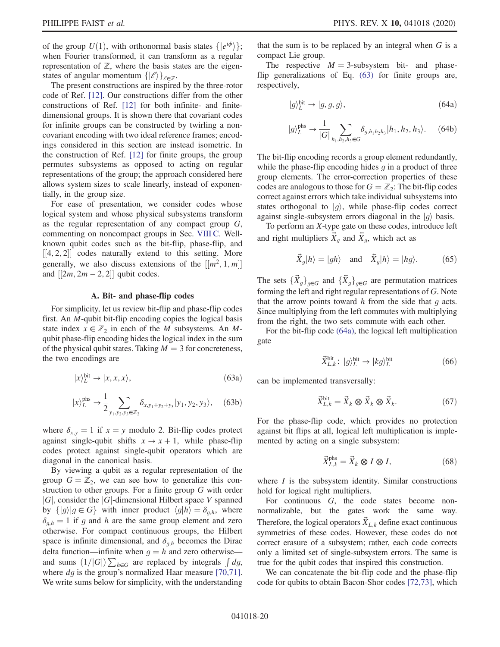of the group  $U(1)$ , with orthonormal basis states  $\{|e^{i\phi}\rangle\};$ when Fourier transformed, it can transform as a regular representation of  $\mathbb{Z}$ , where the basis states are the eigenstates of angular momentum  $\{|\ell\rangle\}_{\ell \in \mathbb{Z}}$ .

The present constructions are inspired by the three-rotor code of Ref. [\[12\].](#page-28-1) Our constructions differ from the other constructions of Ref. [\[12\]](#page-28-1) for both infinite- and finitedimensional groups. It is shown there that covariant codes for infinite groups can be constructed by twirling a noncovariant encoding with two ideal reference frames; encodings considered in this section are instead isometric. In the construction of Ref. [\[12\]](#page-28-1) for finite groups, the group permutes subsystems as opposed to acting on regular representations of the group; the approach considered here allows system sizes to scale linearly, instead of exponentially, in the group size.

For ease of presentation, we consider codes whose logical system and whose physical subsystems transform as the regular representation of any compact group G, commenting on noncompact groups in Sec. [VIII C](#page-21-1). Wellknown qubit codes such as the bit-flip, phase-flip, and [[4, 2, 2]] codes naturally extend to this setting. More<br>generally we also discuss extensions of the  $\left[\frac{m^2}{4} + m\right]$ generally, we also discuss extensions of the  $[[m^2, 1, m]]$ <br>and  $[2m, 2m - 2, 2]]$  oubit codes and  $[[2m, 2m - 2, 2]]$  qubit codes.

# A. Bit- and phase-flip codes

For simplicity, let us review bit-flip and phase-flip codes first. An M-qubit bit-flip encoding copies the logical basis state index  $x \in \mathbb{Z}_2$  in each of the *M* subsystems. An *M*qubit phase-flip encoding hides the logical index in the sum of the physical qubit states. Taking  $M = 3$  for concreteness, the two encodings are

<span id="page-19-0"></span>
$$
|x\rangle_L^{\text{bit}} \to |x, x, x\rangle,\tag{63a}
$$

$$
|x\rangle_L^{\text{phs}} \to \frac{1}{2} \sum_{y_1, y_2, y_3 \in \mathbb{Z}_2} \delta_{x, y_1 + y_2 + y_3} |y_1, y_2, y_3\rangle, \quad (63b)
$$

where  $\delta_{x,y} = 1$  if  $x = y$  modulo 2. Bit-flip codes protect against single-qubit shifts  $x \to x + 1$ , while phase-flip codes protect against single-qubit operators which are diagonal in the canonical basis.

By viewing a qubit as a regular representation of the group  $G = \mathbb{Z}_2$ , we can see how to generalize this construction to other groups. For a finite group G with order  $|G|$ , consider the  $|G|$ -dimensional Hilbert space V spanned by  $\{|g\rangle|g \in G\}$  with inner product  $\langle g|h\rangle = \delta_{g,h}$ , where  $\delta_{a,h} = 1$  if g and h are the same group element and zero otherwise. For compact continuous groups, the Hilbert space is infinite dimensional, and  $\delta_{q,h}$  becomes the Dirac delta function—infinite when  $g = h$  and zero otherwise delta function—infinite when  $g = h$  and zero otherwise—<br>and sums  $(1/|G|) \sum_{h \in G}$  are replaced by integrals  $\int dg$ ,<br>where do is the group's normalized Haar measure [70.71] where  $dg$  is the group's normalized Haar measure [\[70,71\]](#page-29-16). We write sums below for simplicity, with the understanding that the sum is to be replaced by an integral when  $G$  is a compact Lie group.

<span id="page-19-1"></span>The respective  $M = 3$ -subsystem bit- and phaseflip generalizations of Eq. [\(63\)](#page-19-0) for finite groups are, respectively,

$$
|g\rangle_L^{\text{bit}} \to |g, g, g\rangle,\tag{64a}
$$

$$
|g\rangle_L^{\text{phs}} \to \frac{1}{|G|} \sum_{h_1, h_2, h_3 \in G} \delta_{g, h_1 h_2 h_3} |h_1, h_2, h_3\rangle. \tag{64b}
$$

The bit-flip encoding records a group element redundantly, while the phase-flip encoding hides  $q$  in a product of three group elements. The error-correction properties of these codes are analogous to those for  $G = \mathbb{Z}_2$ : The bit-flip codes correct against errors which take individual subsystems into states orthogonal to  $|g\rangle$ , while phase-flip codes correct against single-subsystem errors diagonal in the  $|q\rangle$  basis.

To perform an X-type gate on these codes, introduce left and right multipliers  $\vec{X}_q$  and  $\vec{X}_q$ , which act as

$$
\vec{X}_g|h\rangle = |gh\rangle
$$
 and  $\vec{X}_g|h\rangle = |hg\rangle.$  (65)

The sets  $\{\vec{X}_g\}_{g \in G}$  and  $\{\vec{X}_g\}_{g \in G}$  are permutation matrices forming the left and right regular representations of G. Note that the arrow points toward  $h$  from the side that  $q$  acts. Since multiplying from the left commutes with multiplying from the right, the two sets commute with each other.

For the bit-flip code [\(64a\),](#page-19-1) the logical left multiplication gate

$$
\vec{X}_{L,k}^{\text{bit}} \colon |g\rangle_L^{\text{bit}} \to |kg\rangle_L^{\text{bit}} \tag{66}
$$

can be implemented transversally:

$$
\vec{X}_{L,k}^{\text{bit}} = \vec{X}_k \otimes \vec{X}_k \otimes \vec{X}_k. \tag{67}
$$

For the phase-flip code, which provides no protection against bit flips at all, logical left multiplication is implemented by acting on a single subsystem:

$$
\vec{X}_{L,k}^{\text{phs}} = \vec{X}_k \otimes I \otimes I,\tag{68}
$$

where  $I$  is the subsystem identity. Similar constructions hold for logical right multipliers.

For continuous G, the code states become nonnormalizable, but the gates work the same way. Therefore, the logical operators  $\vec{X}_{L,k}$  define exact continuous symmetries of these codes. However, these codes do not correct erasure of a subsystem; rather, each code corrects only a limited set of single-subsystem errors. The same is true for the qubit codes that inspired this construction.

We can concatenate the bit-flip code and the phase-flip code for qubits to obtain Bacon-Shor codes [\[72,73\]](#page-29-17), which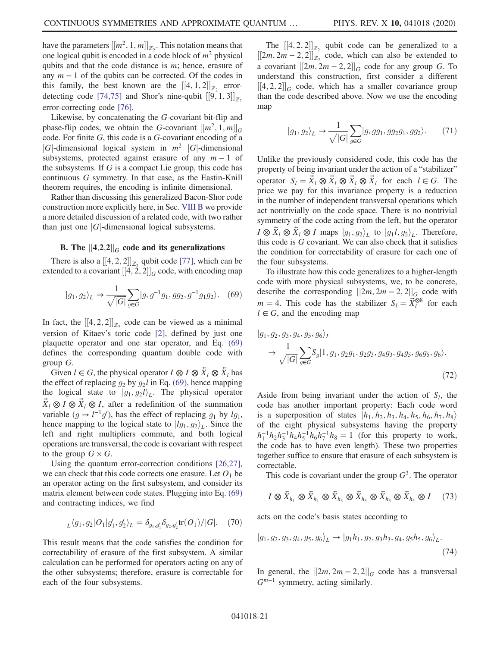have the parameters  $[[m^2, 1, m]]_{\mathbb{Z}_2}$ . This notation means that one logical qubit is encoded in a code block of  $m^2$  physical one logical qubit is encoded in a code block of  $m^2$  physical qubits and that the code distance is  $m$ ; hence, erasure of any  $m - 1$  of the qubits can be corrected. Of the codes in this family, the best known are the  $[[4, 1, 2]]_{\mathbb{Z}_2}$  error-<br>detecting each  $[74, 75]$  and Shor's nine qubit  $[[0, 1, 2]]$ detecting code [\[74,75\]](#page-29-18) and Shor's nine-qubit  $[[9, 1, 3]]_{\mathbb{Z}_2}$ error-correcting code [\[76\]](#page-29-19).

Likewise, by concatenating the G-covariant bit-flip and phase-flip codes, we obtain the G-covariant  $[[m^2, 1, m]]_G$ <br>code. For finite G, this code is a G-covariant encoding of a code. For finite  $G$ , this code is a  $G$ -covariant encoding of a  $|G|$ -dimensional logical system in  $m^2$  |G|-dimensional subsystems, protected against erasure of any  $m - 1$  of the subsystems. If G is a compact Lie group, this code has continuous G symmetry. In that case, as the Eastin-Knill theorem requires, the encoding is infinite dimensional.

Rather than discussing this generalized Bacon-Shor code construction more explicitly here, in Sec. [VIII B](#page-20-0) we provide a more detailed discussion of a related code, with two rather than just one  $|G|$ -dimensional logical subsystems.

# <span id="page-20-0"></span>**B.** The  $[[4,2,2]]_G$  code and its generalizations

<span id="page-20-1"></span>There is also a  $[[4, 2, 2]]_{\mathbb{Z}_2}$  qubit code [\[77\],](#page-29-20) which can be tended to a covariant  $[[4, 2, 2]]_7$  code, with encoding man extended to a covariant  $[[4, 2, 2]]_G$  code, with encoding map

$$
|g_1, g_2\rangle_L \rightarrow \frac{1}{\sqrt{|G|}} \sum_{g \in G} |g, g^{-1}g_1, gg_2, g^{-1}g_1g_2\rangle.
$$
 (69)

In fact, the  $[[4, 2, 2]]_{\mathbb{Z}_2}$  code can be viewed as a minimal<br>version of Kitoav's torio ando [2], defined by just one version of Kitaev's toric code [\[2\]](#page-27-1), defined by just one plaquette operator and one star operator, and Eq. [\(69\)](#page-20-1) defines the corresponding quantum double code with group G.

Given  $l \in G$ , the physical operator  $I \otimes I \otimes \overline{X}_l \otimes \overline{X}_l$  has the effect of replacing  $g_2$  by  $g_2$ l in Eq. [\(69\),](#page-20-1) hence mapping the logical state to  $|g_1, g_2 l\rangle_L$ . The physical operator  $\vec{X}_l \otimes I \otimes \vec{X}_l \otimes I$ , after a redefinition of the summation variable  $(g \to l^{-1}g')$ , has the effect of replacing  $g_1$  by  $lg_1$ , hence mapping to the logical state to  $|lg_1, g_2\rangle_L$ . Since the left and right multipliers commute, and both logical operations are transversal, the code is covariant with respect to the group  $G \times G$ .

Using the quantum error-correction conditions [\[26,27\]](#page-28-5), we can check that this code corrects one erasure. Let  $O_1$  be an operator acting on the first subsystem, and consider its matrix element between code states. Plugging into Eq. [\(69\)](#page-20-1) and contracting indices, we find

$$
L\langle g_1, g_2 | O_1 | g'_1, g'_2 \rangle_L = \delta_{g_1, g'_1} \delta_{g_2, g'_2} \text{tr}(O_1) / | G |.
$$
 (70)

This result means that the code satisfies the condition for correctability of erasure of the first subsystem. A similar calculation can be performed for operators acting on any of the other subsystems; therefore, erasure is correctable for each of the four subsystems.

The  $[[4, 2, 2]]_{\mathbb{Z}_2}$  qubit code can be generalized to a  $m \cdot 2m = 2$   $2||_{\mathbb{Z}_2}$  code which can also be extended to  $[[2m, 2m-2, 2]]_{\mathbb{Z}_2}$  code, which can also be extended to a covariant  $[[2m, 2m - 2, 2]]_G$  code for any group G. To<br>understand this construction, first consider a different -understand this construction, first consider a different  $[[4, 2, 2]]_G$  code, which has a smaller covariance group<br>than the code described above. Now we use the encoding than the code described above. Now we use the encoding map

$$
|g_1, g_2\rangle_L \to \frac{1}{\sqrt{|G|}} \sum_{g \in G} |g, gg_1, gg_2g_1, gg_2\rangle. \tag{71}
$$

Unlike the previously considered code, this code has the property of being invariant under the action of a "stabilizer" operator  $S_l = \vec{X}_l \otimes \vec{X}_l \otimes \vec{X}_l \otimes \vec{X}_l$  for each  $l \in G$ . The price we pay for this invariance property is a reduction in the number of independent transversal operations which act nontrivially on the code space. There is no nontrivial symmetry of the code acting from the left, but the operator  $I \otimes \overline{X}_l \otimes \overline{X}_l \otimes I$  maps  $|g_1, g_2\rangle_L$  to  $|g_1l, g_2\rangle_L$ . Therefore, this code is G covariant. We can also check that it satisfies the condition for correctability of erasure for each one of the four subsystems.

To illustrate how this code generalizes to a higher-length code with more physical subsystems, we, to be concrete, describe the corresponding  $[[2m, 2m-2, 2]]_G$  code with  $m = 4$ . This code has the stabilizer  $S_l = \vec{X}_l^{\otimes 8}$  for each  $l \in G$  and the encoding man  $l \in G$ , and the encoding map

$$
|g_1, g_2, g_3, g_4, g_5, g_6\rangle_L
$$
  
\n
$$
\rightarrow \frac{1}{\sqrt{|G|}} \sum_{g \in G} S_g |1, g_1, g_2 g_1, g_2 g_3, g_4 g_3, g_4 g_5, g_6 g_5, g_6\rangle.
$$
\n(72)

Aside from being invariant under the action of  $S_l$ , the code has another important property: Each code word is a superposition of states  $|h_1, h_2, h_3, h_4, h_5, h_6, h_7, h_8\rangle$ of the eight physical subsystems having the property  $h_1^{-1}h_2h_3^{-1}h_4h_5^{-1}h_6h_7^{-1}h_8 = 1$  (for this property to work,<br>the code has to have even length). These two properties the code has to have even length). These two properties together suffice to ensure that erasure of each subsystem is correctable.

This code is covariant under the group  $G<sup>3</sup>$ . The operator

$$
I \otimes \overline{X}_{h_1} \otimes \overline{X}_{h_1} \otimes \overline{X}_{h_3} \otimes \overline{X}_{h_3} \otimes \overline{X}_{h_5} \otimes \overline{X}_{h_5} \otimes I \quad (73)
$$

acts on the code's basis states according to

$$
|g_1, g_2, g_3, g_4, g_5, g_6\rangle_L \rightarrow |g_1h_1, g_2, g_3h_3, g_4, g_5h_5, g_6\rangle_L.
$$
 (74)

In general, the  $[[2m, 2m-2, 2]]_G$  code has a transversal  $G^{m-1}$  symmetry acting similarly  $G^{m-1}$  symmetry, acting similarly.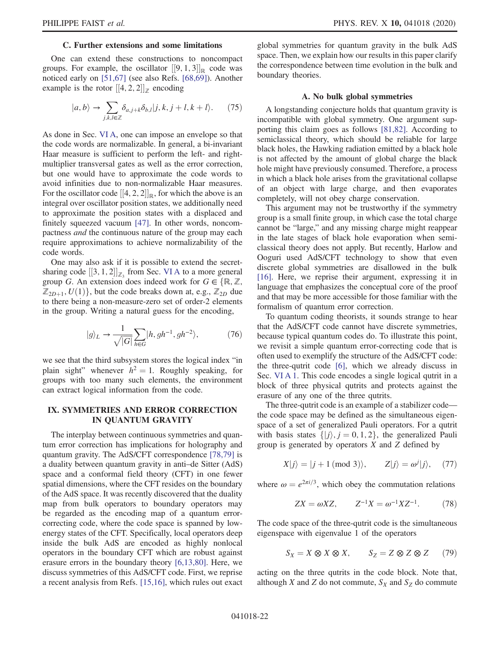# C. Further extensions and some limitations

<span id="page-21-1"></span>One can extend these constructions to noncompact groups. For example, the oscillator  $[[9, 1, 3]]_{\mathbb{R}}$  code was<br>noticed early on [51.67] (see also Refs. [68.69]). Another noticed early on [\[51,67\]](#page-29-2) (see also Refs. [\[68,69\]\)](#page-29-21). Another example is the rotor  $[[4, 2, 2]]_{\mathbb{Z}}$  encoding

$$
|a,b\rangle \to \sum_{j,k,l \in \mathbb{Z}} \delta_{a,j+k} \delta_{b,l} |j,k,j+l,k+l\rangle.
$$
 (75)

As done in Sec. [VI A](#page-11-5), one can impose an envelope so that the code words are normalizable. In general, a bi-invariant Haar measure is sufficient to perform the left- and rightmultiplier transversal gates as well as the error correction, but one would have to approximate the code words to avoid infinities due to non-normalizable Haar measures. For the oscillator code  $[[4, 2, 2]]_{\mathbb{R}}$ , for which the above is an integral over oscillator position states, we additionally need -integral over oscillator position states, we additionally need to approximate the position states with a displaced and finitely squeezed vacuum [\[47\]](#page-28-17). In other words, noncompactness and the continuous nature of the group may each require approximations to achieve normalizability of the code words.

One may also ask if it is possible to extend the secretsharing code  $[[3, 1, 2]]_{\mathbb{Z}_3}$  from Sec. VIA to a more general group  $G$ . An extension does indeed work for  $G \in \mathbb{R} \mathbb{Z}$ group G. An extension does indeed work for  $G \in \{ \mathbb{R}, \mathbb{Z}, \mathbb{Z}_{\geq 0} \}$  but the code breaks down at e.g.  $\mathbb{Z}_{\geq 0}$  due  $\mathbb{Z}_{2D+1}, U(1)$ , but the code breaks down at, e.g.,  $\mathbb{Z}_{2D}$  due to there being a non-measure-zero set of order-2 elements in the group. Writing a natural guess for the encoding,

$$
|g\rangle_L \to \frac{1}{\sqrt{|G|}} \sum_{h \in G} |h, gh^{-1}, gh^{-2}\rangle, \tag{76}
$$

we see that the third subsystem stores the logical index "in plain sight" whenever  $h^2 = 1$ . Roughly speaking, for groups with too many such elements, the environment can extract logical information from the code.

# <span id="page-21-0"></span>IX. SYMMETRIES AND ERROR CORRECTION IN QUANTUM GRAVITY

The interplay between continuous symmetries and quantum error correction has implications for holography and quantum gravity. The AdS/CFT correspondence [\[78,79\]](#page-29-22) is a duality between quantum gravity in anti–de Sitter (AdS) space and a conformal field theory (CFT) in one fewer spatial dimensions, where the CFT resides on the boundary of the AdS space. It was recently discovered that the duality map from bulk operators to boundary operators may be regarded as the encoding map of a quantum errorcorrecting code, where the code space is spanned by lowenergy states of the CFT. Specifically, local operators deep inside the bulk AdS are encoded as highly nonlocal operators in the boundary CFT which are robust against erasure errors in the boundary theory [\[6,13,80\]](#page-27-2). Here, we discuss symmetries of this AdS/CFT code. First, we reprise a recent analysis from Refs. [\[15,16\]](#page-28-19), which rules out exact global symmetries for quantum gravity in the bulk AdS space. Then, we explain how our results in this paper clarify the correspondence between time evolution in the bulk and boundary theories.

#### A. No bulk global symmetries

<span id="page-21-2"></span>A longstanding conjecture holds that quantum gravity is incompatible with global symmetry. One argument supporting this claim goes as follows [\[81,82\]](#page-29-23). According to semiclassical theory, which should be reliable for large black holes, the Hawking radiation emitted by a black hole is not affected by the amount of global charge the black hole might have previously consumed. Therefore, a process in which a black hole arises from the gravitational collapse of an object with large charge, and then evaporates completely, will not obey charge conservation.

This argument may not be trustworthy if the symmetry group is a small finite group, in which case the total charge cannot be "large," and any missing charge might reappear in the late stages of black hole evaporation when semiclassical theory does not apply. But recently, Harlow and Ooguri used AdS/CFT technology to show that even discrete global symmetries are disallowed in the bulk [\[16\]](#page-28-20). Here, we reprise their argument, expressing it in language that emphasizes the conceptual core of the proof and that may be more accessible for those familiar with the formalism of quantum error correction.

To quantum coding theorists, it sounds strange to hear that the AdS/CFT code cannot have discrete symmetries, because typical quantum codes do. To illustrate this point, we revisit a simple quantum error-correcting code that is often used to exemplify the structure of the AdS/CFT code: the three-qutrit code [\[6\],](#page-27-2) which we already discuss in Sec. [VI A 1.](#page-11-6) This code encodes a single logical qutrit in a block of three physical qutrits and protects against the erasure of any one of the three qutrits.

The three-qutrit code is an example of a stabilizer code the code space may be defined as the simultaneous eigenspace of a set of generalized Pauli operators. For a qutrit with basis states  $\{|j\rangle, j = 0, 1, 2\}$ , the generalized Pauli group is generated by operators  $X$  and  $Z$  defined by

$$
X|j\rangle = |j+1 \pmod{3}\rangle, \qquad Z|j\rangle = \omega^j|j\rangle, \quad (77)
$$

where  $\omega = e^{2\pi i/3}$ , which obey the commutation relations

$$
ZX = \omega XZ, \qquad Z^{-1}X = \omega^{-1}XZ^{-1}.
$$
 (78)

The code space of the three-qutrit code is the simultaneous eigenspace with eigenvalue 1 of the operators

$$
S_X = X \otimes X \otimes X, \qquad S_Z = Z \otimes Z \otimes Z \tag{79}
$$

acting on the three qutrits in the code block. Note that, although X and Z do not commute,  $S_X$  and  $S_Z$  do commute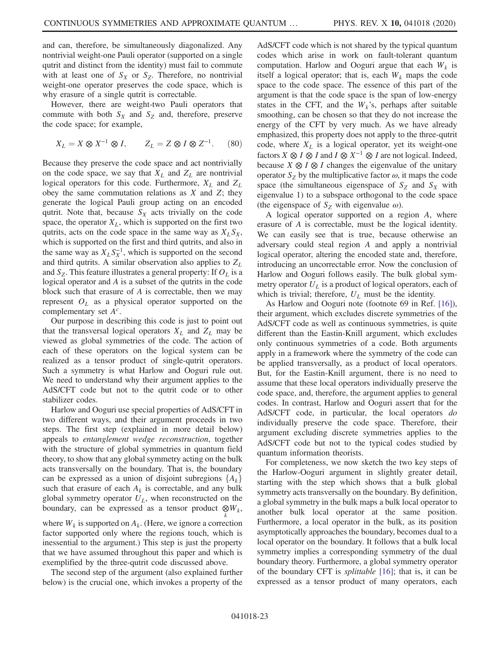and can, therefore, be simultaneously diagonalized. Any nontrivial weight-one Pauli operator (supported on a single qutrit and distinct from the identity) must fail to commute with at least one of  $S_X$  or  $S_Z$ . Therefore, no nontrivial weight-one operator preserves the code space, which is why erasure of a single qutrit is correctable.

However, there are weight-two Pauli operators that commute with both  $S_X$  and  $S_Z$  and, therefore, preserve the code space; for example,

$$
X_L = X \otimes X^{-1} \otimes I, \qquad Z_L = Z \otimes I \otimes Z^{-1}. \tag{80}
$$

Because they preserve the code space and act nontrivially on the code space, we say that  $X_L$  and  $Z_L$  are nontrivial logical operators for this code. Furthermore,  $X_L$  and  $Z_L$ obey the same commutation relations as  $X$  and  $Z$ ; they generate the logical Pauli group acting on an encoded qutrit. Note that, because  $S_X$  acts trivially on the code space, the operator  $X_L$ , which is supported on the first two qutrits, acts on the code space in the same way as  $X_L S_X$ , which is supported on the first and third qutrits, and also in the same way as  $X_L S_X^{-1}$ , which is supported on the second and third qutrits. A similar observation also applies to  $Z_L$ and  $S_Z$ . This feature illustrates a general property: If  $O_L$  is a logical operator and A is a subset of the qutrits in the code block such that erasure of A is correctable, then we may represent  $O<sub>L</sub>$  as a physical operator supported on the complementary set  $A^c$ .

Our purpose in describing this code is just to point out that the transversal logical operators  $X_L$  and  $Z_L$  may be viewed as global symmetries of the code. The action of each of these operators on the logical system can be realized as a tensor product of single-qutrit operators. Such a symmetry is what Harlow and Ooguri rule out. We need to understand why their argument applies to the AdS/CFT code but not to the qutrit code or to other stabilizer codes.

Harlow and Ooguri use special properties of AdS/CFT in two different ways, and their argument proceeds in two steps. The first step (explained in more detail below) appeals to entanglement wedge reconstruction, together with the structure of global symmetries in quantum field theory, to show that any global symmetry acting on the bulk acts transversally on the boundary. That is, the boundary can be expressed as a union of disjoint subregions  $\{A_k\}$ such that erasure of each  $A_k$  is correctable, and any bulk global symmetry operator  $U_L$ , when reconstructed on the boundary, can be expressed as a tensor product  $\bigotimes_k W_k$ , where  $W_k$  is supported on  $A_k$ . (Here, we ignore a correction factor supported only where the regions touch, which is inessential to the argument.) This step is just the property that we have assumed throughout this paper and which is exemplified by the three-qutrit code discussed above.

The second step of the argument (also explained further below) is the crucial one, which invokes a property of the AdS/CFT code which is not shared by the typical quantum codes which arise in work on fault-tolerant quantum computation. Harlow and Ooguri argue that each  $W_k$  is itself a logical operator; that is, each  $W_k$  maps the code space to the code space. The essence of this part of the argument is that the code space is the span of low-energy states in the CFT, and the  $W_k$ 's, perhaps after suitable smoothing, can be chosen so that they do not increase the energy of the CFT by very much. As we have already emphasized, this property does not apply to the three-qutrit code, where  $X_L$  is a logical operator, yet its weight-one factors  $X \otimes I \otimes I$  and  $I \otimes X^{-1} \otimes I$  are not logical. Indeed, because  $X \otimes I \otimes I$  changes the eigenvalue of the unitary operator  $S_Z$  by the multiplicative factor  $\omega$ , it maps the code space (the simultaneous eigenspace of  $S_z$  and  $S_x$  with eigenvalue 1) to a subspace orthogonal to the code space (the eigenspace of  $S_Z$  with eigenvalue  $\omega$ ).

A logical operator supported on a region A, where erasure of A is correctable, must be the logical identity. We can easily see that is true, because otherwise an adversary could steal region A and apply a nontrivial logical operator, altering the encoded state and, therefore, introducing an uncorrectable error. Now the conclusion of Harlow and Ooguri follows easily. The bulk global symmetry operator  $U_L$  is a product of logical operators, each of which is trivial; therefore,  $U_L$  must be the identity.

As Harlow and Ooguri note (footnote 69 in Ref. [\[16\]](#page-28-20)), their argument, which excludes discrete symmetries of the AdS/CFT code as well as continuous symmetries, is quite different than the Eastin-Knill argument, which excludes only continuous symmetries of a code. Both arguments apply in a framework where the symmetry of the code can be applied transversally, as a product of local operators. But, for the Eastin-Knill argument, there is no need to assume that these local operators individually preserve the code space, and, therefore, the argument applies to general codes. In contrast, Harlow and Ooguri assert that for the AdS/CFT code, in particular, the local operators do individually preserve the code space. Therefore, their argument excluding discrete symmetries applies to the AdS/CFT code but not to the typical codes studied by quantum information theorists.

For completeness, we now sketch the two key steps of the Harlow-Ooguri argument in slightly greater detail, starting with the step which shows that a bulk global symmetry acts transversally on the boundary. By definition, a global symmetry in the bulk maps a bulk local operator to another bulk local operator at the same position. Furthermore, a local operator in the bulk, as its position asymptotically approaches the boundary, becomes dual to a local operator on the boundary. It follows that a bulk local symmetry implies a corresponding symmetry of the dual boundary theory. Furthermore, a global symmetry operator of the boundary CFT is splittable [\[16\];](#page-28-20) that is, it can be expressed as a tensor product of many operators, each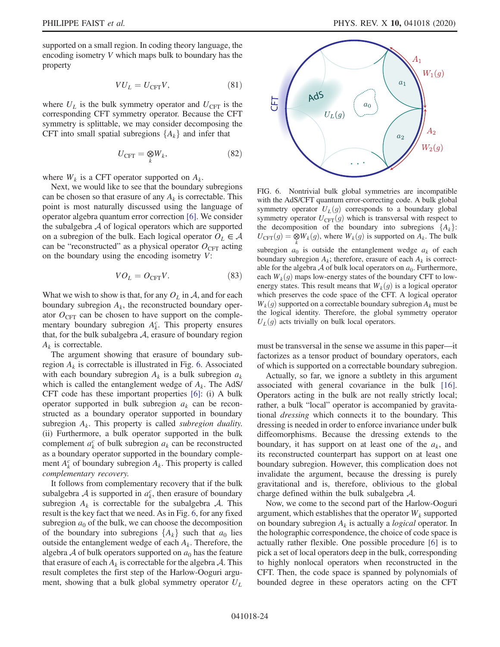supported on a small region. In coding theory language, the encoding isometry V which maps bulk to boundary has the property

$$
VU_L = U_{\text{CFT}} V, \tag{81}
$$

<span id="page-23-1"></span>where  $U_L$  is the bulk symmetry operator and  $U_{\text{CFT}}$  is the corresponding CFT symmetry operator. Because the CFT symmetry is splittable, we may consider decomposing the CFT into small spatial subregions  $\{A_k\}$  and infer that

$$
U_{\text{CFT}} = \mathop{\otimes}\limits_k W_k,\tag{82}
$$

where  $W_k$  is a CFT operator supported on  $A_k$ .

Next, we would like to see that the boundary subregions can be chosen so that erasure of any  $A_k$  is correctable. This point is most naturally discussed using the language of operator algebra quantum error correction [\[6\]](#page-27-2). We consider the subalgebra  $A$  of logical operators which are supported on a subregion of the bulk. Each logical operator  $O<sub>L</sub> \in \mathcal{A}$ can be "reconstructed" as a physical operator  $O_{\text{CFT}}$  acting on the boundary using the encoding isometry V:

$$
VO_L = O_{\text{CFT}} V. \tag{83}
$$

What we wish to show is that, for any  $O_L$  in A, and for each boundary subregion  $A_k$ , the reconstructed boundary operator  $O_{\text{CFT}}$  can be chosen to have support on the complementary boundary subregion  $A_k^c$ . This property ensures that, for the bulk subalgebra  $A$ , erasure of boundary region  $A_k$  is correctable.

The argument showing that erasure of boundary subregion  $A_k$  is correctable is illustrated in Fig. [6.](#page-23-0) Associated with each boundary subregion  $A_k$  is a bulk subregion  $a_k$ which is called the entanglement wedge of  $A_k$ . The AdS/ CFT code has these important properties [\[6\]:](#page-27-2) (i) A bulk operator supported in bulk subregion  $a_k$  can be reconstructed as a boundary operator supported in boundary subregion  $A_k$ . This property is called *subregion duality*. (ii) Furthermore, a bulk operator supported in the bulk complement  $a_k^c$  of bulk subregion  $a_k$  can be reconstructed as a boundary operator supported in the boundary complement  $A_k^c$  of boundary subregion  $A_k$ . This property is called complementary recovery.

It follows from complementary recovery that if the bulk subalgebra A is supported in  $a_k^c$ , then erasure of boundary subregion  $A_k$  is correctable for the subalgebra A. This result is the key fact that we need. As in Fig. [6,](#page-23-0) for any fixed subregion  $a_0$  of the bulk, we can choose the decomposition of the boundary into subregions  $\{A_k\}$  such that  $a_0$  lies outside the entanglement wedge of each  $A_k$ . Therefore, the algebra  $A$  of bulk operators supported on  $a_0$  has the feature that erasure of each  $A_k$  is correctable for the algebra A. This result completes the first step of the Harlow-Ooguri argument, showing that a bulk global symmetry operator  $U_L$ 

<span id="page-23-0"></span>

FIG. 6. Nontrivial bulk global symmetries are incompatible with the AdS/CFT quantum error-correcting code. A bulk global symmetry operator  $U_L(g)$  corresponds to a boundary global symmetry operator  $U_{\text{CFT}}(g)$  which is transversal with respect to the decomposition of the boundary into subregions  $\{A_k\}$ :  $U_{\text{CFT}}(g) = \mathcal{L}_k W_k(g)$ , where  $W_k(g)$  is supported on  $A_k$ . The bulk subregion  $a_0$  is outside the entanglement wedge  $a_k$  of each boundary subregion  $A_k$ ; therefore, erasure of each  $A_k$  is correctable for the algebra  $A$  of bulk local operators on  $a_0$ . Furthermore, each  $W_k(g)$  maps low-energy states of the boundary CFT to lowenergy states. This result means that  $W_k(g)$  is a logical operator which preserves the code space of the CFT. A logical operator  $W_k(g)$  supported on a correctable boundary subregion  $A_k$  must be the logical identity. Therefore, the global symmetry operator  $U_L(g)$  acts trivially on bulk local operators.

must be transversal in the sense we assume in this paper—it factorizes as a tensor product of boundary operators, each of which is supported on a correctable boundary subregion.

Actually, so far, we ignore a subtlety in this argument associated with general covariance in the bulk [\[16\]](#page-28-20). Operators acting in the bulk are not really strictly local; rather, a bulk "local" operator is accompanied by gravitational dressing which connects it to the boundary. This dressing is needed in order to enforce invariance under bulk diffeomorphisms. Because the dressing extends to the boundary, it has support on at least one of the  $a_k$ , and its reconstructed counterpart has support on at least one boundary subregion. However, this complication does not invalidate the argument, because the dressing is purely gravitational and is, therefore, oblivious to the global charge defined within the bulk subalgebra A.

Now, we come to the second part of the Harlow-Ooguri argument, which establishes that the operator  $W_k$  supported on boundary subregion  $A_k$  is actually a *logical* operator. In the holographic correspondence, the choice of code space is actually rather flexible. One possible procedure [\[6\]](#page-27-2) is to pick a set of local operators deep in the bulk, corresponding to highly nonlocal operators when reconstructed in the CFT. Then, the code space is spanned by polynomials of bounded degree in these operators acting on the CFT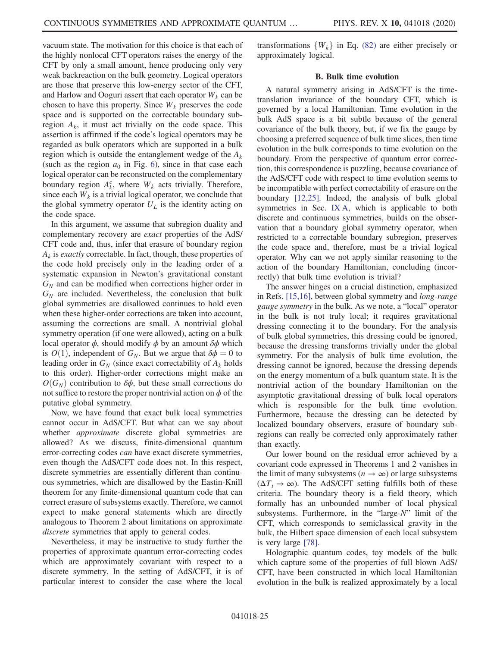vacuum state. The motivation for this choice is that each of the highly nonlocal CFT operators raises the energy of the CFT by only a small amount, hence producing only very weak backreaction on the bulk geometry. Logical operators are those that preserve this low-energy sector of the CFT, and Harlow and Ooguri assert that each operator  $W_k$  can be chosen to have this property. Since  $W_k$  preserves the code space and is supported on the correctable boundary subregion  $A_k$ , it must act trivially on the code space. This assertion is affirmed if the code's logical operators may be regarded as bulk operators which are supported in a bulk region which is outside the entanglement wedge of the  $A_k$ (such as the region  $a_0$  in Fig. [6\)](#page-23-0), since in that case each logical operator can be reconstructed on the complementary boundary region  $A_k^c$ , where  $W_k$  acts trivially. Therefore, since each  $W_k$  is a trivial logical operator, we conclude that the global symmetry operator  $U_L$  is the identity acting on the code space.

In this argument, we assume that subregion duality and complementary recovery are exact properties of the AdS/ CFT code and, thus, infer that erasure of boundary region  $A_k$  is *exactly* correctable. In fact, though, these properties of the code hold precisely only in the leading order of a systematic expansion in Newton's gravitational constant  $G_N$  and can be modified when corrections higher order in  $G_N$  are included. Nevertheless, the conclusion that bulk global symmetries are disallowed continues to hold even when these higher-order corrections are taken into account, assuming the corrections are small. A nontrivial global symmetry operation (if one were allowed), acting on a bulk local operator  $\phi$ , should modify  $\phi$  by an amount  $\delta\phi$  which is  $O(1)$ , independent of  $G_N$ . But we argue that  $\delta \phi = 0$  to leading order in  $G_N$  (since exact correctability of  $A_k$  holds to this order). Higher-order corrections might make an  $O(G_N)$  contribution to  $\delta\phi$ , but these small corrections do not suffice to restore the proper nontrivial action on  $\phi$  of the putative global symmetry.

Now, we have found that exact bulk local symmetries cannot occur in AdS/CFT. But what can we say about whether *approximate* discrete global symmetries are allowed? As we discuss, finite-dimensional quantum error-correcting codes can have exact discrete symmetries, even though the AdS/CFT code does not. In this respect, discrete symmetries are essentially different than continuous symmetries, which are disallowed by the Eastin-Knill theorem for any finite-dimensional quantum code that can correct erasure of subsystems exactly. Therefore, we cannot expect to make general statements which are directly analogous to Theorem 2 about limitations on approximate discrete symmetries that apply to general codes.

Nevertheless, it may be instructive to study further the properties of approximate quantum error-correcting codes which are approximately covariant with respect to a discrete symmetry. In the setting of AdS/CFT, it is of particular interest to consider the case where the local transformations  $\{W_k\}$  in Eq. [\(82\)](#page-23-1) are either precisely or approximately logical.

## B. Bulk time evolution

A natural symmetry arising in AdS/CFT is the timetranslation invariance of the boundary CFT, which is governed by a local Hamiltonian. Time evolution in the bulk AdS space is a bit subtle because of the general covariance of the bulk theory, but, if we fix the gauge by choosing a preferred sequence of bulk time slices, then time evolution in the bulk corresponds to time evolution on the boundary. From the perspective of quantum error correction, this correspondence is puzzling, because covariance of the AdS/CFT code with respect to time evolution seems to be incompatible with perfect correctability of erasure on the boundary [\[12,25\].](#page-28-1) Indeed, the analysis of bulk global symmetries in Sec. [IX A,](#page-21-2) which is applicable to both discrete and continuous symmetries, builds on the observation that a boundary global symmetry operator, when restricted to a correctable boundary subregion, preserves the code space and, therefore, must be a trivial logical operator. Why can we not apply similar reasoning to the action of the boundary Hamiltonian, concluding (incorrectly) that bulk time evolution is trivial?

The answer hinges on a crucial distinction, emphasized in Refs. [\[15,16\]](#page-28-19), between global symmetry and long-range gauge symmetry in the bulk. As we note, a "local" operator in the bulk is not truly local; it requires gravitational dressing connecting it to the boundary. For the analysis of bulk global symmetries, this dressing could be ignored, because the dressing transforms trivially under the global symmetry. For the analysis of bulk time evolution, the dressing cannot be ignored, because the dressing depends on the energy momentum of a bulk quantum state. It is the nontrivial action of the boundary Hamiltonian on the asymptotic gravitational dressing of bulk local operators which is responsible for the bulk time evolution. Furthermore, because the dressing can be detected by localized boundary observers, erasure of boundary subregions can really be corrected only approximately rather than exactly.

Our lower bound on the residual error achieved by a covariant code expressed in Theorems 1 and 2 vanishes in the limit of many subsystems ( $n \to \infty$ ) or large subsystems  $(\Delta T_i \rightarrow \infty)$ . The AdS/CFT setting fulfills both of these criteria. The boundary theory is a field theory, which formally has an unbounded number of local physical subsystems. Furthermore, in the "large- $N$ " limit of the CFT, which corresponds to semiclassical gravity in the bulk, the Hilbert space dimension of each local subsystem is very large [\[78\]](#page-29-22).

Holographic quantum codes, toy models of the bulk which capture some of the properties of full blown AdS/ CFT, have been constructed in which local Hamiltonian evolution in the bulk is realized approximately by a local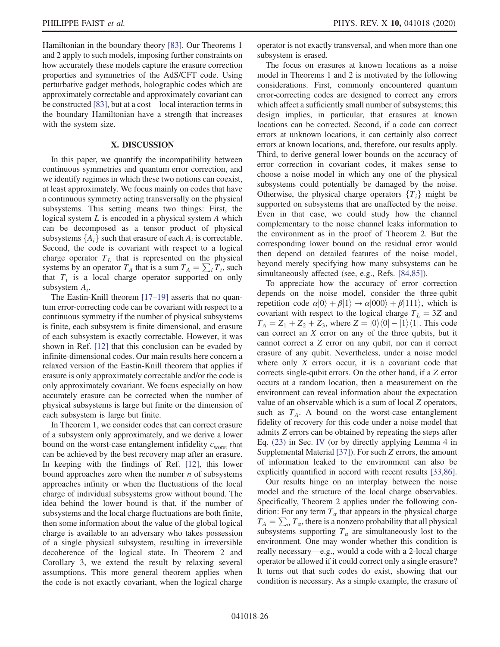Hamiltonian in the boundary theory [\[83\].](#page-29-24) Our Theorems 1 and 2 apply to such models, imposing further constraints on how accurately these models capture the erasure correction properties and symmetries of the AdS/CFT code. Using perturbative gadget methods, holographic codes which are approximately correctable and approximately covariant can be constructed [\[83\]](#page-29-24), but at a cost—local interaction terms in the boundary Hamiltonian have a strength that increases with the system size.

# X. DISCUSSION

<span id="page-25-0"></span>In this paper, we quantify the incompatibility between continuous symmetries and quantum error correction, and we identify regimes in which these two notions can coexist, at least approximately. We focus mainly on codes that have a continuous symmetry acting transversally on the physical subsystems. This setting means two things: First, the logical system  $L$  is encoded in a physical system  $A$  which can be decomposed as a tensor product of physical subsystems  $\{A_i\}$  such that erasure of each  $A_i$  is correctable. Second, the code is covariant with respect to a logical charge operator  $T<sub>L</sub>$  that is represented on the physical systems by an operator  $T_A$  that is a sum  $T_A = \sum_i T_i$ , such that  $T_i$  is a local charge operator supported on only subsystem  $A_i$ .

The Eastin-Knill theorem [\[17](#page-28-2)–19] asserts that no quantum error-correcting code can be covariant with respect to a continuous symmetry if the number of physical subsystems is finite, each subsystem is finite dimensional, and erasure of each subsystem is exactly correctable. However, it was shown in Ref. [\[12\]](#page-28-1) that this conclusion can be evaded by infinite-dimensional codes. Our main results here concern a relaxed version of the Eastin-Knill theorem that applies if erasure is only approximately correctable and/or the code is only approximately covariant. We focus especially on how accurately erasure can be corrected when the number of physical subsystems is large but finite or the dimension of each subsystem is large but finite.

In Theorem 1, we consider codes that can correct erasure of a subsystem only approximately, and we derive a lower bound on the worst-case entanglement infidelity  $\epsilon_{\text{worst}}$  that can be achieved by the best recovery map after an erasure. In keeping with the findings of Ref. [\[12\]](#page-28-1), this lower bound approaches zero when the number  $n$  of subsystems approaches infinity or when the fluctuations of the local charge of individual subsystems grow without bound. The idea behind the lower bound is that, if the number of subsystems and the local charge fluctuations are both finite, then some information about the value of the global logical charge is available to an adversary who takes possession of a single physical subsystem, resulting in irreversible decoherence of the logical state. In Theorem 2 and Corollary 3, we extend the result by relaxing several assumptions. This more general theorem applies when the code is not exactly covariant, when the logical charge operator is not exactly transversal, and when more than one subsystem is erased.

The focus on erasures at known locations as a noise model in Theorems 1 and 2 is motivated by the following considerations. First, commonly encountered quantum error-correcting codes are designed to correct any errors which affect a sufficiently small number of subsystems; this design implies, in particular, that erasures at known locations can be corrected. Second, if a code can correct errors at unknown locations, it can certainly also correct errors at known locations, and, therefore, our results apply. Third, to derive general lower bounds on the accuracy of error correction in covariant codes, it makes sense to choose a noise model in which any one of the physical subsystems could potentially be damaged by the noise. Otherwise, the physical charge operators  $\{T_i\}$  might be supported on subsystems that are unaffected by the noise. Even in that case, we could study how the channel complementary to the noise channel leaks information to the environment as in the proof of Theorem 2. But the corresponding lower bound on the residual error would then depend on detailed features of the noise model, beyond merely specifying how many subsystems can be simultaneously affected (see, e.g., Refs. [\[84,85\]](#page-29-25)).

To appreciate how the accuracy of error correction depends on the noise model, consider the three-qubit repetition code  $\alpha|0\rangle + \beta|1\rangle \rightarrow \alpha|000\rangle + \beta|111\rangle$ , which is covariant with respect to the logical charge  $T_L = 3Z$  and  $T_A = Z_1 + Z_2 + Z_3$ , where  $Z = |0\rangle\langle0| - |1\rangle\langle1|$ . This code can correct an X error on any of the three qubits, but it cannot correct a Z error on any qubit, nor can it correct erasure of any qubit. Nevertheless, under a noise model where only  $X$  errors occur, it is a covariant code that corrects single-qubit errors. On the other hand, if a Z error occurs at a random location, then a measurement on the environment can reveal information about the expectation value of an observable which is a sum of local Z operators, such as  $T_A$ . A bound on the worst-case entanglement fidelity of recovery for this code under a noise model that admits Z errors can be obtained by repeating the steps after Eq. [\(23\)](#page-8-3) in Sec. [IV](#page-8-0) (or by directly applying Lemma 4 in Supplemental Material [\[37\]](#page-28-11)). For such Z errors, the amount of information leaked to the environment can also be explicitly quantified in accord with recent results [\[33,86\]](#page-28-21).

Our results hinge on an interplay between the noise model and the structure of the local charge observables. Specifically, Theorem 2 applies under the following condition: For any term  $T_a$  that appears in the physical charge  $T_A = \sum_{\alpha} T_{\alpha}$ , there is a nonzero probability that all physical subsystems supporting  $T_a$  are simultaneously lost to the environment. One may wonder whether this condition is really necessary—e.g., would a code with a 2-local charge operator be allowed if it could correct only a single erasure? It turns out that such codes do exist, showing that our condition is necessary. As a simple example, the erasure of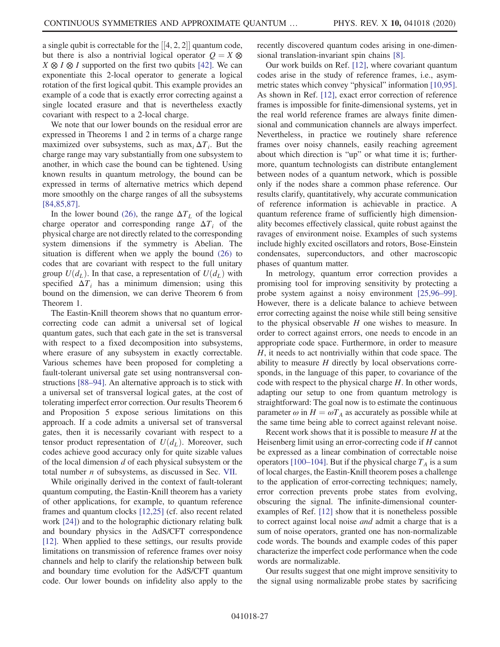a single qubit is correctable for the  $[[4, 2, 2]]$  quantum code,<br>but there is also a nontrivial logical operator  $Q - X \otimes$ but there is also a nontrivial logical operator  $Q = X \otimes$ <br>  $X \otimes I \otimes I$  supported on the first two qubits [42]. We can  $X \otimes I \otimes I$  supported on the first two qubits [\[42\].](#page-28-13) We can exponentiate this 2-local operator to generate a logical rotation of the first logical qubit. This example provides an example of a code that is exactly error correcting against a single located erasure and that is nevertheless exactly covariant with respect to a 2-local charge.

We note that our lower bounds on the residual error are expressed in Theorems 1 and 2 in terms of a charge range maximized over subsystems, such as  $\max_i \Delta T_i$ . But the charge range may vary substantially from one subsystem to another, in which case the bound can be tightened. Using known results in quantum metrology, the bound can be expressed in terms of alternative metrics which depend more smoothly on the charge ranges of all the subsystems [\[84,85,87\]](#page-29-25).

In the lower bound [\(26\)](#page-8-2), the range  $\Delta T_L$  of the logical charge operator and corresponding range  $\Delta T_i$  of the physical charge are not directly related to the corresponding system dimensions if the symmetry is Abelian. The situation is different when we apply the bound [\(26\)](#page-8-2) to codes that are covariant with respect to the full unitary group  $U(d_L)$ . In that case, a representation of  $U(d_L)$  with specified  $\Delta T_i$  has a minimum dimension; using this bound on the dimension, we can derive Theorem 6 from Theorem 1.

The Eastin-Knill theorem shows that no quantum errorcorrecting code can admit a universal set of logical quantum gates, such that each gate in the set is transversal with respect to a fixed decomposition into subsystems, where erasure of any subsystem in exactly correctable. Various schemes have been proposed for completing a fault-tolerant universal gate set using nontransversal constructions [\[88](#page-29-26)–94]. An alternative approach is to stick with a universal set of transversal logical gates, at the cost of tolerating imperfect error correction. Our results Theorem 6 and Proposition 5 expose serious limitations on this approach. If a code admits a universal set of transversal gates, then it is necessarily covariant with respect to a tensor product representation of  $U(d_L)$ . Moreover, such codes achieve good accuracy only for quite sizable values of the local dimension  $d$  of each physical subsystem or the total number n of subsystems, as discussed in Sec. [VII.](#page-15-0)

While originally derived in the context of fault-tolerant quantum computing, the Eastin-Knill theorem has a variety of other applications, for example, to quantum reference frames and quantum clocks [\[12,25\]](#page-28-1) (cf. also recent related work [\[24\]\)](#page-28-4) and to the holographic dictionary relating bulk and boundary physics in the AdS/CFT correspondence [\[12\]](#page-28-1). When applied to these settings, our results provide limitations on transmission of reference frames over noisy channels and help to clarify the relationship between bulk and boundary time evolution for the AdS/CFT quantum code. Our lower bounds on infidelity also apply to the recently discovered quantum codes arising in one-dimensional translation-invariant spin chains [\[8\].](#page-27-3)

Our work builds on Ref. [\[12\],](#page-28-1) where covariant quantum codes arise in the study of reference frames, i.e., asymmetric states which convey "physical" information [\[10,95\]](#page-28-0). As shown in Ref. [\[12\]](#page-28-1), exact error correction of reference frames is impossible for finite-dimensional systems, yet in the real world reference frames are always finite dimensional and communication channels are always imperfect. Nevertheless, in practice we routinely share reference frames over noisy channels, easily reaching agreement about which direction is "up" or what time it is; furthermore, quantum technologists can distribute entanglement between nodes of a quantum network, which is possible only if the nodes share a common phase reference. Our results clarify, quantitatively, why accurate communication of reference information is achievable in practice. A quantum reference frame of sufficiently high dimensionality becomes effectively classical, quite robust against the ravages of environment noise. Examples of such systems include highly excited oscillators and rotors, Bose-Einstein condensates, superconductors, and other macroscopic phases of quantum matter.

In metrology, quantum error correction provides a promising tool for improving sensitivity by protecting a probe system against a noisy environment [\[25,96](#page-28-22)–99]. However, there is a delicate balance to achieve between error correcting against the noise while still being sensitive to the physical observable  $H$  one wishes to measure. In order to correct against errors, one needs to encode in an appropriate code space. Furthermore, in order to measure H, it needs to act nontrivially within that code space. The ability to measure  $H$  directly by local observations corresponds, in the language of this paper, to covariance of the code with respect to the physical charge  $H$ . In other words, adapting our setup to one from quantum metrology is straightforward: The goal now is to estimate the continuous parameter  $\omega$  in  $H = \omega T_A$  as accurately as possible while at the same time being able to correct against relevant noise.

Recent work shows that it is possible to measure  $H$  at the Heisenberg limit using an error-correcting code if H cannot be expressed as a linear combination of correctable noise operators [\[100](#page-30-0)–104]. But if the physical charge  $T_A$  is a sum of local charges, the Eastin-Knill theorem poses a challenge to the application of error-correcting techniques; namely, error correction prevents probe states from evolving, obscuring the signal. The infinite-dimensional counterexamples of Ref. [\[12\]](#page-28-1) show that it is nonetheless possible to correct against local noise and admit a charge that is a sum of noise operators, granted one has non-normalizable code words. The bounds and example codes of this paper characterize the imperfect code performance when the code words are normalizable.

Our results suggest that one might improve sensitivity to the signal using normalizable probe states by sacrificing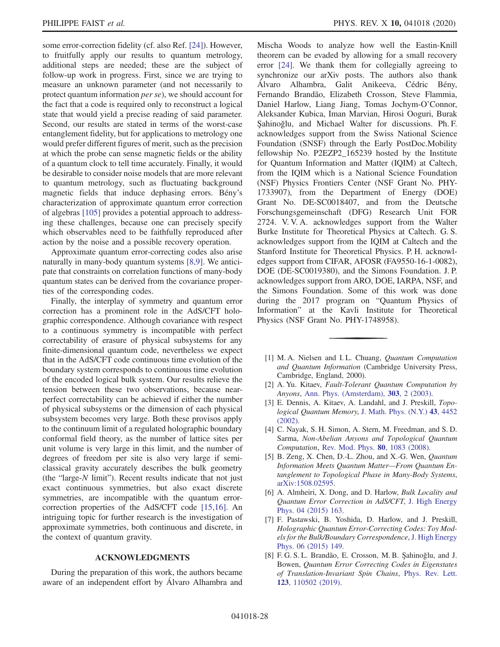some error-correction fidelity (cf. also Ref. [\[24\]\)](#page-28-4). However, to fruitfully apply our results to quantum metrology, additional steps are needed; these are the subject of follow-up work in progress. First, since we are trying to measure an unknown parameter (and not necessarily to protect quantum information per se), we should account for the fact that a code is required only to reconstruct a logical state that would yield a precise reading of said parameter. Second, our results are stated in terms of the worst-case entanglement fidelity, but for applications to metrology one would prefer different figures of merit, such as the precision at which the probe can sense magnetic fields or the ability of a quantum clock to tell time accurately. Finally, it would be desirable to consider noise models that are more relevant to quantum metrology, such as fluctuating background magnetic fields that induce dephasing errors. Bény's characterization of approximate quantum error correction of algebras [\[105\]](#page-30-1) provides a potential approach to addressing these challenges, because one can precisely specify which observables need to be faithfully reproduced after action by the noise and a possible recovery operation.

Approximate quantum error-correcting codes also arise naturally in many-body quantum systems [\[8,9\]](#page-27-3). We anticipate that constraints on correlation functions of many-body quantum states can be derived from the covariance properties of the corresponding codes.

Finally, the interplay of symmetry and quantum error correction has a prominent role in the AdS/CFT holographic correspondence. Although covariance with respect to a continuous symmetry is incompatible with perfect correctability of erasure of physical subsystems for any finite-dimensional quantum code, nevertheless we expect that in the AdS/CFT code continuous time evolution of the boundary system corresponds to continuous time evolution of the encoded logical bulk system. Our results relieve the tension between these two observations, because nearperfect correctability can be achieved if either the number of physical subsystems or the dimension of each physical subsystem becomes very large. Both these provisos apply to the continuum limit of a regulated holographic boundary conformal field theory, as the number of lattice sites per unit volume is very large in this limit, and the number of degrees of freedom per site is also very large if semiclassical gravity accurately describes the bulk geometry (the "large-N limit"). Recent results indicate that not just exact continuous symmetries, but also exact discrete symmetries, are incompatible with the quantum errorcorrection properties of the AdS/CFT code [\[15,16\].](#page-28-19) An intriguing topic for further research is the investigation of approximate symmetries, both continuous and discrete, in the context of quantum gravity.

# ACKNOWLEDGMENTS

During the preparation of this work, the authors became aware of an independent effort by Álvaro Alhambra and Mischa Woods to analyze how well the Eastin-Knill theorem can be evaded by allowing for a small recovery error [\[24\]](#page-28-4). We thank them for collegially agreeing to synchronize our arXiv posts. The authors also thank Álvaro Alhambra, Galit Anikeeva, Cédric Bény, Fernando Brandão, Elizabeth Crosson, Steve Flammia, Daniel Harlow, Liang Jiang, Tomas Jochym-O'Connor, Aleksander Kubica, Iman Marvian, Hirosi Ooguri, Burak Şahinoğlu, and Michael Walter for discussions. Ph. F. acknowledges support from the Swiss National Science Foundation (SNSF) through the Early PostDoc.Mobility fellowship No. P2EZP2\_165239 hosted by the Institute for Quantum Information and Matter (IQIM) at Caltech, from the IQIM which is a National Science Foundation (NSF) Physics Frontiers Center (NSF Grant No. PHY-1733907), from the Department of Energy (DOE) Grant No. DE-SC0018407, and from the Deutsche Forschungsgemeinschaft (DFG) Research Unit FOR 2724. V. V. A. acknowledges support from the Walter Burke Institute for Theoretical Physics at Caltech. G. S. acknowledges support from the IQIM at Caltech and the Stanford Institute for Theoretical Physics. P. H. acknowledges support from CIFAR, AFOSR (FA9550-16-1-0082), DOE (DE-SC0019380), and the Simons Foundation. J. P. acknowledges support from ARO, DOE, IARPA, NSF, and the Simons Foundation. Some of this work was done during the 2017 program on "Quantum Physics of Information" at the Kavli Institute for Theoretical Physics (NSF Grant No. PHY-1748958).

- <span id="page-27-0"></span>[1] M. A. Nielsen and I. L. Chuang, Quantum Computation and Quantum Information (Cambridge University Press, Cambridge, England, 2000).
- <span id="page-27-1"></span>[2] A. Yu. Kitaev, Fault-Tolerant Quantum Computation by Anyons, [Ann. Phys. \(Amsterdam\),](https://doi.org/10.1016/S0003-4916(02)00018-0) 303, 2 (2003).
- [3] E. Dennis, A. Kitaev, A. Landahl, and J. Preskill, Topological Quantum Memory, [J. Math. Phys. \(N.Y.\)](https://doi.org/10.1063/1.1499754) 43, 4452 [\(2002\).](https://doi.org/10.1063/1.1499754)
- [4] C. Nayak, S. H. Simon, A. Stern, M. Freedman, and S. D. Sarma, Non-Abelian Anyons and Topological Quantum Computation, [Rev. Mod. Phys.](https://doi.org/10.1103/RevModPhys.80.1083) 80, 1083 (2008).
- [5] B. Zeng, X. Chen, D.-L. Zhou, and X.-G. Wen, *Quantum* Information Meets Quantum Matter—From Quantum Entanglement to Topological Phase in Many-Body Systems, [arXiv:1508.02595](https://arXiv.org/abs/1508.02595).
- <span id="page-27-2"></span>[6] A. Almheiri, X. Dong, and D. Harlow, *Bulk Locality and* Quantum Error Correction in AdS/CFT, [J. High Energy](https://doi.org/10.1007/JHEP04(2015)163) [Phys. 04 \(2015\) 163.](https://doi.org/10.1007/JHEP04(2015)163)
- <span id="page-27-4"></span>[7] F. Pastawski, B. Yoshida, D. Harlow, and J. Preskill, Holographic Quantum Error-Correcting Codes: Toy Models for the Bulk/Boundary Correspondence, [J. High Energy](https://doi.org/10.1007/JHEP06(2015)149) [Phys. 06 \(2015\) 149.](https://doi.org/10.1007/JHEP06(2015)149)
- <span id="page-27-3"></span>[8] F. G. S. L. Brandão, E. Crosson, M. B. Şahinoğlu, and J. Bowen, Quantum Error Correcting Codes in Eigenstates of Translation-Invariant Spin Chains, [Phys. Rev. Lett.](https://doi.org/10.1103/PhysRevLett.123.110502) 123[, 110502 \(2019\)](https://doi.org/10.1103/PhysRevLett.123.110502).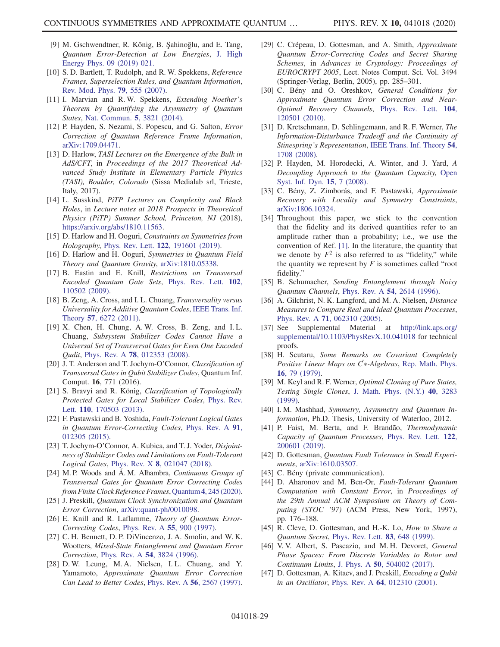- [9] M. Gschwendtner, R. König, B. Şahinoğlu, and E. Tang, Quantum Error-Detection at Low Energies, [J. High](https://doi.org/10.1007/JHEP09(2019)021) [Energy Phys. 09 \(2019\) 021.](https://doi.org/10.1007/JHEP09(2019)021)
- <span id="page-28-0"></span>[10] S. D. Bartlett, T. Rudolph, and R. W. Spekkens, Reference Frames, Superselection Rules, and Quantum Information, [Rev. Mod. Phys.](https://doi.org/10.1103/RevModPhys.79.555) 79, 555 (2007).
- [11] I. Marvian and R.W. Spekkens, Extending Noether's Theorem by Quantifying the Asymmetry of Quantum States, [Nat. Commun.](https://doi.org/10.1038/ncomms4821) 5, 3821 (2014).
- <span id="page-28-1"></span>[12] P. Hayden, S. Nezami, S. Popescu, and G. Salton, *Error* Correction of Quantum Reference Frame Information, [arXiv:1709.04471](https://arXiv.org/abs/1709.04471).
- [13] D. Harlow, TASI Lectures on the Emergence of the Bulk in AdS/CFT, in Proceedings of the 2017 Theoretical Advanced Study Institute in Elementary Particle Physics (TASI), Boulder, Colorado (Sissa Medialab srl, Trieste, Italy, 2017).
- [14] L. Susskind, PiTP Lectures on Complexity and Black Holes, in Lecture notes at 2018 Prospects in Theoretical Physics (PiTP) Summer School, Princeton, NJ (2018), [https://arxiv.org/abs/1810.11563.](https://arxiv.org/abs/1810.11563)
- <span id="page-28-19"></span>[15] D. Harlow and H. Ooguri, Constraints on Symmetries from Holography, Phys. Rev. Lett. 122[, 191601 \(2019\)](https://doi.org/10.1103/PhysRevLett.122.191601).
- <span id="page-28-20"></span>[16] D. Harlow and H. Ooguri, Symmetries in Quantum Field Theory and Quantum Gravity, [arXiv:1810.05338.](https://arXiv.org/abs/1810.05338)
- <span id="page-28-2"></span>[17] B. Eastin and E. Knill, Restrictions on Transversal Encoded Quantum Gate Sets, [Phys. Rev. Lett.](https://doi.org/10.1103/PhysRevLett.102.110502) 102, [110502 \(2009\).](https://doi.org/10.1103/PhysRevLett.102.110502)
- [18] B. Zeng, A. Cross, and I. L. Chuang, Transversality versus Universality for Additive Quantum Codes, [IEEE Trans. Inf.](https://doi.org/10.1109/TIT.2011.2161917) Theory 57[, 6272 \(2011\).](https://doi.org/10.1109/TIT.2011.2161917)
- [19] X. Chen, H. Chung, A. W. Cross, B. Zeng, and I. L. Chuang, Subsystem Stabilizer Codes Cannot Have a Universal Set of Transversal Gates for Even One Encoded Qudit, Phys. Rev. A 78[, 012353 \(2008\)](https://doi.org/10.1103/PhysRevA.78.012353).
- <span id="page-28-3"></span>[20] J. T. Anderson and T. Jochym-O'Connor, Classification of Transversal Gates in Qubit Stabilizer Codes, Quantum Inf. Comput. 16, 771 (2016).
- [21] S. Bravyi and R. König, Classification of Topologically Protected Gates for Local Stabilizer Codes, [Phys. Rev.](https://doi.org/10.1103/PhysRevLett.110.170503) Lett. 110[, 170503 \(2013\)](https://doi.org/10.1103/PhysRevLett.110.170503).
- [22] F. Pastawski and B. Yoshida, Fault-Tolerant Logical Gates in Quantum Error-Correcting Codes, [Phys. Rev. A](https://doi.org/10.1103/PhysRevA.91.012305) 91, [012305 \(2015\).](https://doi.org/10.1103/PhysRevA.91.012305)
- [23] T. Jochym-O'Connor, A. Kubica, and T. J. Yoder, *Disjoint*ness of Stabilizer Codes and Limitations on Fault-Tolerant Logical Gates, Phys. Rev. X 8[, 021047 \(2018\)](https://doi.org/10.1103/PhysRevX.8.021047).
- <span id="page-28-4"></span>[24] M. P. Woods and Á. M. Alhambra, Continuous Groups of Transversal Gates for Quantum Error Correcting Codes from Finite Clock Reference Frames, Quantum 4[, 245 \(2020\).](https://doi.org/10.22331/q-2020-03-23-245)
- <span id="page-28-22"></span><span id="page-28-5"></span>[25] J. Preskill, Quantum Clock Synchronization and Quantum Error Correction, [arXiv:quant-ph/0010098.](https://arXiv.org/abs/quant-ph/0010098)
- <span id="page-28-18"></span>[26] E. Knill and R. Laflamme, *Theory of Quantum Error-*Correcting Codes, [Phys. Rev. A](https://doi.org/10.1103/PhysRevA.55.900) 55, 900 (1997).
- [27] C. H. Bennett, D. P. DiVincenzo, J. A. Smolin, and W. K. Wootters, Mixed-State Entanglement and Quantum Error Correction, Phys. Rev. A 54[, 3824 \(1996\).](https://doi.org/10.1103/PhysRevA.54.3824)
- <span id="page-28-6"></span>[28] D. W. Leung, M. A. Nielsen, I. L. Chuang, and Y. Yamamoto, Approximate Quantum Error Correction Can Lead to Better Codes, Phys. Rev. A 56[, 2567 \(1997\).](https://doi.org/10.1103/PhysRevA.56.2567)
- [29] C. Crépeau, D. Gottesman, and A. Smith, Approximate Quantum Error-Correcting Codes and Secret Sharing Schemes, in Advances in Cryptology: Proceedings of EUROCRYPT 2005, Lect. Notes Comput. Sci. Vol. 3494 (Springer-Verlag, Berlin, 2005), pp. 285–301.
- <span id="page-28-7"></span>[30] C. Bény and O. Oreshkov, General Conditions for Approximate Quantum Error Correction and Near-Optimal Recovery Channels, [Phys. Rev. Lett.](https://doi.org/10.1103/PhysRevLett.104.120501) 104, [120501 \(2010\).](https://doi.org/10.1103/PhysRevLett.104.120501)
- <span id="page-28-10"></span>[31] D. Kretschmann, D. Schlingemann, and R. F. Werner, *The* Information-Disturbance Tradeoff and the Continuity of Stinespring's Representation, [IEEE Trans. Inf. Theory](https://doi.org/10.1109/TIT.2008.917696) 54, [1708 \(2008\).](https://doi.org/10.1109/TIT.2008.917696)
- [32] P. Hayden, M. Horodecki, A. Winter, and J. Yard, A. Decoupling Approach to the Quantum Capacity, [Open](https://doi.org/10.1142/S1230161208000043) [Syst. Inf. Dyn.](https://doi.org/10.1142/S1230161208000043) 15, 7 (2008).
- <span id="page-28-21"></span>[33] C. Bény, Z. Zimborás, and F. Pastawski, Approximate Recovery with Locality and Symmetry Constraints, [arXiv:1806.10324](https://arXiv.org/abs/1806.10324).
- <span id="page-28-8"></span>[34] Throughout this paper, we stick to the convention that the fidelity and its derived quantities refer to an amplitude rather than a probability; i.e., we use the convention of Ref. [\[1\].](#page-27-0) In the literature, the quantity that we denote by  $F^2$  is also referred to as "fidelity," while the quantity we represent by  $F$  is sometimes called "root" fidelity."
- <span id="page-28-9"></span>[35] B. Schumacher, Sending Entanglement through Noisy Quantum Channels, Phys. Rev. A 54[, 2614 \(1996\).](https://doi.org/10.1103/PhysRevA.54.2614)
- [36] A. Gilchrist, N. K. Langford, and M. A. Nielsen, Distance Measures to Compare Real and Ideal Quantum Processes, Phys. Rev. A 71[, 062310 \(2005\)](https://doi.org/10.1103/PhysRevA.71.062310).
- <span id="page-28-11"></span>[37] See Supplemental Material at [http://link.aps.org/](http://link.aps.org/supplemental/10.1103/PhysRevX.10.041018) [supplemental/10.1103/PhysRevX.10.041018](http://link.aps.org/supplemental/10.1103/PhysRevX.10.041018) for technical proofs.
- <span id="page-28-12"></span>[38] H. Scutaru, Some Remarks on Covariant Completely Positive Linear Maps on  $\hat{C}$ \*-Algebras, [Rep. Math. Phys.](https://doi.org/10.1016/0034-4877(79)90040-5)<br>16–79–(1979) 16[, 79 \(1979\).](https://doi.org/10.1016/0034-4877(79)90040-5)
- [39] M. Keyl and R. F. Werner, Optimal Cloning of Pure States, Testing Single Clones, [J. Math. Phys. \(N.Y.\)](https://doi.org/10.1063/1.532887) 40, 3283 [\(1999\).](https://doi.org/10.1063/1.532887)
- [40] I. M. Mashhad, Symmetry, Asymmetry and Quantum Information, Ph.D. Thesis, University of Waterloo, 2012.
- [41] P. Faist, M. Berta, and F. Brandão, Thermodynamic Capacity of Quantum Processes, [Phys. Rev. Lett.](https://doi.org/10.1103/PhysRevLett.122.200601) 122, [200601 \(2019\).](https://doi.org/10.1103/PhysRevLett.122.200601)
- <span id="page-28-14"></span><span id="page-28-13"></span>[42] D. Gottesman, Quantum Fault Tolerance in Small Experiments, [arXiv:1610.03507](https://arXiv.org/abs/1610.03507).
- <span id="page-28-15"></span>[43] C. Bény (private communication).
- [44] D. Aharonov and M. Ben-Or, Fault-Tolerant Quantum Computation with Constant Error, in Proceedings of the 29th Annual ACM Symposium on Theory of Computing (STOC '97) (ACM Press, New York, 1997), pp. 176–188.
- <span id="page-28-16"></span>[45] R. Cleve, D. Gottesman, and H.-K. Lo, *How to Share a* Quantum Secret, [Phys. Rev. Lett.](https://doi.org/10.1103/PhysRevLett.83.648) 83, 648 (1999).
- [46] V. V. Albert, S. Pascazio, and M. H. Devoret, General Phase Spaces: From Discrete Variables to Rotor and Continuum Limits, J. Phys. A 50[, 504002 \(2017\)](https://doi.org/10.1088/1751-8121/aa9314).
- <span id="page-28-17"></span>[47] D. Gottesman, A. Kitaev, and J. Preskill, *Encoding a Qubit* in an Oscillator, Phys. Rev. A **64**[, 012310 \(2001\)](https://doi.org/10.1103/PhysRevA.64.012310).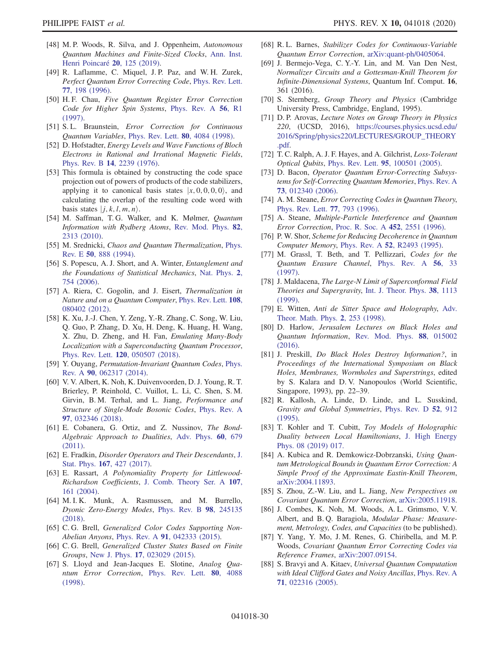- <span id="page-29-0"></span>[48] M. P. Woods, R. Silva, and J. Oppenheim, Autonomous Quantum Machines and Finite-Sized Clocks, [Ann. Inst.](https://doi.org/10.1007/s00023-018-0736-9) [Henri Poincar](https://doi.org/10.1007/s00023-018-0736-9)é 20[, 125 \(2019\)](https://doi.org/10.1007/s00023-018-0736-9).
- [49] R. Laflamme, C. Miquel, J. P. Paz, and W. H. Zurek, Perfect Quantum Error Correcting Code, [Phys. Rev. Lett.](https://doi.org/10.1103/PhysRevLett.77.198) 77[, 198 \(1996\)](https://doi.org/10.1103/PhysRevLett.77.198).
- <span id="page-29-1"></span>[50] H. F. Chau, Five Quantum Register Error Correction Code for Higher Spin Systems, [Phys. Rev. A](https://doi.org/10.1103/PhysRevA.56.R1) 56, R1 [\(1997\).](https://doi.org/10.1103/PhysRevA.56.R1)
- <span id="page-29-2"></span>[51] S.L. Braunstein, *Error Correction for Continuous* Quantum Variables, [Phys. Rev. Lett.](https://doi.org/10.1103/PhysRevLett.80.4084) 80, 4084 (1998).
- <span id="page-29-3"></span>[52] D. Hofstadter, *Energy Levels and Wave Functions of Bloch* Electrons in Rational and Irrational Magnetic Fields, Phys. Rev. B 14[, 2239 \(1976\)](https://doi.org/10.1103/PhysRevB.14.2239).
- <span id="page-29-4"></span>[53] This formula is obtained by constructing the code space projection out of powers of products of the code stabilizers, applying it to canonical basis states  $|x, 0, 0, 0, 0\rangle$ , and calculating the overlap of the resulting code word with basis states  $|i, k, l, m, n\rangle$ .
- <span id="page-29-5"></span>[54] M. Saffman, T.G. Walker, and K. Mølmer, Quantum Information with Rydberg Atoms, [Rev. Mod. Phys.](https://doi.org/10.1103/RevModPhys.82.2313) 82, [2313 \(2010\).](https://doi.org/10.1103/RevModPhys.82.2313)
- <span id="page-29-6"></span>[55] M. Srednicki, Chaos and Quantum Thermalization, [Phys.](https://doi.org/10.1103/PhysRevE.50.888) Rev. E 50[, 888 \(1994\).](https://doi.org/10.1103/PhysRevE.50.888)
- <span id="page-29-7"></span>[56] S. Popescu, A. J. Short, and A. Winter, *Entanglement and* the Foundations of Statistical Mechanics, [Nat. Phys.](https://doi.org/10.1038/nphys444) 2, [754 \(2006\)](https://doi.org/10.1038/nphys444).
- [57] A. Riera, C. Gogolin, and J. Eisert, Thermalization in Nature and on a Quantum Computer, [Phys. Rev. Lett.](https://doi.org/10.1103/PhysRevLett.108.080402) 108, [080402 \(2012\).](https://doi.org/10.1103/PhysRevLett.108.080402)
- <span id="page-29-8"></span>[58] K. Xu, J.-J. Chen, Y. Zeng, Y.-R. Zhang, C. Song, W. Liu, Q. Guo, P. Zhang, D. Xu, H. Deng, K. Huang, H. Wang, X. Zhu, D. Zheng, and H. Fan, Emulating Many-Body Localization with a Superconducting Quantum Processor, Phys. Rev. Lett. 120[, 050507 \(2018\).](https://doi.org/10.1103/PhysRevLett.120.050507)
- <span id="page-29-9"></span>[59] Y. Ouyang, Permutation-Invariant Quantum Codes, [Phys.](https://doi.org/10.1103/PhysRevA.90.062317) Rev. A 90[, 062317 \(2014\)](https://doi.org/10.1103/PhysRevA.90.062317).
- <span id="page-29-10"></span>[60] V. V. Albert, K. Noh, K. Duivenvoorden, D. J. Young, R. T. Brierley, P. Reinhold, C. Vuillot, L. Li, C. Shen, S. M. Girvin, B. M. Terhal, and L. Jiang, Performance and Structure of Single-Mode Bosonic Codes, [Phys. Rev. A](https://doi.org/10.1103/PhysRevA.97.032346) 97[, 032346 \(2018\).](https://doi.org/10.1103/PhysRevA.97.032346)
- <span id="page-29-11"></span>[61] E. Cobanera, G. Ortiz, and Z. Nussinov, The Bond-Algebraic Approach to Dualities, [Adv. Phys.](https://doi.org/10.1080/00018732.2011.619814) 60, 679 [\(2011\).](https://doi.org/10.1080/00018732.2011.619814)
- [62] E. Fradkin, Disorder Operators and Their Descendants, [J.](https://doi.org/10.1007/s10955-017-1737-7) Stat. Phys. 167[, 427 \(2017\).](https://doi.org/10.1007/s10955-017-1737-7)
- <span id="page-29-12"></span>[63] E. Rassart, A Polynomiality Property for Littlewood-Richardson Coefficients, [J. Comb. Theory Ser. A](https://doi.org/10.1016/j.jcta.2004.04.003) 107, [161 \(2004\)](https://doi.org/10.1016/j.jcta.2004.04.003).
- <span id="page-29-13"></span>[64] M. I. K. Munk, A. Rasmussen, and M. Burrello, Dyonic Zero-Energy Modes, [Phys. Rev. B](https://doi.org/10.1103/PhysRevB.98.245135) 98, 245135 [\(2018\).](https://doi.org/10.1103/PhysRevB.98.245135)
- <span id="page-29-15"></span><span id="page-29-14"></span>[65] C.G. Brell, Generalized Color Codes Supporting Non-Abelian Anyons, Phys. Rev. A 91[, 042333 \(2015\)](https://doi.org/10.1103/PhysRevA.91.042333).
- [66] C. G. Brell, Generalized Cluster States Based on Finite Groups, New J. Phys. 17[, 023029 \(2015\)](https://doi.org/10.1088/1367-2630/17/2/023029).
- [67] S. Lloyd and Jean-Jacques E. Slotine, Analog Quantum Error Correction, [Phys. Rev. Lett.](https://doi.org/10.1103/PhysRevLett.80.4088) 80, 4088 [\(1998\).](https://doi.org/10.1103/PhysRevLett.80.4088)
- <span id="page-29-21"></span>[68] R. L. Barnes, Stabilizer Codes for Continuous-Variable Quantum Error Correction, [arXiv:quant-ph/0405064](https://arXiv.org/abs/quant-ph/0405064).
- [69] J. Bermejo-Vega, C. Y.-Y. Lin, and M. Van Den Nest, Normalizer Circuits and a Gottesman-Knill Theorem for Infinite-Dimensional Systems, Quantum Inf. Comput. 16, 361 (2016).
- <span id="page-29-16"></span>[70] S. Sternberg, Group Theory and Physics (Cambridge University Press, Cambridge, England, 1995).
- [71] D. P. Arovas, Lecture Notes on Group Theory in Physics 220, (UCSD, 2016), [https://courses.physics.ucsd.edu/](https://courses.physics.ucsd.edu/2016/Spring/physics220/LECTURES/GROUP_THEORY.pdf) [2016/Spring/physics220/LECTURES/GROUP\\_THEORY](https://courses.physics.ucsd.edu/2016/Spring/physics220/LECTURES/GROUP_THEORY.pdf) [.pdf](https://courses.physics.ucsd.edu/2016/Spring/physics220/LECTURES/GROUP_THEORY.pdf).
- <span id="page-29-17"></span>[72] T. C. Ralph, A. J. F. Hayes, and A. Gilchrist, Loss-Tolerant Optical Qubits, Phys. Rev. Lett. 95[, 100501 \(2005\)](https://doi.org/10.1103/PhysRevLett.95.100501).
- [73] D. Bacon, *Operator Quantum Error-Correcting Subsys*tems for Self-Correcting Quantum Memories, [Phys. Rev. A](https://doi.org/10.1103/PhysRevA.73.012340) 73[, 012340 \(2006\).](https://doi.org/10.1103/PhysRevA.73.012340)
- <span id="page-29-18"></span>[74] A. M. Steane, *Error Correcting Codes in Quantum Theory*, [Phys. Rev. Lett.](https://doi.org/10.1103/PhysRevLett.77.793) 77, 793 (1996).
- [75] A. Steane, Multiple-Particle Interference and Quantum Error Correction, [Proc. R. Soc. A](https://doi.org/10.1098/rspa.1996.0136) 452, 2551 (1996).
- <span id="page-29-19"></span>[76] P. W. Shor, Scheme for Reducing Decoherence in Quantum Computer Memory, Phys. Rev. A 52[, R2493 \(1995\).](https://doi.org/10.1103/PhysRevA.52.R2493)
- <span id="page-29-20"></span>[77] M. Grassl, T. Beth, and T. Pellizzari, Codes for the Quantum Erasure Channel, [Phys. Rev. A](https://doi.org/10.1103/PhysRevA.56.33) 56, 33 [\(1997\).](https://doi.org/10.1103/PhysRevA.56.33)
- <span id="page-29-22"></span>[78] J. Maldacena, The Large-N Limit of Superconformal Field Theories and Supergravity, [Int. J. Theor. Phys.](https://doi.org/10.1023/A:1026654312961) 38, 1113 [\(1999\).](https://doi.org/10.1023/A:1026654312961)
- [79] E. Witten, Anti de Sitter Space and Holography, [Adv.](https://doi.org/10.4310/ATMP.1998.v2.n2.a2) [Theor. Math. Phys.](https://doi.org/10.4310/ATMP.1998.v2.n2.a2) 2, 253 (1998).
- [80] D. Harlow, Jerusalem Lectures on Black Holes and Quantum Information, [Rev. Mod. Phys.](https://doi.org/10.1103/RevModPhys.88.015002) 88, 015002 [\(2016\).](https://doi.org/10.1103/RevModPhys.88.015002)
- <span id="page-29-23"></span>[81] J. Preskill, Do Black Holes Destroy Information?, in Proceedings of the International Symposium on Black Holes, Membranes, Wormholes and Superstrings, edited by S. Kalara and D. V. Nanopoulos (World Scientific, Singapore, 1993), pp. 22–39.
- [82] R. Kallosh, A. Linde, D. Linde, and L. Susskind, Gravity and Global Symmetries, [Phys. Rev. D](https://doi.org/10.1103/PhysRevD.52.912) 52, 912 [\(1995\).](https://doi.org/10.1103/PhysRevD.52.912)
- <span id="page-29-24"></span>[83] T. Kohler and T. Cubitt, Toy Models of Holographic Duality between Local Hamiltonians, [J. High Energy](https://doi.org/10.1007/JHEP08(2019)017) [Phys. 08 \(2019\) 017.](https://doi.org/10.1007/JHEP08(2019)017)
- <span id="page-29-25"></span>[84] A. Kubica and R. Demkowicz-Dobrzanski, Using Quantum Metrological Bounds in Quantum Error Correction: A Simple Proof of the Approximate Eastin-Knill Theorem, [arXiv:2004.11893](https://arXiv.org/abs/2004.11893).
- [85] S. Zhou, Z.-W. Liu, and L. Jiang, New Perspectives on Covariant Quantum Error Correction, [arXiv:2005.11918.](https://arXiv.org/abs/2005.11918)
- [86] J. Combes, K. Noh, M. Woods, A. L. Grimsmo, V. V. Albert, and B. Q. Baragiola, Modular Phase: Measurement, Metrology, Codes, and Capacities (to be published).
- [87] Y. Yang, Y. Mo, J. M. Renes, G. Chiribella, and M. P. Woods, Covariant Quantum Error Correcting Codes via Reference Frames, [arXiv:2007.09154.](https://arXiv.org/abs/2007.09154)
- <span id="page-29-26"></span>[88] S. Bravyi and A. Kitaev, Universal Quantum Computation with Ideal Clifford Gates and Noisy Ancillas, [Phys. Rev. A](https://doi.org/10.1103/PhysRevA.71.022316) 71[, 022316 \(2005\).](https://doi.org/10.1103/PhysRevA.71.022316)